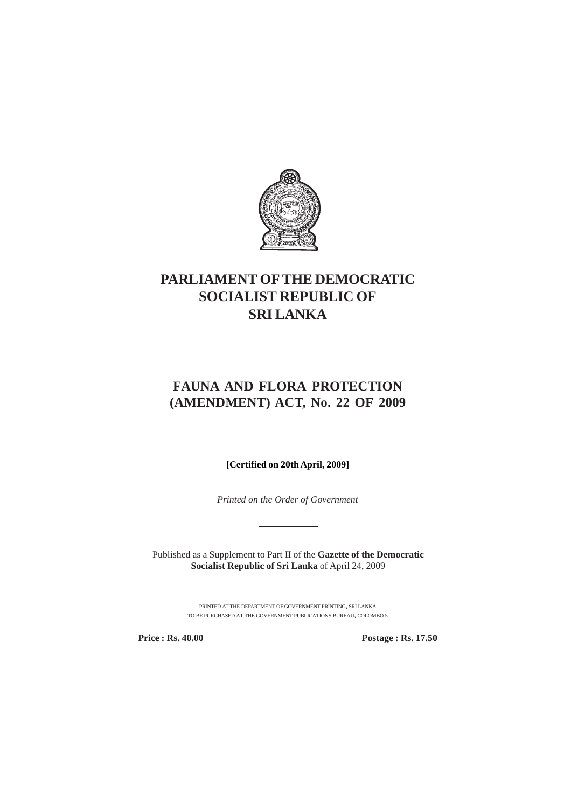

# **PARLIAMENT OF THE DEMOCRATIC SOCIALIST REPUBLIC OF SRI LANKA**

# **FAUNA AND FLORA PROTECTION (AMENDMENT) ACT, No. 22 OF 2009**

**[Certified on 20th April, 2009]**

*Printed on the Order of Government*

Published as a Supplement to Part II of the **Gazette of the Democratic Socialist Republic of Sri Lanka** of April 24, 2009

> PRINTED AT THE DEPARTMENT OF GOVERNMENT PRINTING, SRI LANKA TO BE PURCHASED AT THE GOVERNMENT PUBLICATIONS BUREAU, COLOMBO 5

**Price : Rs. 40.00 Postage : Rs. 17.50**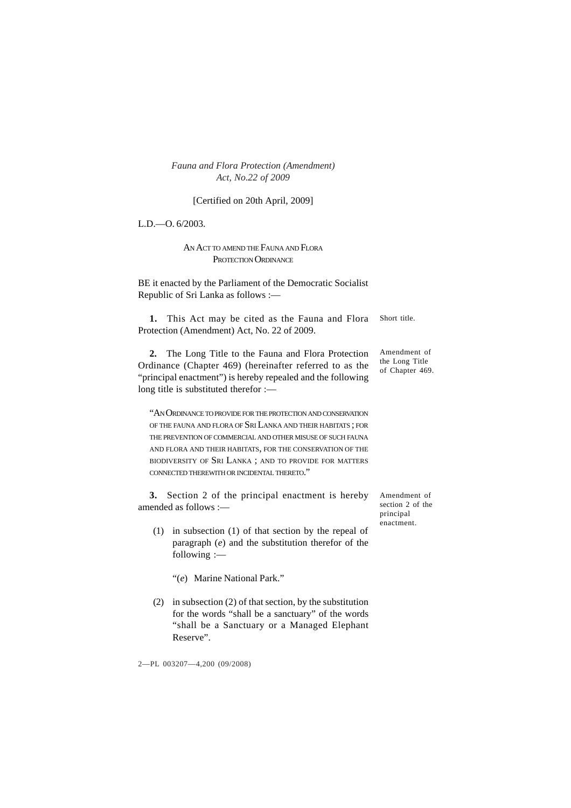[Certified on 20th April, 2009]

L.D.—O. 6/2003.

AN ACT TO AMEND THE FAUNA AND FLORA PROTECTION ORDINANCE

BE it enacted by the Parliament of the Democratic Socialist Republic of Sri Lanka as follows :—

Short title. **1.** This Act may be cited as the Fauna and Flora Protection (Amendment) Act, No. 22 of 2009.

**2.** The Long Title to the Fauna and Flora Protection Ordinance (Chapter 469) (hereinafter referred to as the "principal enactment") is hereby repealed and the following long title is substituted therefor :—

"AN ORDINANCE TO PROVIDE FOR THE PROTECTION AND CONSERVATION OF THE FAUNA AND FLORA OF SRI LANKA AND THEIR HABITATS ; FOR THE PREVENTION OF COMMERCIAL AND OTHER MISUSE OF SUCH FAUNA AND FLORA AND THEIR HABITATS, FOR THE CONSERVATION OF THE BIODIVERSITY OF SRI LANKA ; AND TO PROVIDE FOR MATTERS CONNECTED THEREWITH OR INCIDENTAL THERETO."

**3.** Section 2 of the principal enactment is hereby amended as follows :—

(1) in subsection (1) of that section by the repeal of paragraph (*e*) and the substitution therefor of the following :—

"(*e*) Marine National Park."

(2) in subsection (2) of that section, by the substitution for the words "shall be a sanctuary" of the words "shall be a Sanctuary or a Managed Elephant Reserve".

2—PL 003207—4,200 (09/2008)

Amendment of the Long Title of Chapter 469.

Amendment of section 2 of the principal enactment.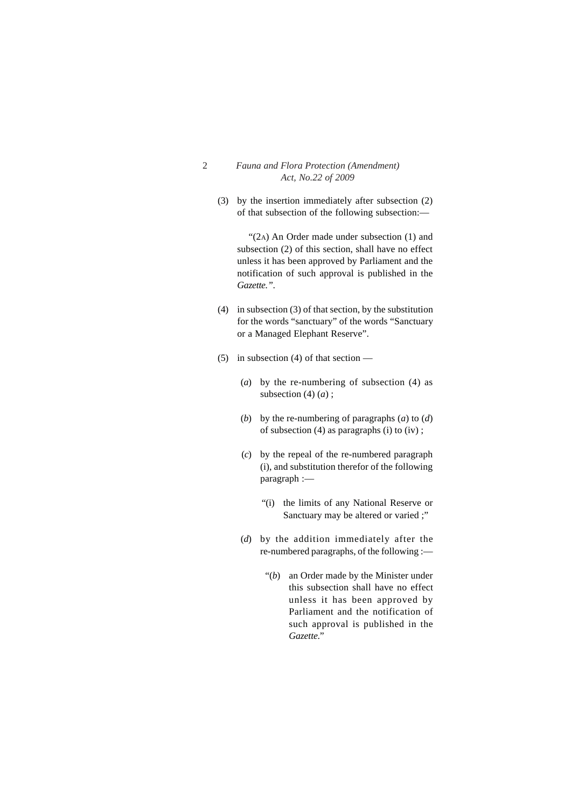(3) by the insertion immediately after subsection (2) of that subsection of the following subsection:—

"(2A) An Order made under subsection (1) and subsection (2) of this section, shall have no effect unless it has been approved by Parliament and the notification of such approval is published in the *Gazette."*.

- (4) in subsection (3) of that section, by the substitution for the words "sanctuary" of the words "Sanctuary or a Managed Elephant Reserve".
- (5) in subsection (4) of that section
	- (*a*) by the re-numbering of subsection (4) as subsection  $(4)$   $(a)$ ;
	- (*b*) by the re-numbering of paragraphs (*a*) to (*d*) of subsection (4) as paragraphs (i) to (iv) ;
	- (*c*) by the repeal of the re-numbered paragraph (i), and substitution therefor of the following paragraph :—
		- "(i) the limits of any National Reserve or Sanctuary may be altered or varied ;"
	- (*d*) by the addition immediately after the re-numbered paragraphs, of the following :—
		- "(*b*) an Order made by the Minister under this subsection shall have no effect unless it has been approved by Parliament and the notification of such approval is published in the *Gazette*."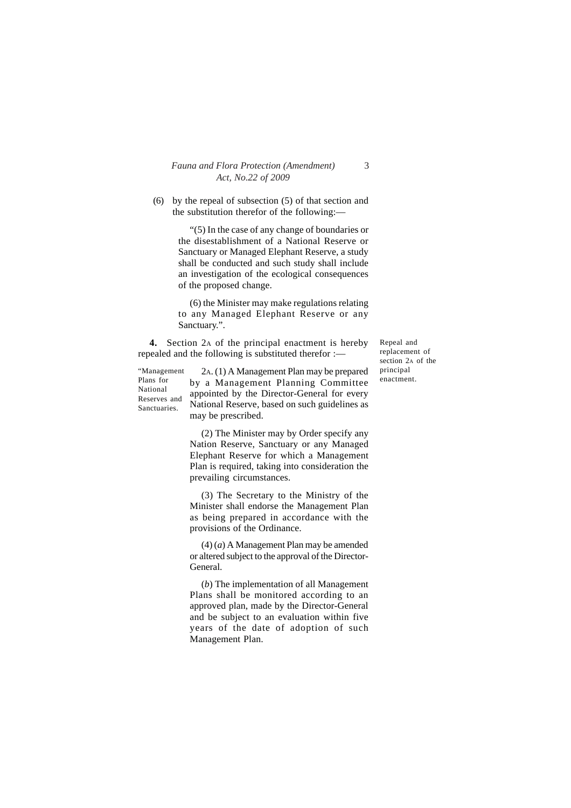(6) by the repeal of subsection (5) of that section and the substitution therefor of the following:—

> "(5) In the case of any change of boundaries or the disestablishment of a National Reserve or Sanctuary or Managed Elephant Reserve, a study shall be conducted and such study shall include an investigation of the ecological consequences of the proposed change.

> (6) the Minister may make regulations relating to any Managed Elephant Reserve or any Sanctuary.".

**4.** Section 2A of the principal enactment is hereby repealed and the following is substituted therefor :—

"Management Plans for National Reserves and Sanctuaries.

2A. (1) A Management Plan may be prepared by a Management Planning Committee appointed by the Director-General for every National Reserve, based on such guidelines as may be prescribed.

(2) The Minister may by Order specify any Nation Reserve, Sanctuary or any Managed Elephant Reserve for which a Management Plan is required, taking into consideration the prevailing circumstances.

(3) The Secretary to the Ministry of the Minister shall endorse the Management Plan as being prepared in accordance with the provisions of the Ordinance.

(4) (*a*) A Management Plan may be amended or altered subject to the approval of the Director-General.

(*b*) The implementation of all Management Plans shall be monitored according to an approved plan, made by the Director-General and be subject to an evaluation within five years of the date of adoption of such Management Plan.

Repeal and replacement of section 2A of the principal enactment.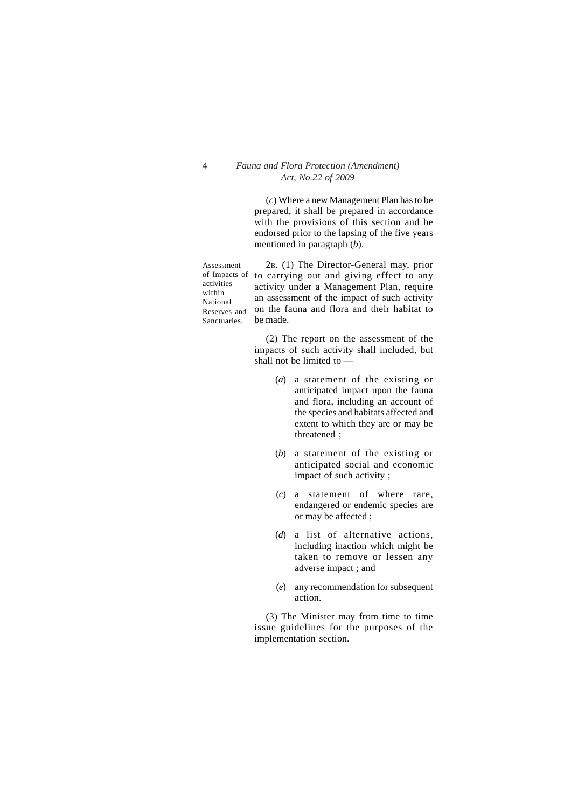(*c*) Where a new Management Plan has to be prepared, it shall be prepared in accordance with the provisions of this section and be endorsed prior to the lapsing of the five years mentioned in paragraph (*b*).

Assessment of Impacts of activities within National Sanctuaries.

Reserves and on the fauna and flora and their habitat to 2B. (1) The Director-General may, prior to carrying out and giving effect to any activity under a Management Plan, require an assessment of the impact of such activity be made.

> (2) The report on the assessment of the impacts of such activity shall included, but shall not be limited to —

- (*a*) a statement of the existing or anticipated impact upon the fauna and flora, including an account of the species and habitats affected and extent to which they are or may be threatened ;
- (*b*) a statement of the existing or anticipated social and economic impact of such activity ;
- (*c*) a statement of where rare, endangered or endemic species are or may be affected ;
- (*d*) a list of alternative actions, including inaction which might be taken to remove or lessen any adverse impact ; and
- (*e*) any recommendation for subsequent action.

(3) The Minister may from time to time issue guidelines for the purposes of the implementation section.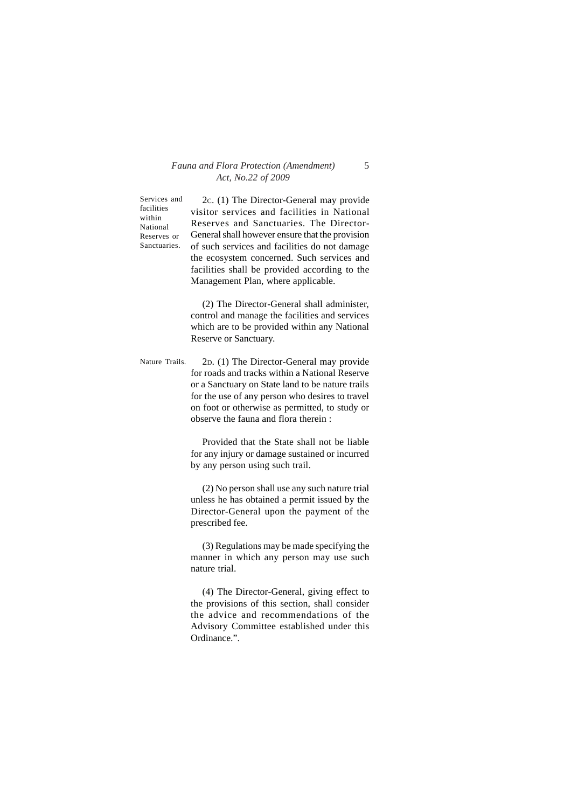Services and facilities within National Reserves or Sanctuaries.

2C. (1) The Director-General may provide visitor services and facilities in National Reserves and Sanctuaries. The Director-General shall however ensure that the provision of such services and facilities do not damage the ecosystem concerned. Such services and facilities shall be provided according to the Management Plan, where applicable.

(2) The Director-General shall administer, control and manage the facilities and services which are to be provided within any National Reserve or Sanctuary.

Nature Trails. 2D. (1) The Director-General may provide for roads and tracks within a National Reserve or a Sanctuary on State land to be nature trails for the use of any person who desires to travel on foot or otherwise as permitted, to study or observe the fauna and flora therein :

> Provided that the State shall not be liable for any injury or damage sustained or incurred by any person using such trail.

> (2) No person shall use any such nature trial unless he has obtained a permit issued by the Director-General upon the payment of the prescribed fee.

> (3) Regulations may be made specifying the manner in which any person may use such nature trial.

> (4) The Director-General, giving effect to the provisions of this section, shall consider the advice and recommendations of the Advisory Committee established under this Ordinance.".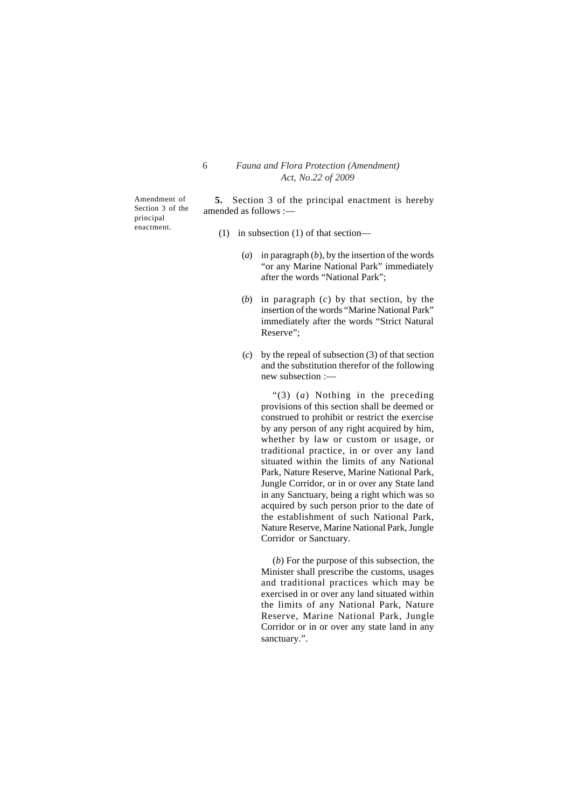Amendment of Section 3 of the principal enactment.

**5.** Section 3 of the principal enactment is hereby amended as follows :—

- (1) in subsection (1) of that section—
	- (*a*) in paragraph (*b*), by the insertion of the words "or any Marine National Park" immediately after the words "National Park";
	- (*b*) in paragraph (*c*) by that section, by the insertion of the words "Marine National Park" immediately after the words "Strict Natural Reserve":
	- (*c*) by the repeal of subsection (3) of that section and the substitution therefor of the following new subsection :—

"(3) (*a*) Nothing in the preceding provisions of this section shall be deemed or construed to prohibit or restrict the exercise by any person of any right acquired by him, whether by law or custom or usage, or traditional practice, in or over any land situated within the limits of any National Park, Nature Reserve, Marine National Park, Jungle Corridor, or in or over any State land in any Sanctuary, being a right which was so acquired by such person prior to the date of the establishment of such National Park, Nature Reserve, Marine National Park, Jungle Corridor or Sanctuary.

(*b*) For the purpose of this subsection, the Minister shall prescribe the customs, usages and traditional practices which may be exercised in or over any land situated within the limits of any National Park, Nature Reserve, Marine National Park, Jungle Corridor or in or over any state land in any sanctuary.".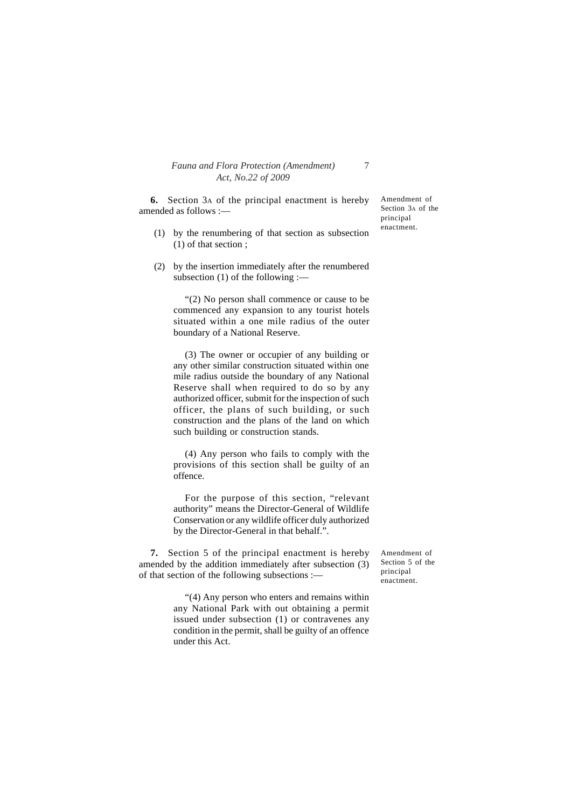**6.** Section 3A of the principal enactment is hereby amended as follows :—

- (1) by the renumbering of that section as subsection (1) of that section ;
- (2) by the insertion immediately after the renumbered subsection (1) of the following :—

"(2) No person shall commence or cause to be commenced any expansion to any tourist hotels situated within a one mile radius of the outer boundary of a National Reserve.

(3) The owner or occupier of any building or any other similar construction situated within one mile radius outside the boundary of any National Reserve shall when required to do so by any authorized officer, submit for the inspection of such officer, the plans of such building, or such construction and the plans of the land on which such building or construction stands.

(4) Any person who fails to comply with the provisions of this section shall be guilty of an offence.

For the purpose of this section, "relevant authority" means the Director-General of Wildlife Conservation or any wildlife officer duly authorized by the Director-General in that behalf.".

**7.** Section 5 of the principal enactment is hereby amended by the addition immediately after subsection (3) of that section of the following subsections :—

Amendment of Section 5 of the principal enactment.

"(4) Any person who enters and remains within any National Park with out obtaining a permit issued under subsection (1) or contravenes any condition in the permit, shall be guilty of an offence under this Act.

Amendment of Section 3A of the principal enactment.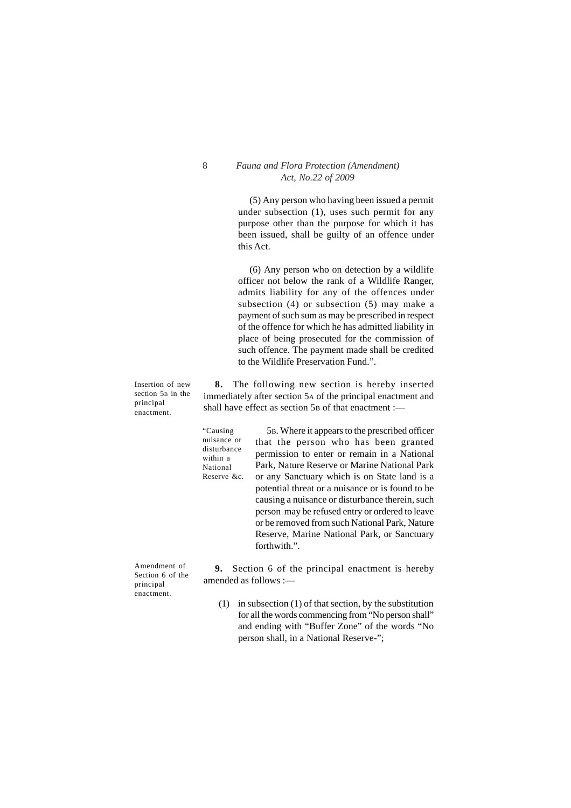(5) Any person who having been issued a permit under subsection (1), uses such permit for any purpose other than the purpose for which it has been issued, shall be guilty of an offence under this Act.

(6) Any person who on detection by a wildlife officer not below the rank of a Wildlife Ranger, admits liability for any of the offences under subsection (4) or subsection (5) may make a payment of such sum as may be prescribed in respect of the offence for which he has admitted liability in place of being prosecuted for the commission of such offence. The payment made shall be credited to the Wildlife Preservation Fund.".

Insertion of new section 5<sub>B</sub> in the **8.** The following new section is hereby inserted immediately after section 5A of the principal enactment and shall have effect as section  $5<sub>B</sub>$  of that enactment :-

> "Causing nuisance or disturbance within a National Reserve &c.

5B. Where it appears to the prescribed officer that the person who has been granted permission to enter or remain in a National Park, Nature Reserve or Marine National Park or any Sanctuary which is on State land is a potential threat or a nuisance or is found to be causing a nuisance or disturbance therein, such person may be refused entry or ordered to leave or be removed from such National Park, Nature Reserve, Marine National Park, or Sanctuary forthwith.".

Amendment of Section 6 of the principal enactment.

principal enactment.

> **9.** Section 6 of the principal enactment is hereby amended as follows :—

(1) in subsection (1) of that section, by the substitution for all the words commencing from "No person shall" and ending with "Buffer Zone" of the words "No person shall, in a National Reserve-";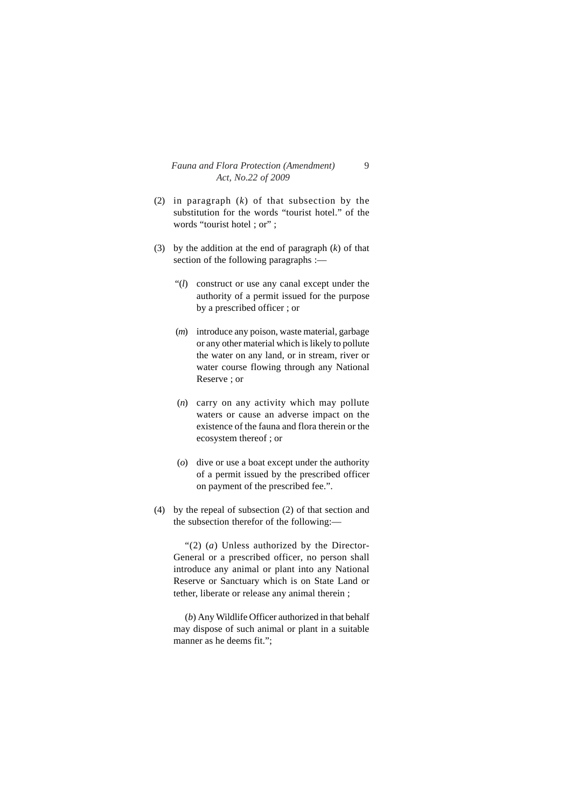- (2) in paragraph (*k*) of that subsection by the substitution for the words "tourist hotel." of the words "tourist hotel : or" :
- (3) by the addition at the end of paragraph (*k*) of that section of the following paragraphs :—
	- "(*l*) construct or use any canal except under the authority of a permit issued for the purpose by a prescribed officer ; or
	- (*m*) introduce any poison, waste material, garbage or any other material which is likely to pollute the water on any land, or in stream, river or water course flowing through any National Reserve ; or
	- (*n*) carry on any activity which may pollute waters or cause an adverse impact on the existence of the fauna and flora therein or the ecosystem thereof ; or
	- (*o*) dive or use a boat except under the authority of a permit issued by the prescribed officer on payment of the prescribed fee.".
- (4) by the repeal of subsection (2) of that section and the subsection therefor of the following:—

"(2) (*a*) Unless authorized by the Director-General or a prescribed officer, no person shall introduce any animal or plant into any National Reserve or Sanctuary which is on State Land or tether, liberate or release any animal therein ;

(*b*) Any Wildlife Officer authorized in that behalf may dispose of such animal or plant in a suitable manner as he deems fit.";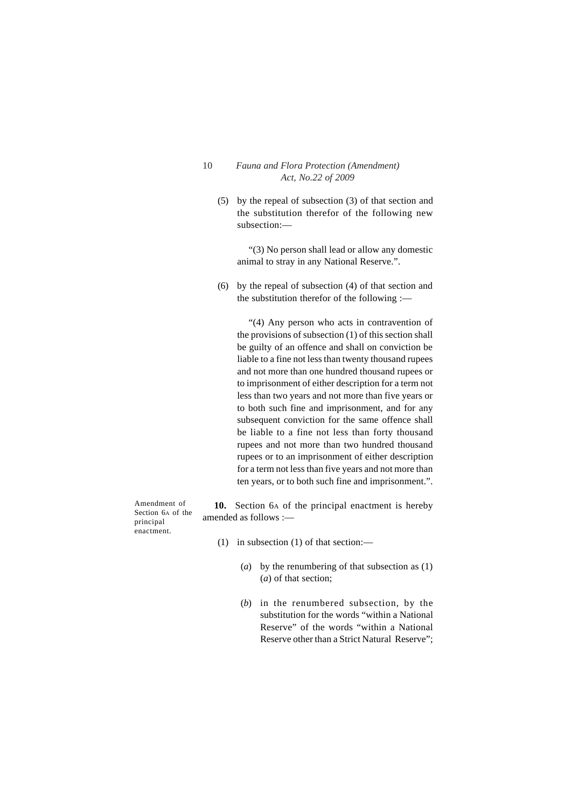(5) by the repeal of subsection (3) of that section and the substitution therefor of the following new subsection:—

"(3) No person shall lead or allow any domestic animal to stray in any National Reserve.".

(6) by the repeal of subsection (4) of that section and the substitution therefor of the following :—

"(4) Any person who acts in contravention of the provisions of subsection (1) of this section shall be guilty of an offence and shall on conviction be liable to a fine not less than twenty thousand rupees and not more than one hundred thousand rupees or to imprisonment of either description for a term not less than two years and not more than five years or to both such fine and imprisonment, and for any subsequent conviction for the same offence shall be liable to a fine not less than forty thousand rupees and not more than two hundred thousand rupees or to an imprisonment of either description for a term not less than five years and not more than ten years, or to both such fine and imprisonment.".

Amendment of Section 6A of the principal enactment.

**10.** Section 6A of the principal enactment is hereby amended as follows :—

- (1) in subsection (1) of that section:—
	- (*a*) by the renumbering of that subsection as (1) (*a*) of that section;
	- (*b*) in the renumbered subsection, by the substitution for the words "within a National Reserve" of the words "within a National Reserve other than a Strict Natural Reserve";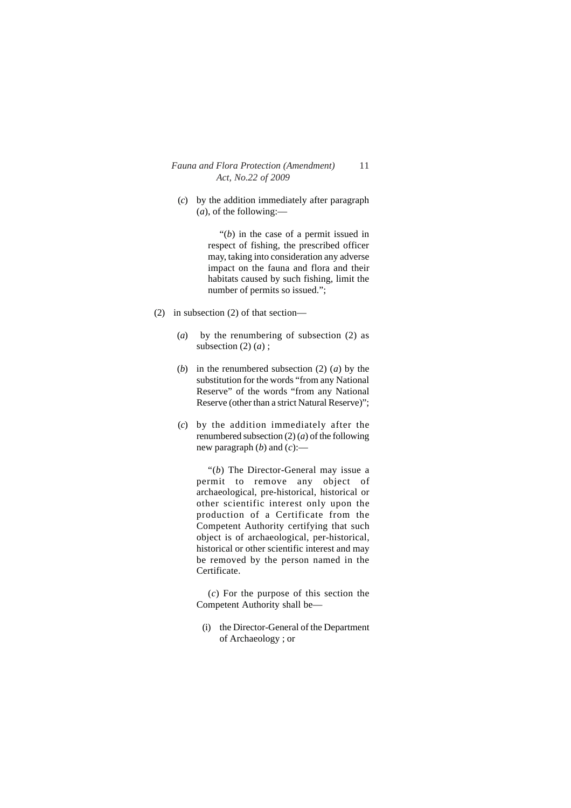(*c*) by the addition immediately after paragraph (*a*), of the following:—

> "(*b*) in the case of a permit issued in respect of fishing, the prescribed officer may, taking into consideration any adverse impact on the fauna and flora and their habitats caused by such fishing, limit the number of permits so issued.";

- (2) in subsection (2) of that section—
	- (*a*) by the renumbering of subsection (2) as subsection  $(2)$   $(a)$ ;
	- (*b*) in the renumbered subsection (2) (*a*) by the substitution for the words "from any National Reserve" of the words "from any National Reserve (other than a strict Natural Reserve)";
	- (*c*) by the addition immediately after the renumbered subsection (2) (*a*) of the following new paragraph (*b*) and (*c*):—

"(*b*) The Director-General may issue a permit to remove any object of archaeological, pre-historical, historical or other scientific interest only upon the production of a Certificate from the Competent Authority certifying that such object is of archaeological, per-historical, historical or other scientific interest and may be removed by the person named in the Certificate.

(*c*) For the purpose of this section the Competent Authority shall be—

(i) the Director-General of the Department of Archaeology ; or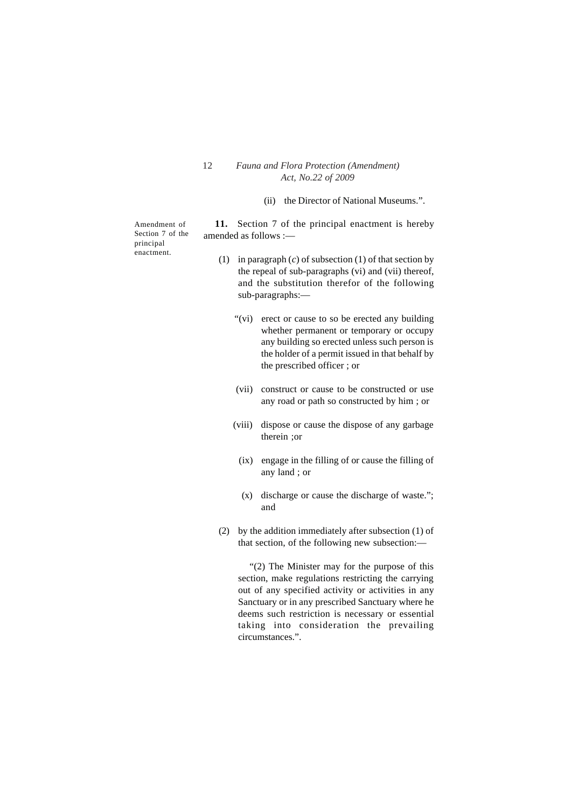(ii) the Director of National Museums.".

Amendment of Section 7 of the principal enactment.

**11.** Section 7 of the principal enactment is hereby amended as follows :—

- (1) in paragraph (*c*) of subsection (1) of that section by the repeal of sub-paragraphs (vi) and (vii) thereof, and the substitution therefor of the following sub-paragraphs:—
	- "(vi) erect or cause to so be erected any building whether permanent or temporary or occupy any building so erected unless such person is the holder of a permit issued in that behalf by the prescribed officer ; or
	- (vii) construct or cause to be constructed or use any road or path so constructed by him ; or
	- (viii) dispose or cause the dispose of any garbage therein ;or
		- (ix) engage in the filling of or cause the filling of any land ; or
		- (x) discharge or cause the discharge of waste."; and
- (2) by the addition immediately after subsection (1) of that section, of the following new subsection:—

"(2) The Minister may for the purpose of this section, make regulations restricting the carrying out of any specified activity or activities in any Sanctuary or in any prescribed Sanctuary where he deems such restriction is necessary or essential taking into consideration the prevailing circumstances.".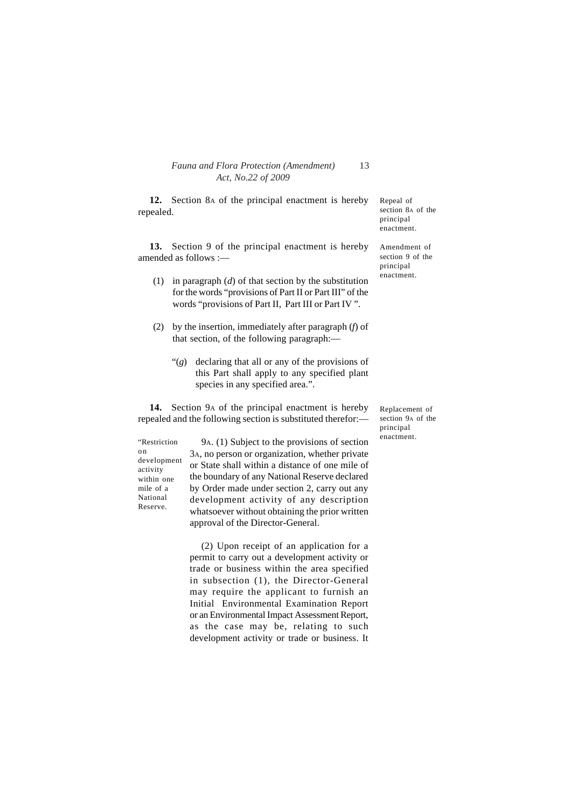**12.** Section 8A of the principal enactment is hereby repealed.

**13.** Section 9 of the principal enactment is hereby amended as follows :—

- (1) in paragraph (*d*) of that section by the substitution for the words "provisions of Part II or Part III" of the words "provisions of Part II, Part III or Part IV ".
- (2) by the insertion, immediately after paragraph (*f*) of that section, of the following paragraph:—
	- "(*g*) declaring that all or any of the provisions of this Part shall apply to any specified plant species in any specified area.".

**14.** Section 9A of the principal enactment is hereby repealed and the following section is substituted therefor:—

"Restriction o n development activity within one mile of a National Reserve.

9A. (1) Subject to the provisions of section 3A, no person or organization, whether private or State shall within a distance of one mile of the boundary of any National Reserve declared by Order made under section 2, carry out any development activity of any description whatsoever without obtaining the prior written approval of the Director-General.

(2) Upon receipt of an application for a permit to carry out a development activity or trade or business within the area specified in subsection (1), the Director-General may require the applicant to furnish an Initial Environmental Examination Report or an Environmental Impact Assessment Report, as the case may be, relating to such development activity or trade or business. It Repeal of section 8A of the principal enactment.

Amendment of section 9 of the principal enactment.

Replacement of section 9<sub>A</sub> of the principal enactment.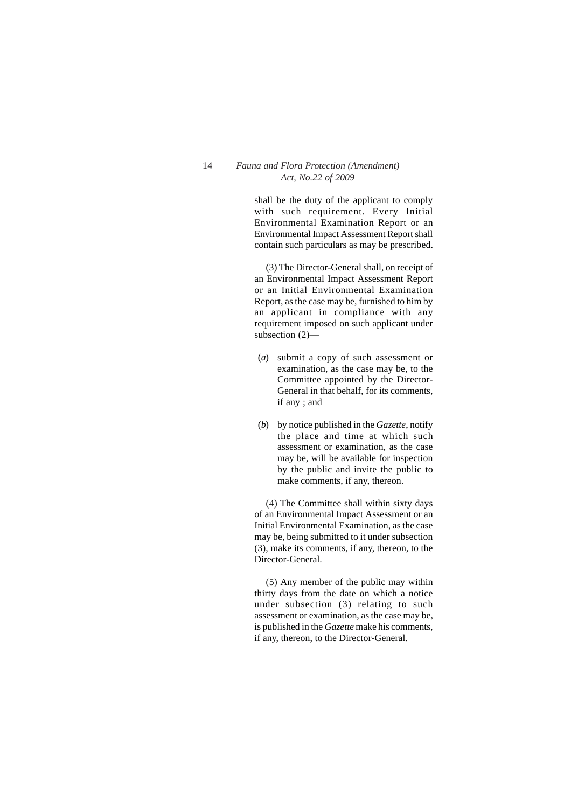shall be the duty of the applicant to comply with such requirement. Every Initial Environmental Examination Report or an Environmental Impact Assessment Report shall contain such particulars as may be prescribed.

(3) The Director-General shall, on receipt of an Environmental Impact Assessment Report or an Initial Environmental Examination Report, as the case may be, furnished to him by an applicant in compliance with any requirement imposed on such applicant under subsection (2)—

- (*a*) submit a copy of such assessment or examination, as the case may be, to the Committee appointed by the Director-General in that behalf, for its comments, if any ; and
- (*b*) by notice published in the *Gazette*, notify the place and time at which such assessment or examination, as the case may be, will be available for inspection by the public and invite the public to make comments, if any, thereon.

(4) The Committee shall within sixty days of an Environmental Impact Assessment or an Initial Environmental Examination, as the case may be, being submitted to it under subsection (3), make its comments, if any, thereon, to the Director-General.

(5) Any member of the public may within thirty days from the date on which a notice under subsection (3) relating to such assessment or examination, as the case may be, is published in the *Gazette* make his comments, if any, thereon, to the Director-General.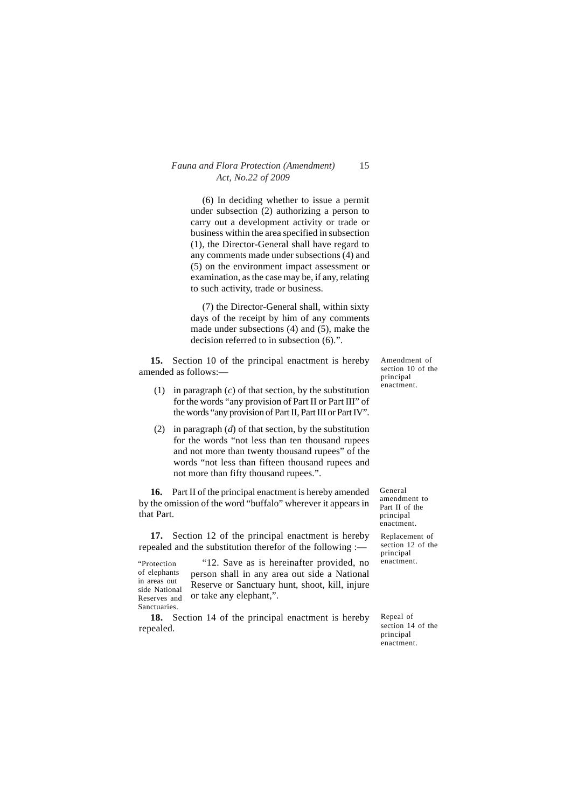(6) In deciding whether to issue a permit under subsection (2) authorizing a person to carry out a development activity or trade or business within the area specified in subsection (1), the Director-General shall have regard to any comments made under subsections (4) and (5) on the environment impact assessment or examination, as the case may be, if any, relating to such activity, trade or business.

(7) the Director-General shall, within sixty days of the receipt by him of any comments made under subsections (4) and (5), make the decision referred to in subsection (6).".

**15.** Section 10 of the principal enactment is hereby amended as follows:—

- (1) in paragraph (*c*) of that section, by the substitution for the words "any provision of Part II or Part III" of the words "any provision of Part II, Part III or Part IV".
- (2) in paragraph (*d*) of that section, by the substitution for the words "not less than ten thousand rupees and not more than twenty thousand rupees" of the words "not less than fifteen thousand rupees and not more than fifty thousand rupees.".

**16.** Part II of the principal enactment is hereby amended by the omission of the word "buffalo" wherever it appears in that Part.

**17.** Section 12 of the principal enactment is hereby repealed and the substitution therefor of the following :—

"Protection of elephants in areas out side National Reserves and Sanctuaries.

"12. Save as is hereinafter provided, no person shall in any area out side a National Reserve or Sanctuary hunt, shoot, kill, injure or take any elephant,".

**18.** Section 14 of the principal enactment is hereby repealed.

Amendment of section 10 of the principal enactment.

General amendment to Part II of the principal enactment.

Replacement of section 12 of the principal enactment.

Repeal of section 14 of the principal enactment.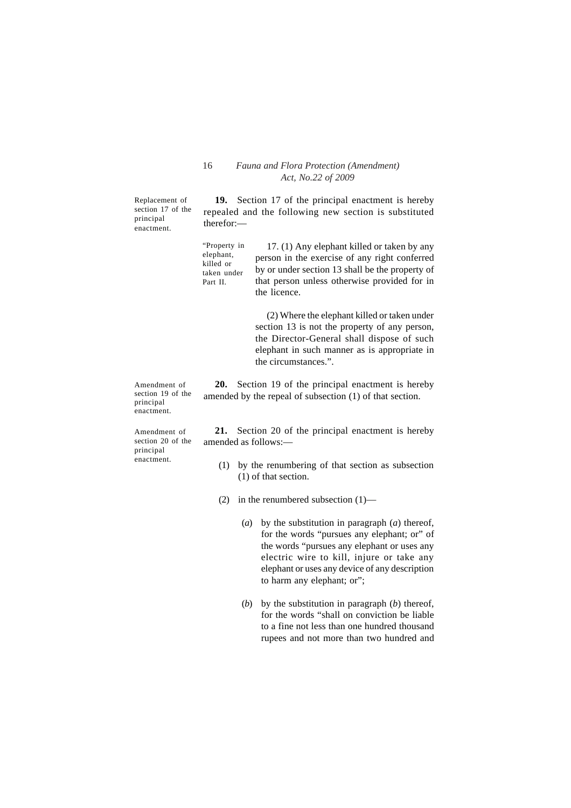Replacement of section 17 of the principal enactment.

**19.** Section 17 of the principal enactment is hereby repealed and the following new section is substituted therefor:—

"Property in elephant, killed or taken under Part II. 17. (1) Any elephant killed or taken by any person in the exercise of any right conferred by or under section 13 shall be the property of that person unless otherwise provided for in the licence.

> (2) Where the elephant killed or taken under section 13 is not the property of any person, the Director-General shall dispose of such elephant in such manner as is appropriate in the circumstances.".

Amendment of section 19 of the principal enactment.

principal enactment.

Amendment of section 20 of the

**21.** Section 20 of the principal enactment is hereby amended as follows:—

**20.** Section 19 of the principal enactment is hereby amended by the repeal of subsection (1) of that section.

- (1) by the renumbering of that section as subsection (1) of that section.
- (2) in the renumbered subsection (1)—
	- (*a*) by the substitution in paragraph (*a*) thereof, for the words "pursues any elephant; or" of the words "pursues any elephant or uses any electric wire to kill, injure or take any elephant or uses any device of any description to harm any elephant; or";
	- (*b*) by the substitution in paragraph (*b*) thereof, for the words "shall on conviction be liable to a fine not less than one hundred thousand rupees and not more than two hundred and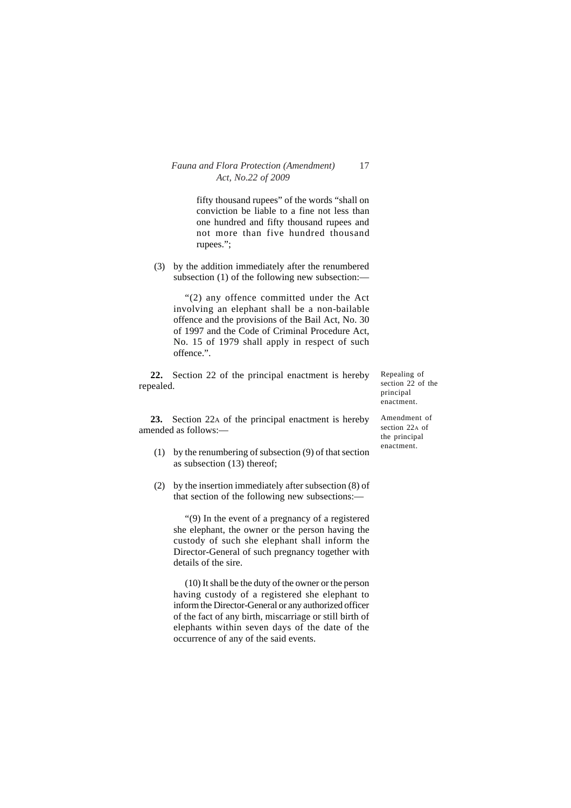fifty thousand rupees" of the words "shall on conviction be liable to a fine not less than one hundred and fifty thousand rupees and not more than five hundred thousand rupees.";

(3) by the addition immediately after the renumbered subsection (1) of the following new subsection:—

"(2) any offence committed under the Act involving an elephant shall be a non-bailable offence and the provisions of the Bail Act, No. 30 of 1997 and the Code of Criminal Procedure Act, No. 15 of 1979 shall apply in respect of such offence.".

**22.** Section 22 of the principal enactment is hereby repealed.

Repealing of section 22 of the principal enactment.

**23.** Section 22A of the principal enactment is hereby amended as follows:—

- (1) by the renumbering of subsection (9) of that section as subsection (13) thereof;
- (2) by the insertion immediately after subsection (8) of that section of the following new subsections:—

"(9) In the event of a pregnancy of a registered she elephant, the owner or the person having the custody of such she elephant shall inform the Director-General of such pregnancy together with details of the sire.

(10) It shall be the duty of the owner or the person having custody of a registered she elephant to inform the Director-General or any authorized officer of the fact of any birth, miscarriage or still birth of elephants within seven days of the date of the occurrence of any of the said events.

Amendment of section 22A of the principal enactment.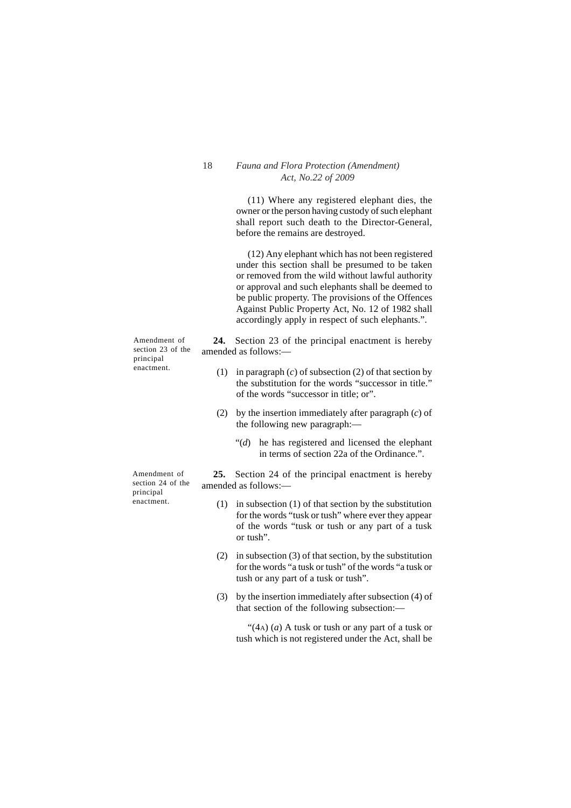(11) Where any registered elephant dies, the owner or the person having custody of such elephant shall report such death to the Director-General, before the remains are destroyed.

(12) Any elephant which has not been registered under this section shall be presumed to be taken or removed from the wild without lawful authority or approval and such elephants shall be deemed to be public property. The provisions of the Offences Against Public Property Act, No. 12 of 1982 shall accordingly apply in respect of such elephants.".

Amendment of section 23 of the principal enactment.

**24.** Section 23 of the principal enactment is hereby amended as follows:—

- (1) in paragraph (*c*) of subsection (2) of that section by the substitution for the words "successor in title." of the words "successor in title; or".
- (2) by the insertion immediately after paragraph (*c*) of the following new paragraph:—
	- "(*d*) he has registered and licensed the elephant in terms of section 22a of the Ordinance.".

Amendment of section 24 of the principal enactment.

**25.** Section 24 of the principal enactment is hereby amended as follows:—

- (1) in subsection (1) of that section by the substitution for the words "tusk or tush" where ever they appear of the words "tusk or tush or any part of a tusk or tush".
- (2) in subsection (3) of that section, by the substitution for the words "a tusk or tush" of the words "a tusk or tush or any part of a tusk or tush".
- (3) by the insertion immediately after subsection (4) of that section of the following subsection:—

"(4A) (*a*) A tusk or tush or any part of a tusk or tush which is not registered under the Act, shall be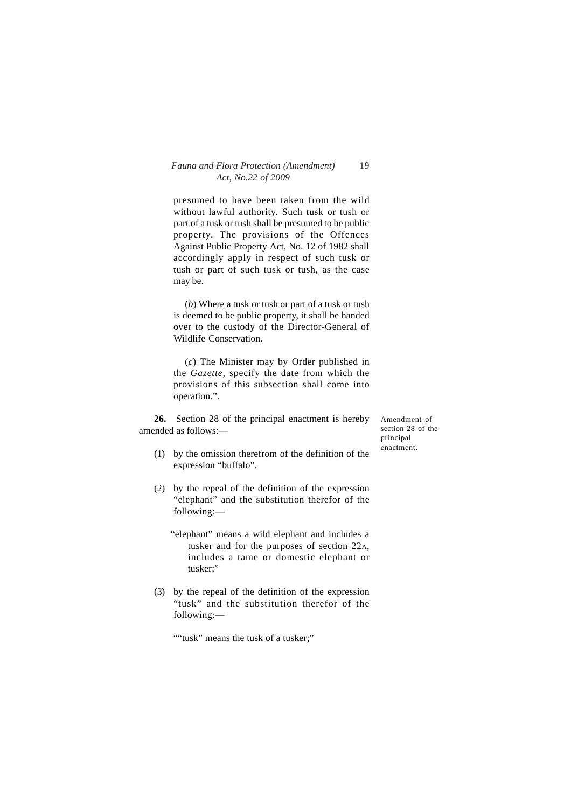presumed to have been taken from the wild without lawful authority. Such tusk or tush or part of a tusk or tush shall be presumed to be public property. The provisions of the Offences Against Public Property Act, No. 12 of 1982 shall accordingly apply in respect of such tusk or tush or part of such tusk or tush, as the case may be.

(*b*) Where a tusk or tush or part of a tusk or tush is deemed to be public property, it shall be handed over to the custody of the Director-General of Wildlife Conservation.

(*c*) The Minister may by Order published in the *Gazette,* specify the date from which the provisions of this subsection shall come into operation.".

**26.** Section 28 of the principal enactment is hereby amended as follows:—

Amendment of section 28 of the principal enactment.

- (1) by the omission therefrom of the definition of the expression "buffalo".
- (2) by the repeal of the definition of the expression "elephant" and the substitution therefor of the following:—
	- "elephant" means a wild elephant and includes a tusker and for the purposes of section 22A, includes a tame or domestic elephant or tusker;"
- (3) by the repeal of the definition of the expression "tusk" and the substitution therefor of the following:—

""tusk" means the tusk of a tusker;"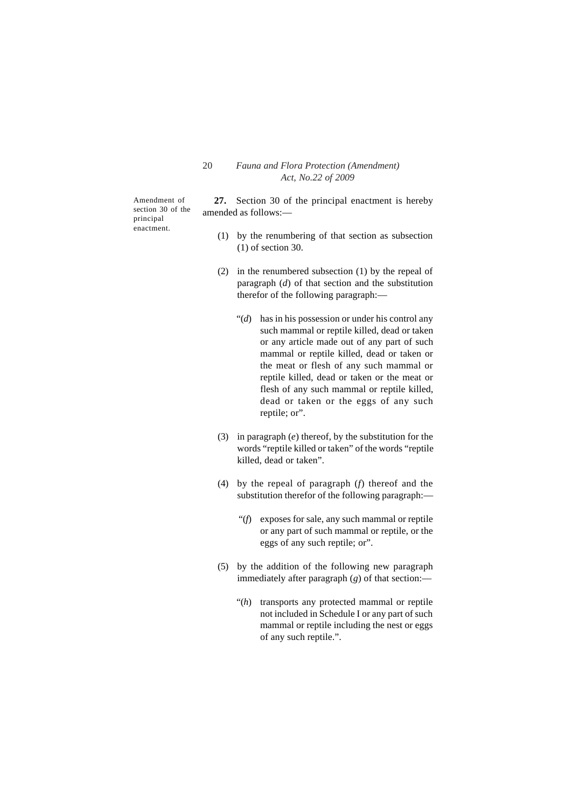Amendment of section 30 of the principal enactment.

**27.** Section 30 of the principal enactment is hereby amended as follows:—

- (1) by the renumbering of that section as subsection (1) of section 30.
- (2) in the renumbered subsection (1) by the repeal of paragraph (*d*) of that section and the substitution therefor of the following paragraph:—
	- "(*d*) has in his possession or under his control any such mammal or reptile killed, dead or taken or any article made out of any part of such mammal or reptile killed, dead or taken or the meat or flesh of any such mammal or reptile killed, dead or taken or the meat or flesh of any such mammal or reptile killed, dead or taken or the eggs of any such reptile; or".
- (3) in paragraph (*e*) thereof, by the substitution for the words "reptile killed or taken" of the words "reptile killed, dead or taken".
- (4) by the repeal of paragraph (*f*) thereof and the substitution therefor of the following paragraph:—
	- "(*f*) exposes for sale, any such mammal or reptile or any part of such mammal or reptile, or the eggs of any such reptile; or".
- (5) by the addition of the following new paragraph immediately after paragraph (*g*) of that section:—
	- "(*h*) transports any protected mammal or reptile not included in Schedule I or any part of such mammal or reptile including the nest or eggs of any such reptile.".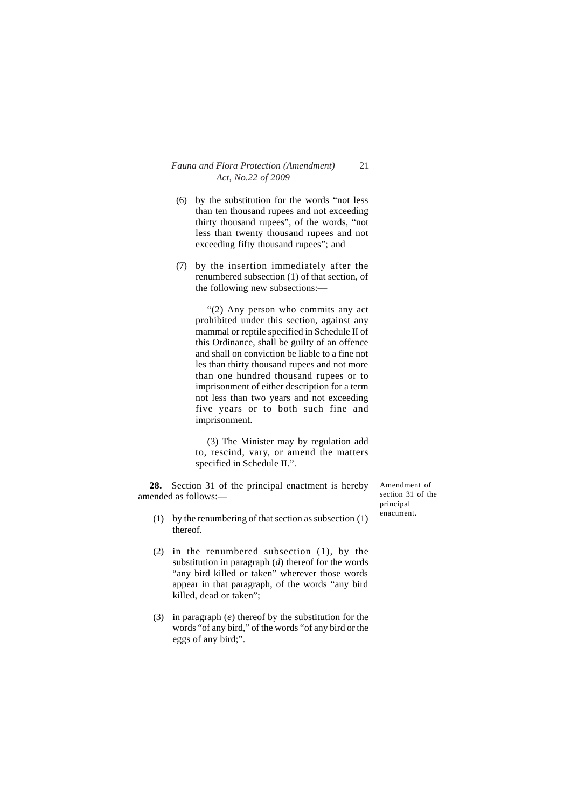- (6) by the substitution for the words "not less than ten thousand rupees and not exceeding thirty thousand rupees", of the words, "not less than twenty thousand rupees and not exceeding fifty thousand rupees"; and
- (7) by the insertion immediately after the renumbered subsection (1) of that section, of the following new subsections:—

"(2) Any person who commits any act prohibited under this section, against any mammal or reptile specified in Schedule II of this Ordinance, shall be guilty of an offence and shall on conviction be liable to a fine not les than thirty thousand rupees and not more than one hundred thousand rupees or to imprisonment of either description for a term not less than two years and not exceeding five years or to both such fine and imprisonment.

(3) The Minister may by regulation add to, rescind, vary, or amend the matters specified in Schedule II.".

**28.** Section 31 of the principal enactment is hereby amended as follows:—

- (1) by the renumbering of that section as subsection (1) thereof.
- (2) in the renumbered subsection (1), by the substitution in paragraph (*d*) thereof for the words "any bird killed or taken" wherever those words appear in that paragraph, of the words "any bird killed, dead or taken";
- (3) in paragraph (*e*) thereof by the substitution for the words "of any bird," of the words "of any bird or the eggs of any bird;".

Amendment of section 31 of the principal enactment.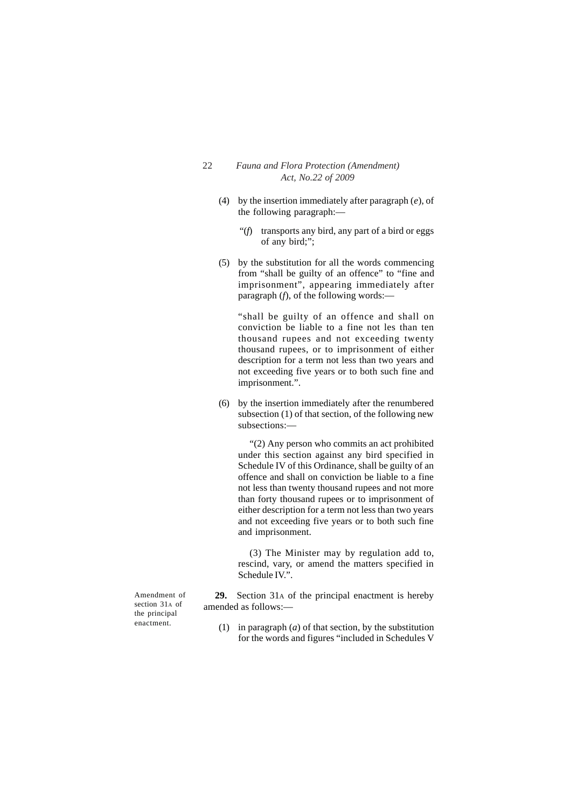- (4) by the insertion immediately after paragraph (*e*), of the following paragraph:—
	- "(*f*) transports any bird, any part of a bird or eggs of any bird;";
- (5) by the substitution for all the words commencing from "shall be guilty of an offence" to "fine and imprisonment", appearing immediately after paragraph (*f*), of the following words:—

"shall be guilty of an offence and shall on conviction be liable to a fine not les than ten thousand rupees and not exceeding twenty thousand rupees, or to imprisonment of either description for a term not less than two years and not exceeding five years or to both such fine and imprisonment.".

(6) by the insertion immediately after the renumbered subsection (1) of that section, of the following new subsections:—

"(2) Any person who commits an act prohibited under this section against any bird specified in Schedule IV of this Ordinance, shall be guilty of an offence and shall on conviction be liable to a fine not less than twenty thousand rupees and not more than forty thousand rupees or to imprisonment of either description for a term not less than two years and not exceeding five years or to both such fine and imprisonment.

(3) The Minister may by regulation add to, rescind, vary, or amend the matters specified in Schedule IV<sup>"</sup>

**29.** Section 31A of the principal enactment is hereby amended as follows:—

(1) in paragraph (*a*) of that section, by the substitution for the words and figures "included in Schedules V

Amendment of section 31A of the principal enactment.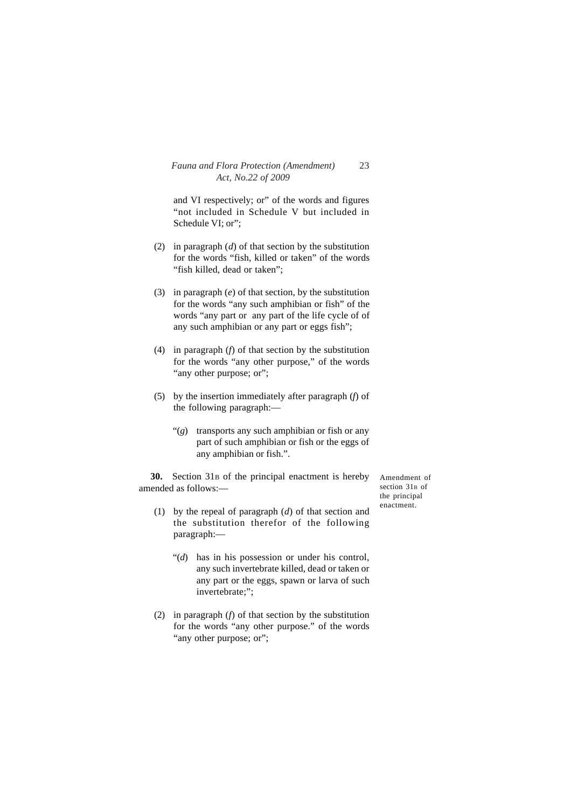and VI respectively; or" of the words and figures "not included in Schedule V but included in Schedule VI; or";

- (2) in paragraph (*d*) of that section by the substitution for the words "fish, killed or taken" of the words "fish killed, dead or taken";
- (3) in paragraph (*e*) of that section, by the substitution for the words "any such amphibian or fish" of the words "any part or any part of the life cycle of of any such amphibian or any part or eggs fish";
- (4) in paragraph (*f*) of that section by the substitution for the words "any other purpose," of the words "any other purpose; or";
- (5) by the insertion immediately after paragraph (*f*) of the following paragraph:—
	- "(*g*) transports any such amphibian or fish or any part of such amphibian or fish or the eggs of any amphibian or fish.".

**30.** Section 31B of the principal enactment is hereby amended as follows:—

Amendment of section 31B of the principal enactment.

- (1) by the repeal of paragraph (*d*) of that section and the substitution therefor of the following paragraph:—
	- "(*d*) has in his possession or under his control, any such invertebrate killed, dead or taken or any part or the eggs, spawn or larva of such invertebrate;";
- (2) in paragraph (*f*) of that section by the substitution for the words "any other purpose." of the words "any other purpose; or";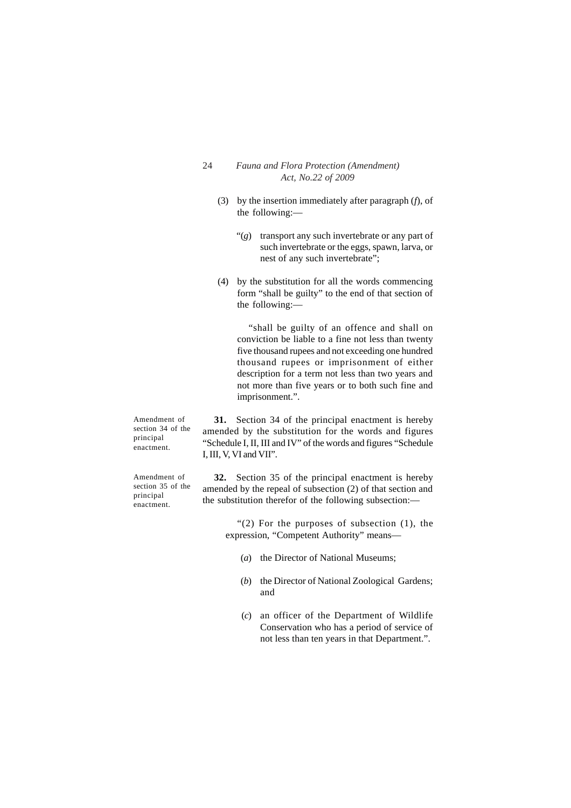- (3) by the insertion immediately after paragraph (*f*), of the following:—
	- "(*g*) transport any such invertebrate or any part of such invertebrate or the eggs, spawn, larva, or nest of any such invertebrate";
- (4) by the substitution for all the words commencing form "shall be guilty" to the end of that section of the following:—

"shall be guilty of an offence and shall on conviction be liable to a fine not less than twenty five thousand rupees and not exceeding one hundred thousand rupees or imprisonment of either description for a term not less than two years and not more than five years or to both such fine and imprisonment.".

Amendment of section 34 of the principal enactment.

Amendment of section 35 of the principal enactment.

**32.** Section 35 of the principal enactment is hereby amended by the repeal of subsection (2) of that section and

the substitution therefor of the following subsection:—

I, III, V, VI and VII".

**31.** Section 34 of the principal enactment is hereby amended by the substitution for the words and figures "Schedule I, II, III and IV" of the words and figures "Schedule

" $(2)$  For the purposes of subsection  $(1)$ , the expression, "Competent Authority" means—

- (*a*) the Director of National Museums;
- (*b*) the Director of National Zoological Gardens; and
- (*c*) an officer of the Department of Wildlife Conservation who has a period of service of not less than ten years in that Department.".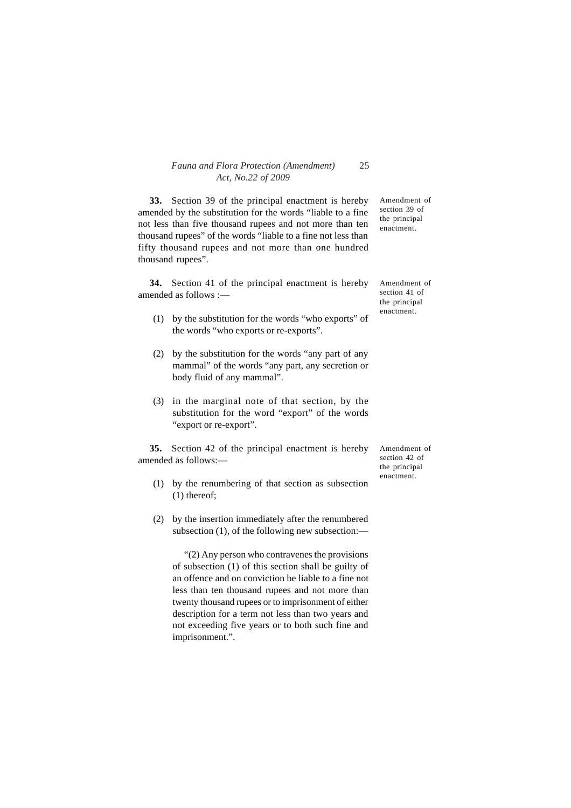**33.** Section 39 of the principal enactment is hereby amended by the substitution for the words "liable to a fine not less than five thousand rupees and not more than ten thousand rupees" of the words "liable to a fine not less than fifty thousand rupees and not more than one hundred thousand rupees".

**34.** Section 41 of the principal enactment is hereby amended as follows :—

- (1) by the substitution for the words "who exports" of the words "who exports or re-exports".
- (2) by the substitution for the words "any part of any mammal" of the words "any part, any secretion or body fluid of any mammal".
- (3) in the marginal note of that section, by the substitution for the word "export" of the words "export or re-export".

**35.** Section 42 of the principal enactment is hereby amended as follows:—

- (1) by the renumbering of that section as subsection (1) thereof;
- (2) by the insertion immediately after the renumbered subsection (1), of the following new subsection:—

"(2) Any person who contravenes the provisions of subsection (1) of this section shall be guilty of an offence and on conviction be liable to a fine not less than ten thousand rupees and not more than twenty thousand rupees or to imprisonment of either description for a term not less than two years and not exceeding five years or to both such fine and imprisonment.".

Amendment of section 39 of the principal enactment.

Amendment of section 41 of the principal enactment.

Amendment of section 42 of the principal enactment.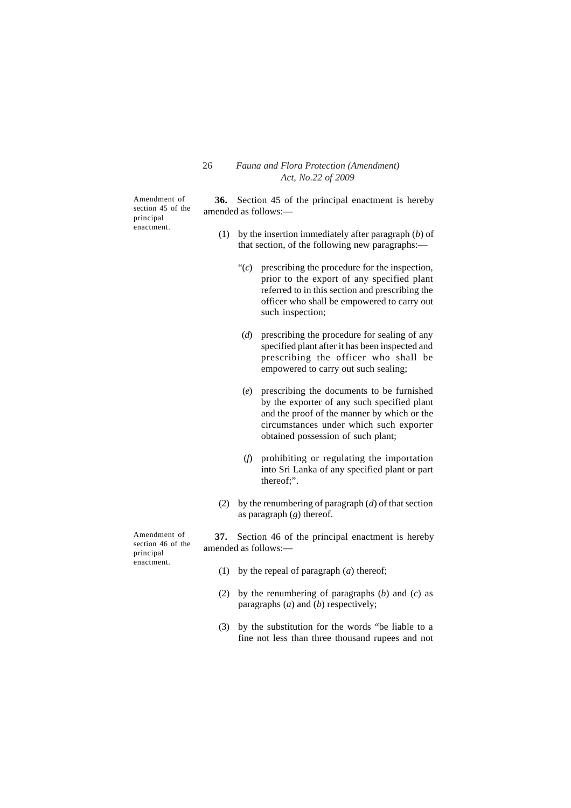Amendment of section 45 of the principal enactment.

**36.** Section 45 of the principal enactment is hereby amended as follows:—

- (1) by the insertion immediately after paragraph (*b*) of that section, of the following new paragraphs:—
	- "(*c*) prescribing the procedure for the inspection, prior to the export of any specified plant referred to in this section and prescribing the officer who shall be empowered to carry out such inspection;
	- (*d*) prescribing the procedure for sealing of any specified plant after it has been inspected and prescribing the officer who shall be empowered to carry out such sealing;
	- (*e*) prescribing the documents to be furnished by the exporter of any such specified plant and the proof of the manner by which or the circumstances under which such exporter obtained possession of such plant;
	- (*f*) prohibiting or regulating the importation into Sri Lanka of any specified plant or part thereof;".
- (2) by the renumbering of paragraph (*d*) of that section as paragraph (*g*) thereof.

**37.** Section 46 of the principal enactment is hereby amended as follows:—

- (1) by the repeal of paragraph (*a*) thereof;
- (2) by the renumbering of paragraphs (*b*) and (*c*) as paragraphs (*a*) and (*b*) respectively;
- (3) by the substitution for the words "be liable to a fine not less than three thousand rupees and not

Amendment of section 46 of the principal enactment.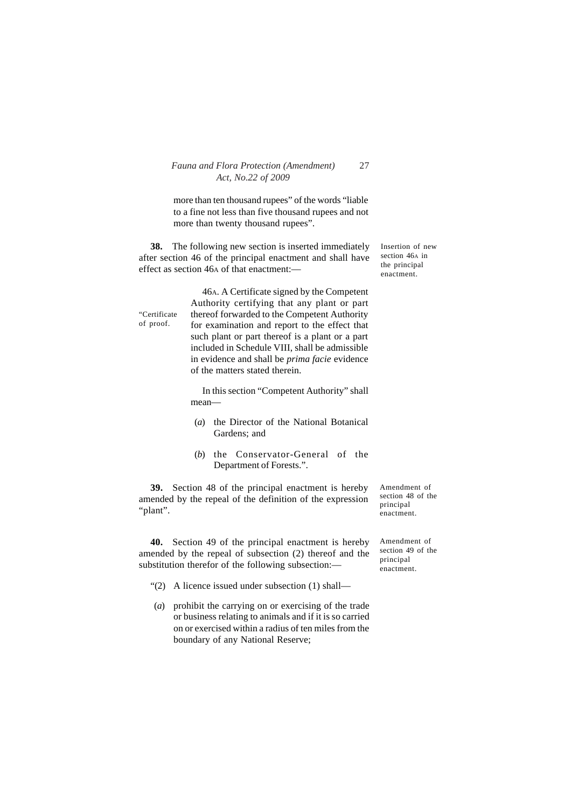more than ten thousand rupees" of the words "liable to a fine not less than five thousand rupees and not more than twenty thousand rupees".

**38.** The following new section is inserted immediately after section 46 of the principal enactment and shall have effect as section 46A of that enactment:—

"Certificate of proof.

46A. A Certificate signed by the Competent Authority certifying that any plant or part thereof forwarded to the Competent Authority for examination and report to the effect that such plant or part thereof is a plant or a part included in Schedule VIII, shall be admissible in evidence and shall be *prima facie* evidence of the matters stated therein.

In this section "Competent Authority" shall mean—

- (*a*) the Director of the National Botanical Gardens; and
- (*b*) the Conservator-General of the Department of Forests.".

**39.** Section 48 of the principal enactment is hereby amended by the repeal of the definition of the expression "plant".

**40.** Section 49 of the principal enactment is hereby amended by the repeal of subsection (2) thereof and the substitution therefor of the following subsection:—

"(2) A licence issued under subsection (1) shall—

(*a*) prohibit the carrying on or exercising of the trade or business relating to animals and if it is so carried on or exercised within a radius of ten miles from the boundary of any National Reserve;

Amendment of section 48 of the principal enactment.

Amendment of section 49 of the principal enactment.

Insertion of new section 46A in the principal enactment.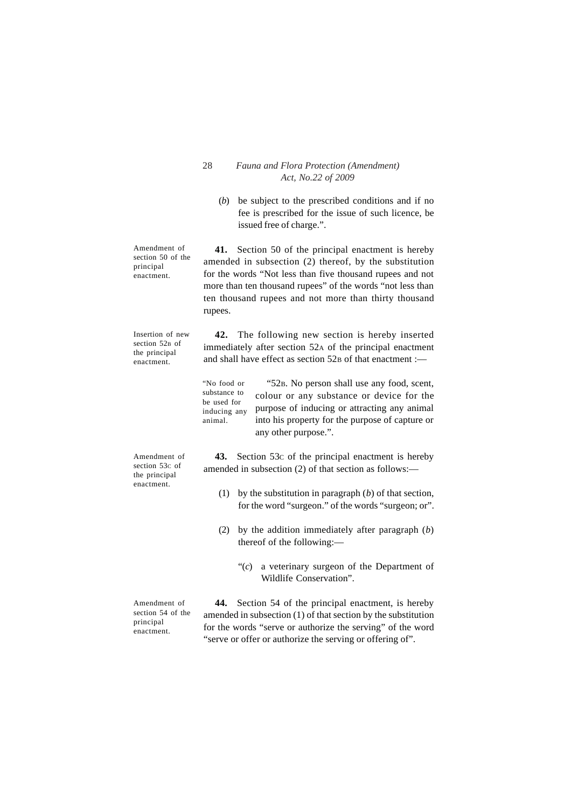(*b*) be subject to the prescribed conditions and if no fee is prescribed for the issue of such licence, be issued free of charge.".

**41.** Section 50 of the principal enactment is hereby amended in subsection (2) thereof, by the substitution for the words "Not less than five thousand rupees and not more than ten thousand rupees" of the words "not less than ten thousand rupees and not more than thirty thousand rupees. **42.** The following new section is hereby inserted immediately after section 52A of the principal enactment and shall have effect as section 52B of that enactment :-"52B. No person shall use any food, scent, colour or any substance or device for the purpose of inducing or attracting any animal into his property for the purpose of capture or any other purpose.". **43.** Section 53C of the principal enactment is hereby amended in subsection (2) of that section as follows:— (1) by the substitution in paragraph (*b*) of that section, for the word "surgeon." of the words "surgeon; or". (2) by the addition immediately after paragraph (*b*) thereof of the following:— "(*c*) a veterinary surgeon of the Department of Wildlife Conservation". **44.** Section 54 of the principal enactment, is hereby amended in subsection (1) of that section by the substitution for the words "serve or authorize the serving" of the word Amendment of section 50 of the principal enactment. Insertion of new section 52<sub>B</sub> of the principal enactment. Amendment of section 53C of the principal enactment. Amendment of section 54 of the principal "No food or substance to be used for inducing any animal.

"serve or offer or authorize the serving or offering of". enactment.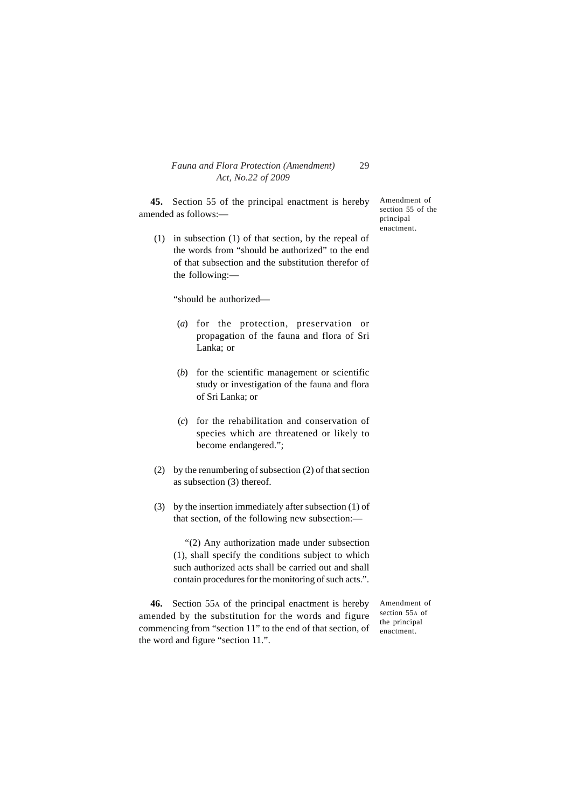**45.** Section 55 of the principal enactment is hereby amended as follows:—

(1) in subsection (1) of that section, by the repeal of the words from "should be authorized" to the end of that subsection and the substitution therefor of the following:—

"should be authorized—

- (*a*) for the protection, preservation or propagation of the fauna and flora of Sri Lanka; or
- (*b*) for the scientific management or scientific study or investigation of the fauna and flora of Sri Lanka; or
- (*c*) for the rehabilitation and conservation of species which are threatened or likely to become endangered.";
- (2) by the renumbering of subsection (2) of that section as subsection (3) thereof.
- (3) by the insertion immediately after subsection (1) of that section, of the following new subsection:—

"(2) Any authorization made under subsection (1), shall specify the conditions subject to which such authorized acts shall be carried out and shall contain procedures for the monitoring of such acts.".

**46.** Section 55A of the principal enactment is hereby amended by the substitution for the words and figure commencing from "section 11" to the end of that section, of the word and figure "section 11.".

Amendment of section 55A of the principal enactment.

Amendment of section 55 of the principal enactment.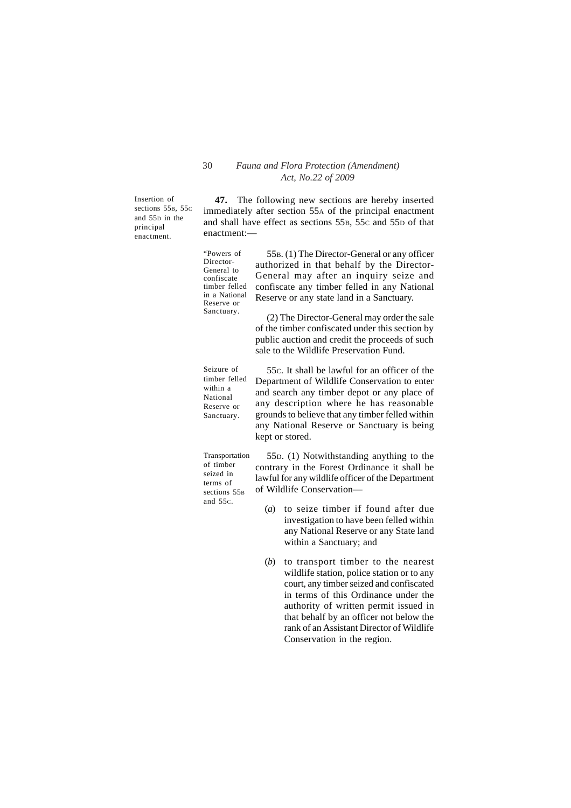Insertion of sections  $55B$ ,  $55C$ and 55D in the principal enactment.

**47.** The following new sections are hereby inserted immediately after section 55A of the principal enactment and shall have effect as sections 55B, 55C and 55D of that enactment:—

55B. (1) The Director-General or any officer authorized in that behalf by the Director-General may after an inquiry seize and confiscate any timber felled in any National Reserve or any state land in a Sanctuary. "Powers of Director-General to confiscate timber felled in a National Reserve or Sanctuary.

(2) The Director-General may order the sale of the timber confiscated under this section by public auction and credit the proceeds of such sale to the Wildlife Preservation Fund.

Seizure of timber felled within a National Reserve or Sanctuary.

Transportation of timber seized in terms of sections 55<sub>B</sub> and 55C.

55C. It shall be lawful for an officer of the Department of Wildlife Conservation to enter and search any timber depot or any place of any description where he has reasonable grounds to believe that any timber felled within any National Reserve or Sanctuary is being kept or stored.

55D. (1) Notwithstanding anything to the contrary in the Forest Ordinance it shall be lawful for any wildlife officer of the Department of Wildlife Conservation—

- (*a*) to seize timber if found after due investigation to have been felled within any National Reserve or any State land within a Sanctuary; and
- (*b*) to transport timber to the nearest wildlife station, police station or to any court, any timber seized and confiscated in terms of this Ordinance under the authority of written permit issued in that behalf by an officer not below the rank of an Assistant Director of Wildlife Conservation in the region.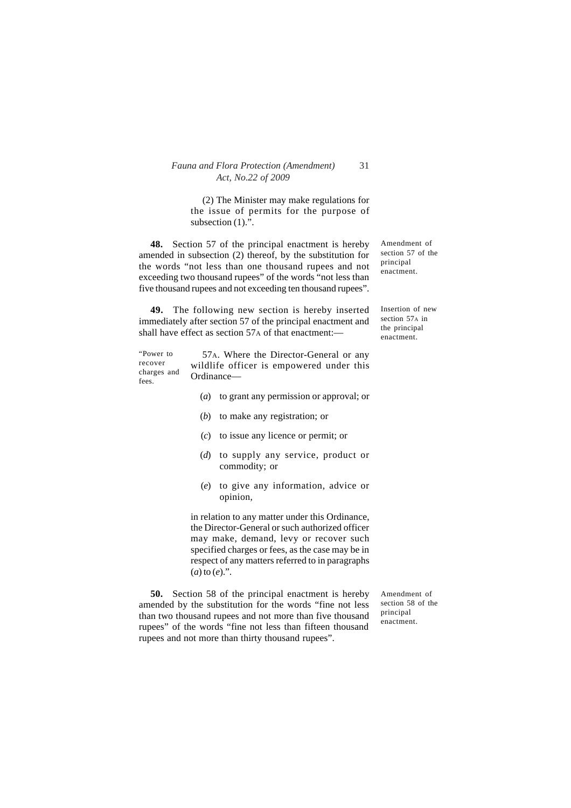(2) The Minister may make regulations for the issue of permits for the purpose of subsection  $(1)$ .".

**48.** Section 57 of the principal enactment is hereby amended in subsection (2) thereof, by the substitution for the words "not less than one thousand rupees and not exceeding two thousand rupees" of the words "not less than five thousand rupees and not exceeding ten thousand rupees".

**49.** The following new section is hereby inserted immediately after section 57 of the principal enactment and shall have effect as section  $57_A$  of that enactment:

| "Power to"<br>recover<br>charges and<br>fees. |                  | 57 <sub>A</sub> . Where the Director-General or any<br>wildlife officer is empowered under this<br>Ordinance— |  |
|-----------------------------------------------|------------------|---------------------------------------------------------------------------------------------------------------|--|
|                                               | $\left(a\right)$ | to grant any permission or approval; or                                                                       |  |
|                                               |                  | $(b)$ to make any registration; or                                                                            |  |
|                                               |                  | $(c)$ to issue any licence or permit; or                                                                      |  |
|                                               |                  | (d) to supply any service, product or<br>commodity; or                                                        |  |
|                                               |                  | (e) to give any information, advice or<br>opinion,                                                            |  |

in relation to any matter under this Ordinance, the Director-General or such authorized officer may make, demand, levy or recover such specified charges or fees, as the case may be in respect of any matters referred to in paragraphs  $(a)$  to  $(e)$ .".

**50.** Section 58 of the principal enactment is hereby amended by the substitution for the words "fine not less than two thousand rupees and not more than five thousand rupees" of the words "fine not less than fifteen thousand rupees and not more than thirty thousand rupees".

Amendment of section 58 of the principal enactment.

Amendment of section 57 of the principal enactment.

Insertion of new section 57A in the principal enactment.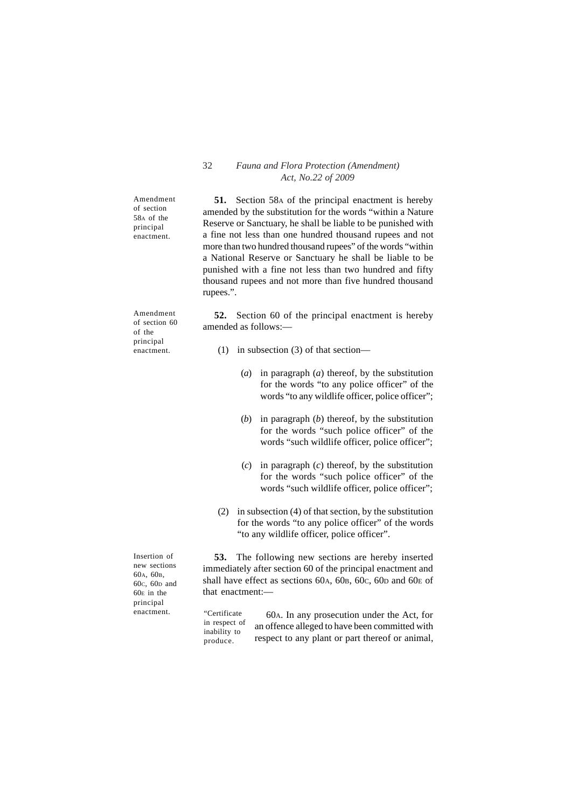Amendment of section 58A of the principal enactment.

**51.** Section 58A of the principal enactment is hereby amended by the substitution for the words "within a Nature Reserve or Sanctuary, he shall be liable to be punished with a fine not less than one hundred thousand rupees and not more than two hundred thousand rupees" of the words "within a National Reserve or Sanctuary he shall be liable to be punished with a fine not less than two hundred and fifty thousand rupees and not more than five hundred thousand rupees.".

Amendment of section 60 of the principal enactment.

**52.** Section 60 of the principal enactment is hereby amended as follows:—

- (1) in subsection (3) of that section—
	- (*a*) in paragraph (*a*) thereof, by the substitution for the words "to any police officer" of the words "to any wildlife officer, police officer";
	- (*b*) in paragraph (*b*) thereof, by the substitution for the words "such police officer" of the words "such wildlife officer, police officer";
	- (*c*) in paragraph (*c*) thereof, by the substitution for the words "such police officer" of the words "such wildlife officer, police officer";
- (2) in subsection (4) of that section, by the substitution for the words "to any police officer" of the words "to any wildlife officer, police officer".

**53.** The following new sections are hereby inserted immediately after section 60 of the principal enactment and shall have effect as sections 60A, 60B, 60c, 60D and 60E of that enactment:—

60A. In any prosecution under the Act, for an offence alleged to have been committed with respect to any plant or part thereof or animal, in respect of inability to produce.

Insertion of new sections 60A, 60B, 60C, 60D and 60E in the principal enactment. "Certificate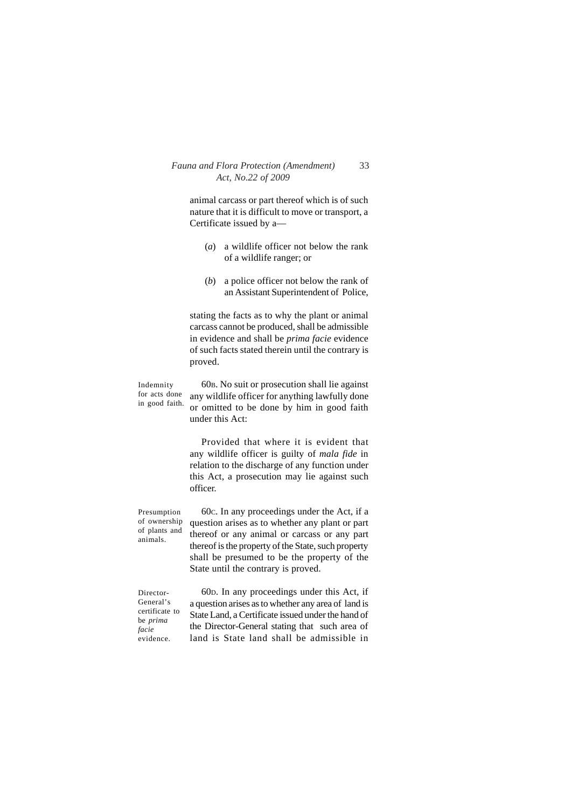animal carcass or part thereof which is of such nature that it is difficult to move or transport, a Certificate issued by a—

- (*a*) a wildlife officer not below the rank of a wildlife ranger; or
- (*b*) a police officer not below the rank of an Assistant Superintendent of Police,

stating the facts as to why the plant or animal carcass cannot be produced, shall be admissible in evidence and shall be *prima facie* evidence of such facts stated therein until the contrary is proved.

60B. No suit or prosecution shall lie against any wildlife officer for anything lawfully done or omitted to be done by him in good faith under this Act: Indemnity for acts done in good faith.

> Provided that where it is evident that any wildlife officer is guilty of *mala fide* in relation to the discharge of any function under this Act, a prosecution may lie against such officer.

Presumption of ownership of plants and animals.

60C. In any proceedings under the Act, if a question arises as to whether any plant or part thereof or any animal or carcass or any part thereof is the property of the State, such property shall be presumed to be the property of the State until the contrary is proved.

land is State land shall be admissible in Director-General's certificate to be *prima facie* evidence.

60D. In any proceedings under this Act, if a question arises as to whether any area of land is State Land, a Certificate issued under the hand of the Director-General stating that such area of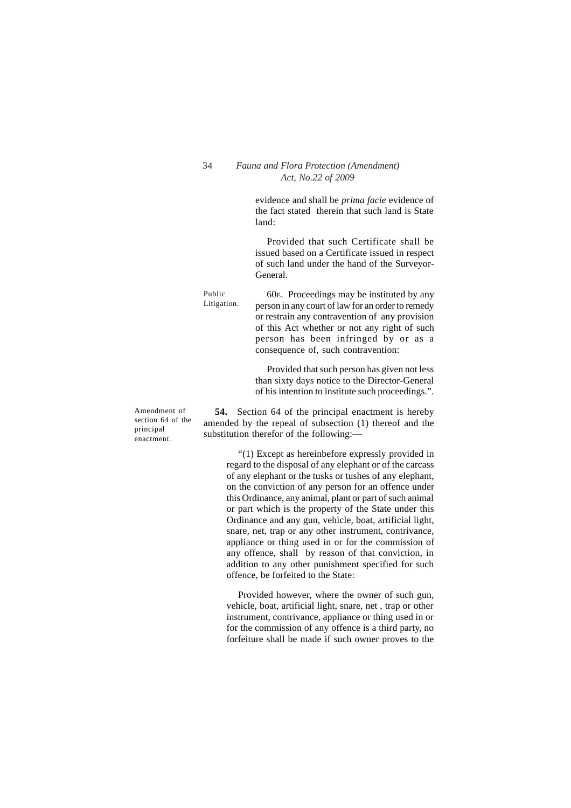evidence and shall be *prima facie* evidence of the fact stated therein that such land is State land:

Provided that such Certificate shall be issued based on a Certificate issued in respect of such land under the hand of the Surveyor-General.

60E. Proceedings may be instituted by any person in any court of law for an order to remedy or restrain any contravention of any provision of this Act whether or not any right of such person has been infringed by or as a consequence of, such contravention: Public Litigation.

> Provided that such person has given not less than sixty days notice to the Director-General of his intention to institute such proceedings.".

**54.** Section 64 of the principal enactment is hereby amended by the repeal of subsection (1) thereof and the substitution therefor of the following:—

> "(1) Except as hereinbefore expressly provided in regard to the disposal of any elephant or of the carcass of any elephant or the tusks or tushes of any elephant, on the conviction of any person for an offence under this Ordinance, any animal, plant or part of such animal or part which is the property of the State under this Ordinance and any gun, vehicle, boat, artificial light, snare, net, trap or any other instrument, contrivance, appliance or thing used in or for the commission of any offence, shall by reason of that conviction, in addition to any other punishment specified for such offence, be forfeited to the State:

> Provided however, where the owner of such gun, vehicle, boat, artificial light, snare, net , trap or other instrument, contrivance, appliance or thing used in or for the commission of any offence is a third party, no forfeiture shall be made if such owner proves to the

Amendment of section 64 of the principal enactment.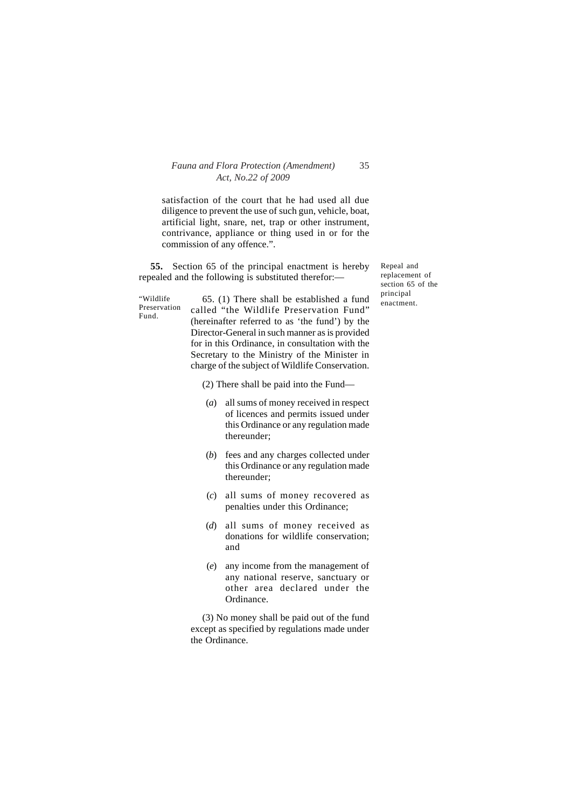satisfaction of the court that he had used all due diligence to prevent the use of such gun, vehicle, boat, artificial light, snare, net, trap or other instrument, contrivance, appliance or thing used in or for the commission of any offence.".

**55.** Section 65 of the principal enactment is hereby repealed and the following is substituted therefor:—

"Wildlife Preservation Fund.

65. (1) There shall be established a fund called "the Wildlife Preservation Fund" (hereinafter referred to as 'the fund') by the Director-General in such manner as is provided for in this Ordinance, in consultation with the Secretary to the Ministry of the Minister in charge of the subject of Wildlife Conservation.

(2) There shall be paid into the Fund—

- (*a*) all sums of money received in respect of licences and permits issued under this Ordinance or any regulation made thereunder;
- (*b*) fees and any charges collected under this Ordinance or any regulation made thereunder;
- (*c*) all sums of money recovered as penalties under this Ordinance;
- (*d*) all sums of money received as donations for wildlife conservation; and
- (*e*) any income from the management of any national reserve, sanctuary or other area declared under the Ordinance.

(3) No money shall be paid out of the fund except as specified by regulations made under the Ordinance.

Repeal and replacement of section 65 of the principal enactment.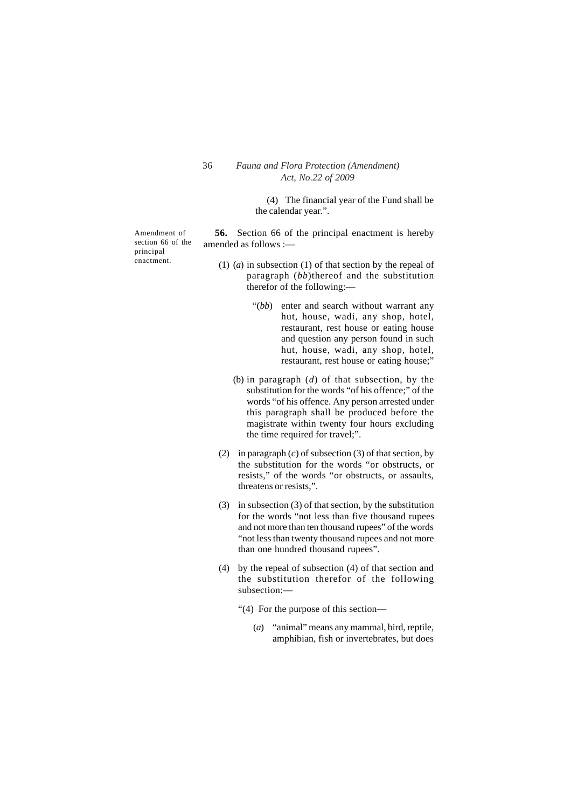(4) The financial year of the Fund shall be the calendar year.".

Amendment of section 66 of the principal enactment.

**56.** Section 66 of the principal enactment is hereby amended as follows :—

- (1) (*a*) in subsection (1) of that section by the repeal of paragraph (*bb*)thereof and the substitution therefor of the following:—
	- "(*bb*) enter and search without warrant any hut, house, wadi, any shop, hotel, restaurant, rest house or eating house and question any person found in such hut, house, wadi, any shop, hotel, restaurant, rest house or eating house;"
	- (b) in paragraph (*d*) of that subsection, by the substitution for the words "of his offence;" of the words "of his offence. Any person arrested under this paragraph shall be produced before the magistrate within twenty four hours excluding the time required for travel;".
- (2) in paragraph (*c*) of subsection (3) of that section, by the substitution for the words "or obstructs, or resists," of the words "or obstructs, or assaults, threatens or resists,".
- (3) in subsection (3) of that section, by the substitution for the words "not less than five thousand rupees and not more than ten thousand rupees" of the words "not less than twenty thousand rupees and not more than one hundred thousand rupees".
- (4) by the repeal of subsection (4) of that section and the substitution therefor of the following subsection:—
	- "(4) For the purpose of this section—
		- (*a*) "animal" means any mammal, bird, reptile, amphibian, fish or invertebrates, but does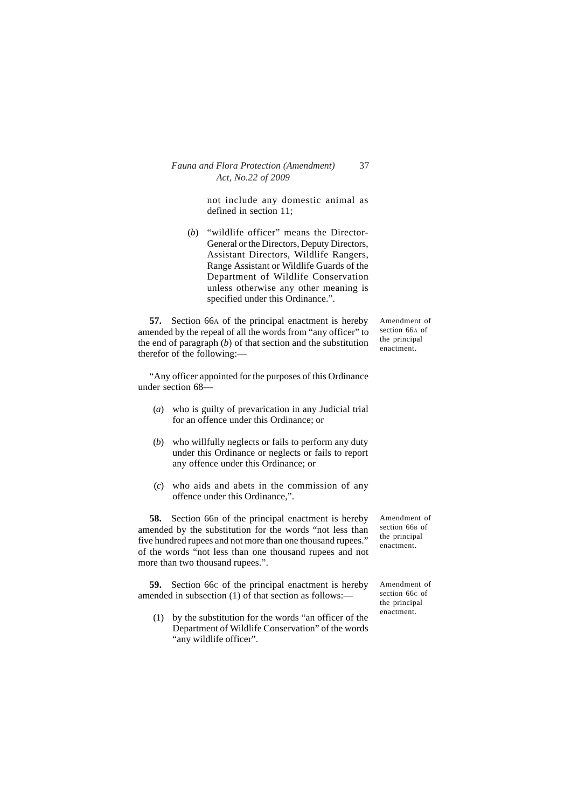not include any domestic animal as defined in section 11;

(*b*) "wildlife officer" means the Director-General or the Directors, Deputy Directors, Assistant Directors, Wildlife Rangers, Range Assistant or Wildlife Guards of the Department of Wildlife Conservation unless otherwise any other meaning is specified under this Ordinance.".

**57.** Section 66A of the principal enactment is hereby amended by the repeal of all the words from "any officer" to the end of paragraph (*b*) of that section and the substitution therefor of the following:—

Amendment of section 66A of the principal enactment.

"Any officer appointed for the purposes of this Ordinance under section 68—

- (*a*) who is guilty of prevarication in any Judicial trial for an offence under this Ordinance; or
- (*b*) who willfully neglects or fails to perform any duty under this Ordinance or neglects or fails to report any offence under this Ordinance; or
- (*c*) who aids and abets in the commission of any offence under this Ordinance,".

58. Section 66<sub>B</sub> of the principal enactment is hereby amended by the substitution for the words "not less than five hundred rupees and not more than one thousand rupees." of the words "not less than one thousand rupees and not more than two thousand rupees.".

**59.** Section 66c of the principal enactment is hereby amended in subsection (1) of that section as follows:—

(1) by the substitution for the words "an officer of the Department of Wildlife Conservation" of the words "any wildlife officer".

Amendment of section 66<sub>B</sub> of the principal enactment.

Amendment of section 66c of the principal enactment.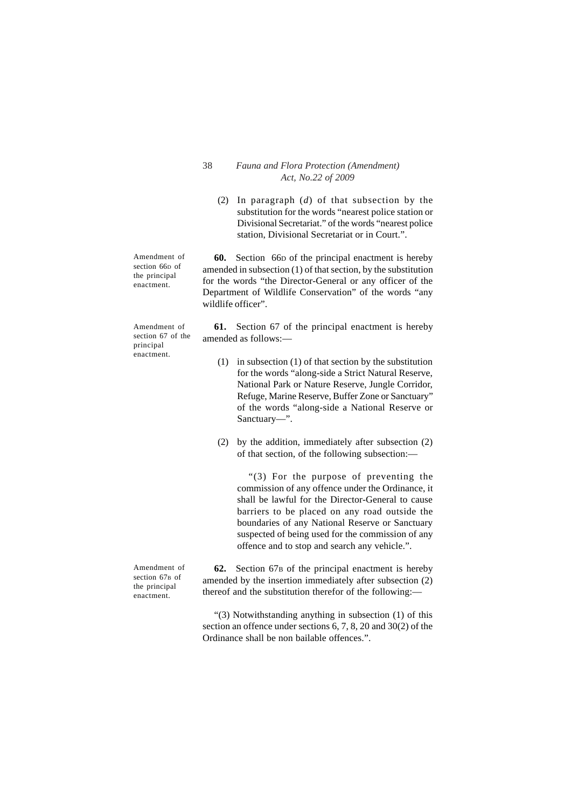(2) In paragraph (*d*) of that subsection by the substitution for the words "nearest police station or Divisional Secretariat." of the words "nearest police station, Divisional Secretariat or in Court.".

**60.** Section 66D of the principal enactment is hereby amended in subsection (1) of that section, by the substitution for the words "the Director-General or any officer of the Department of Wildlife Conservation" of the words "any wildlife officer".

**61.** Section 67 of the principal enactment is hereby amended as follows:—

- (1) in subsection (1) of that section by the substitution for the words "along-side a Strict Natural Reserve, National Park or Nature Reserve, Jungle Corridor, Refuge, Marine Reserve, Buffer Zone or Sanctuary" of the words "along-side a National Reserve or Sanctuary—".
- (2) by the addition, immediately after subsection (2) of that section, of the following subsection:—

"(3) For the purpose of preventing the commission of any offence under the Ordinance, it shall be lawful for the Director-General to cause barriers to be placed on any road outside the boundaries of any National Reserve or Sanctuary suspected of being used for the commission of any offence and to stop and search any vehicle.".

**62.** Section 67B of the principal enactment is hereby amended by the insertion immediately after subsection (2) thereof and the substitution therefor of the following:—

"(3) Notwithstanding anything in subsection (1) of this section an offence under sections 6, 7, 8, 20 and 30(2) of the Ordinance shall be non bailable offences.".

Amendment of section 66D of the principal enactment.

Amendment of section 67 of the principal enactment.

Amendment of section 67<sub>B</sub> of the principal enactment.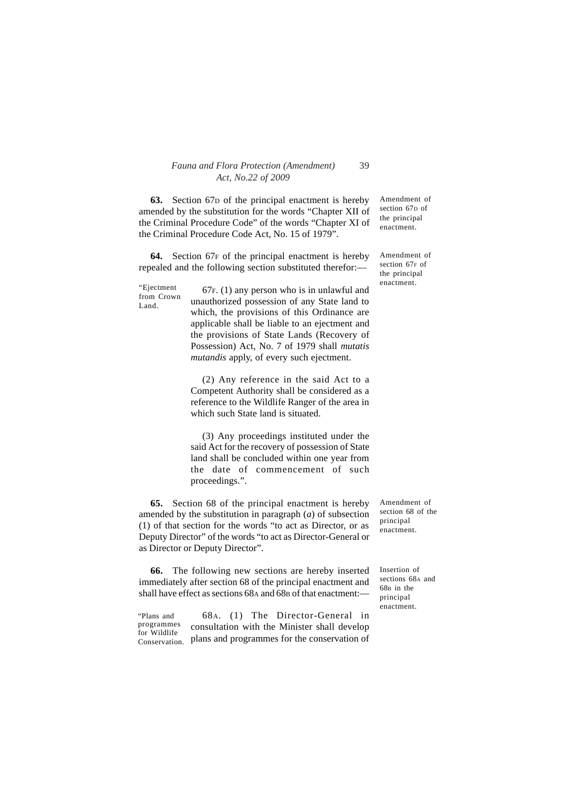**63.** Section 67D of the principal enactment is hereby amended by the substitution for the words "Chapter XII of the Criminal Procedure Code" of the words "Chapter XI of the Criminal Procedure Code Act, No. 15 of 1979".

**64.** Section 67F of the principal enactment is hereby repealed and the following section substituted therefor:—

from Crown Land.

enactment. "Ejectment 67F. (1) any person who is in unlawful and unauthorized possession of any State land to which, the provisions of this Ordinance are applicable shall be liable to an ejectment and the provisions of State Lands (Recovery of Possession) Act, No. 7 of 1979 shall *mutatis mutandis* apply, of every such ejectment.

> (2) Any reference in the said Act to a Competent Authority shall be considered as a reference to the Wildlife Ranger of the area in which such State land is situated.

> (3) Any proceedings instituted under the said Act for the recovery of possession of State land shall be concluded within one year from the date of commencement of such proceedings.".

**65.** Section 68 of the principal enactment is hereby amended by the substitution in paragraph (*a*) of subsection (1) of that section for the words "to act as Director, or as Deputy Director" of the words "to act as Director-General or as Director or Deputy Director".

**66.** The following new sections are hereby inserted immediately after section 68 of the principal enactment and shall have effect as sections 68A and 68B of that enactment:-

"Plans and programmes for Wildlife Conservation. 68A. (1) The Director-General in consultation with the Minister shall develop plans and programmes for the conservation of Amendment of section  $67<sub>D</sub>$  of the principal enactment.

Amendment of section 67F of the principal

Amendment of section 68 of the principal enactment.

Insertion of sections 68A and 68B in the principal enactment.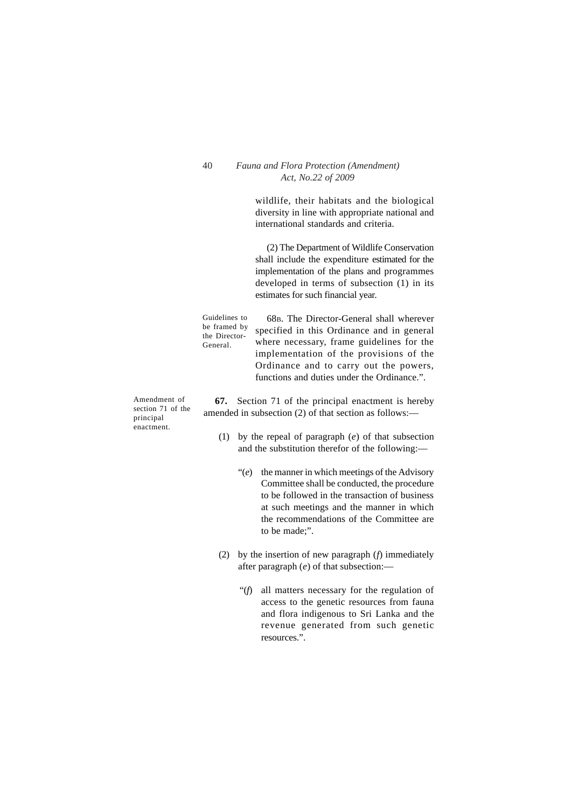wildlife, their habitats and the biological diversity in line with appropriate national and international standards and criteria.

(2) The Department of Wildlife Conservation shall include the expenditure estimated for the implementation of the plans and programmes developed in terms of subsection (1) in its estimates for such financial year.

Guidelines to be framed by the Director-General.

Amendment of section 71 of the principal enactment.

68B. The Director-General shall wherever specified in this Ordinance and in general where necessary, frame guidelines for the implementation of the provisions of the Ordinance and to carry out the powers, functions and duties under the Ordinance.".

**67.** Section 71 of the principal enactment is hereby amended in subsection (2) of that section as follows:—

- (1) by the repeal of paragraph (*e*) of that subsection and the substitution therefor of the following:—
	- $\mathcal{L}(e)$  the manner in which meetings of the Advisory Committee shall be conducted, the procedure to be followed in the transaction of business at such meetings and the manner in which the recommendations of the Committee are to be made;".
- (2) by the insertion of new paragraph (*f*) immediately after paragraph (*e*) of that subsection:—
	- "(*f*) all matters necessary for the regulation of access to the genetic resources from fauna and flora indigenous to Sri Lanka and the revenue generated from such genetic resources.".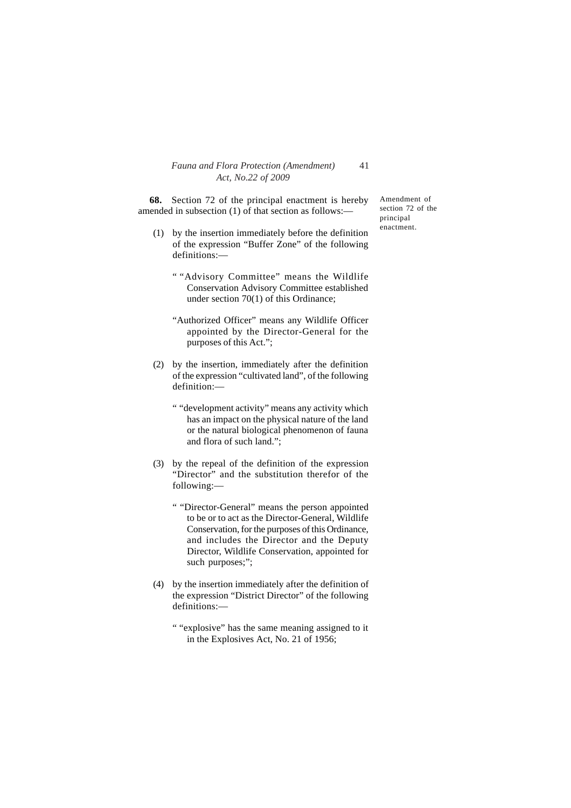**68.** Section 72 of the principal enactment is hereby amended in subsection (1) of that section as follows:—

- (1) by the insertion immediately before the definition of the expression "Buffer Zone" of the following definitions:—
	- " "Advisory Committee" means the Wildlife Conservation Advisory Committee established under section 70(1) of this Ordinance;
	- "Authorized Officer" means any Wildlife Officer appointed by the Director-General for the purposes of this Act.";
- (2) by the insertion, immediately after the definition of the expression "cultivated land", of the following definition:—
	- " "development activity" means any activity which has an impact on the physical nature of the land or the natural biological phenomenon of fauna and flora of such land.";
- (3) by the repeal of the definition of the expression "Director" and the substitution therefor of the following:—
	- " "Director-General" means the person appointed to be or to act as the Director-General, Wildlife Conservation, for the purposes of this Ordinance, and includes the Director and the Deputy Director, Wildlife Conservation, appointed for such purposes;";
- (4) by the insertion immediately after the definition of the expression "District Director" of the following definitions:—
	- " "explosive" has the same meaning assigned to it in the Explosives Act, No. 21 of 1956;

Amendment of section 72 of the principal enactment.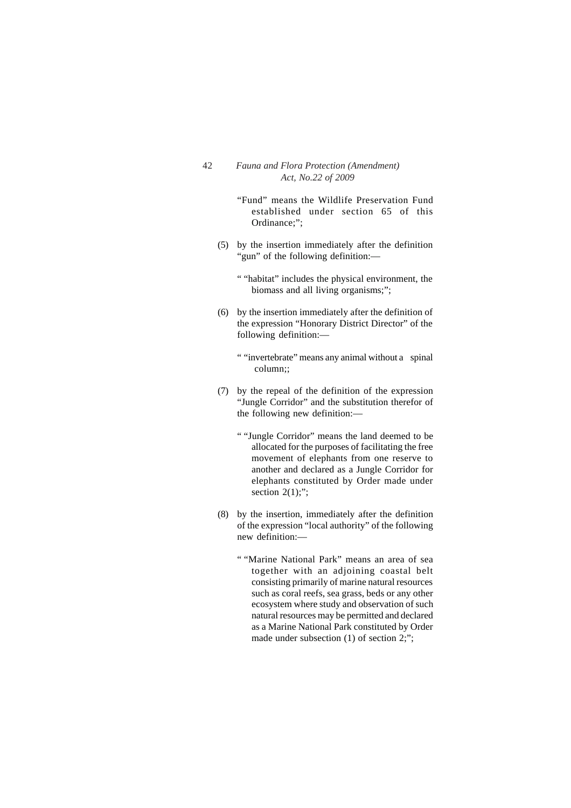- 42 *Fauna and Flora Protection (Amendment) Act, No.22 of 2009*
	- "Fund" means the Wildlife Preservation Fund established under section 65 of this Ordinance;";
	- (5) by the insertion immediately after the definition "gun" of the following definition:-
		- " "habitat" includes the physical environment, the biomass and all living organisms;":
	- (6) by the insertion immediately after the definition of the expression "Honorary District Director" of the following definition:—
		- " "invertebrate" means any animal without a spinal column;;
	- (7) by the repeal of the definition of the expression "Jungle Corridor" and the substitution therefor of the following new definition:—
		- " "Jungle Corridor" means the land deemed to be allocated for the purposes of facilitating the free movement of elephants from one reserve to another and declared as a Jungle Corridor for elephants constituted by Order made under section  $2(1)$ ;";
	- (8) by the insertion, immediately after the definition of the expression "local authority" of the following new definition:—
		- " "Marine National Park" means an area of sea together with an adjoining coastal belt consisting primarily of marine natural resources such as coral reefs, sea grass, beds or any other ecosystem where study and observation of such natural resources may be permitted and declared as a Marine National Park constituted by Order made under subsection (1) of section 2:":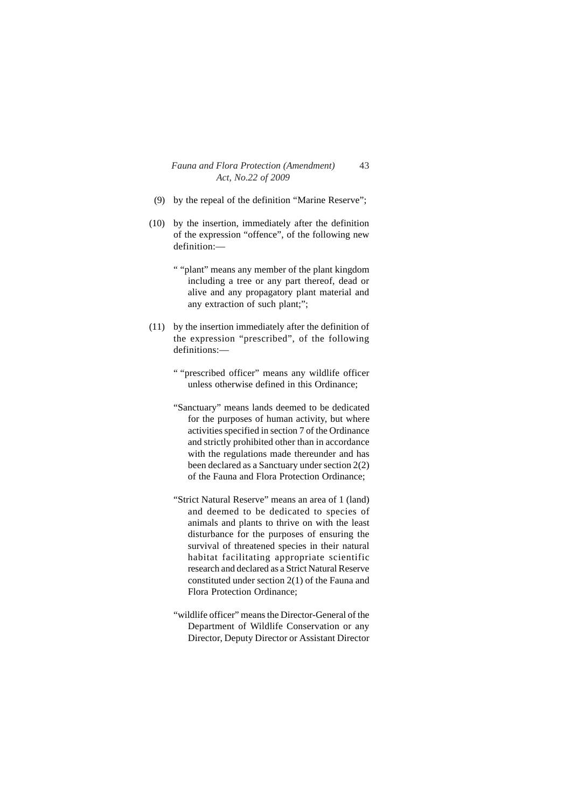- (9) by the repeal of the definition "Marine Reserve";
- (10) by the insertion, immediately after the definition of the expression "offence", of the following new definition:—
	- " "plant" means any member of the plant kingdom including a tree or any part thereof, dead or alive and any propagatory plant material and any extraction of such plant;";
- (11) by the insertion immediately after the definition of the expression "prescribed", of the following definitions:—
	- " "prescribed officer" means any wildlife officer unless otherwise defined in this Ordinance;
	- "Sanctuary" means lands deemed to be dedicated for the purposes of human activity, but where activities specified in section 7 of the Ordinance and strictly prohibited other than in accordance with the regulations made thereunder and has been declared as a Sanctuary under section 2(2) of the Fauna and Flora Protection Ordinance;
	- "Strict Natural Reserve" means an area of 1 (land) and deemed to be dedicated to species of animals and plants to thrive on with the least disturbance for the purposes of ensuring the survival of threatened species in their natural habitat facilitating appropriate scientific research and declared as a Strict Natural Reserve constituted under section 2(1) of the Fauna and Flora Protection Ordinance;
	- "wildlife officer" means the Director-General of the Department of Wildlife Conservation or any Director, Deputy Director or Assistant Director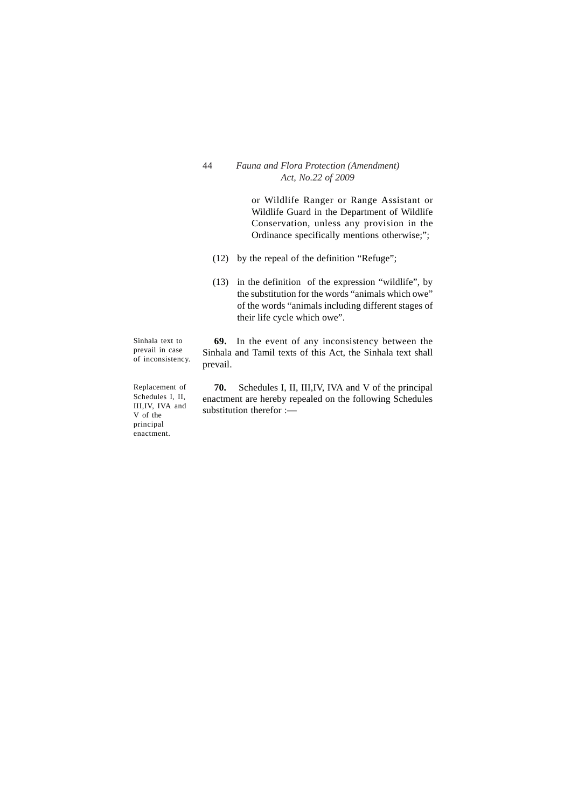or Wildlife Ranger or Range Assistant or Wildlife Guard in the Department of Wildlife Conservation, unless any provision in the Ordinance specifically mentions otherwise;";

- (12) by the repeal of the definition "Refuge";
- (13) in the definition of the expression "wildlife", by the substitution for the words "animals which owe" of the words "animals including different stages of their life cycle which owe".

Sinhala text to prevail in case of inconsistency.

Replacement of Schedules I, II, III,IV, IVA and V of the principal enactment.

**69.** In the event of any inconsistency between the Sinhala and Tamil texts of this Act, the Sinhala text shall prevail.

**70.** Schedules I, II, III,IV, IVA and V of the principal enactment are hereby repealed on the following Schedules substitution therefor :—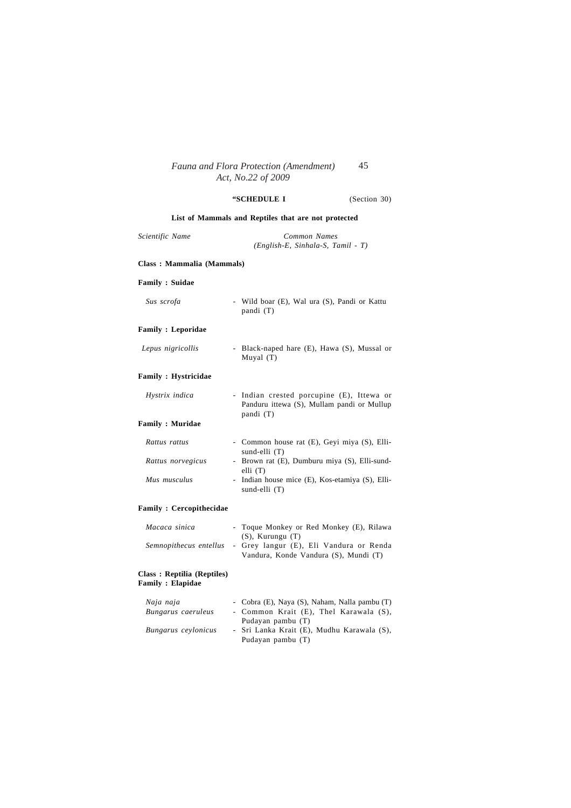# **"SCHEDULE I** (Section 30)

|                                                       | List of Mammals and Reptiles that are not protected                                                  |
|-------------------------------------------------------|------------------------------------------------------------------------------------------------------|
| Scientific Name                                       | Common Names<br>(English-E, Sinhala-S, Tamil - T)                                                    |
| Class: Mammalia (Mammals)                             |                                                                                                      |
| <b>Family: Suidae</b>                                 |                                                                                                      |
| Sus scrofa                                            | - Wild boar (E), Wal ura (S), Pandi or Kattu<br>pandi (T)                                            |
| <b>Family : Leporidae</b>                             |                                                                                                      |
| Lepus nigricollis                                     | - Black-naped hare (E), Hawa (S), Mussal or<br>Muyal (T)                                             |
| <b>Family: Hystricidae</b>                            |                                                                                                      |
| Hystrix indica                                        | - Indian crested porcupine (E), Ittewa or<br>Panduru ittewa (S), Mullam pandi or Mullup<br>pandi (T) |
| <b>Family: Muridae</b>                                |                                                                                                      |
| Rattus rattus                                         | - Common house rat (E), Geyi miya (S), Elli-<br>sund-elli (T)                                        |
| Rattus norvegicus                                     | - Brown rat (E), Dumburu miya (S), Elli-sund-<br>elli(T)                                             |
| Mus musculus                                          | - Indian house mice (E), Kos-etamiya (S), Elli-<br>sund-elli (T)                                     |
| <b>Family: Cercopithecidae</b>                        |                                                                                                      |
| Macaca sinica                                         | - Toque Monkey or Red Monkey (E), Rilawa<br>$(S)$ , Kurungu $(T)$                                    |
| Semnopithecus entellus                                | - Grey langur (E), Eli Vandura or Renda<br>Vandura, Konde Vandura (S), Mundi (T)                     |
| Class: Reptilia (Reptiles)<br><b>Family: Elapidae</b> |                                                                                                      |

| Naja naja           | - Cobra (E), Naya (S), Naham, Nalla pambu (T) |
|---------------------|-----------------------------------------------|
| Bungarus caeruleus  | - Common Krait (E), Thel Karawala (S),        |
|                     | Pudayan pambu (T)                             |
| Bungarus ceylonicus | - Sri Lanka Krait (E), Mudhu Karawala (S),    |
|                     | Pudayan pambu (T)                             |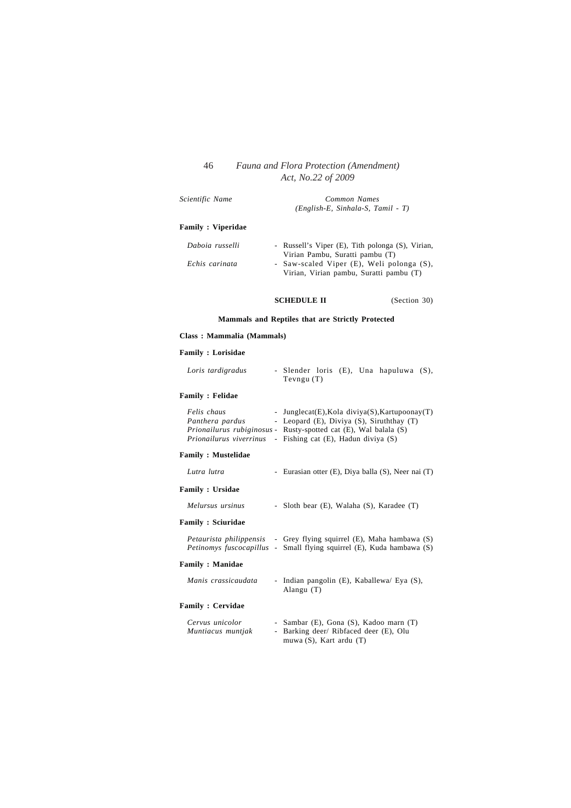*Scientific Name Common Names*

*(English-E, Sinhala-S, Tamil - T)*

### **Family : Viperidae**

| Daboia russelli | - Russell's Viper (E), Tith polonga (S), Virian, |
|-----------------|--------------------------------------------------|
|                 | Virian Pambu, Suratti pambu (T)                  |
| Echis carinata  | - Saw-scaled Viper (E), Weli polonga (S),        |
|                 | Virian, Virian pambu, Suratti pambu (T)          |
|                 |                                                  |

### **SCHEDULE II** (Section 30)

### **Mammals and Reptiles that are Strictly Protected**

#### **Class : Mammalia (Mammals)**

#### **Family : Lorisidae**

| Loris tardigradus |              |  | - Slender loris (E), Una hapuluwa (S), |  |
|-------------------|--------------|--|----------------------------------------|--|
|                   | Tevngu $(T)$ |  |                                        |  |

### **Family : Felidae**

| Felis chaus             | - Junglecat(E), Kola diviya(S), Kartupoonay(T)                          |
|-------------------------|-------------------------------------------------------------------------|
| Panthera pardus         | - Leopard (E), Diviya (S), Siruththay (T)                               |
|                         | <i>Prionailurus rubiginosus</i> - Rusty-spotted cat (E), Wal balala (S) |
| Prionailurus viverrinus | - Fishing cat (E), Hadun diviya (S)                                     |

#### **Family : Mustelidae**

| Lutra lutra                          |    | - Eurasian otter (E), Diya balla (S), Neer nai (T)                                                                                                   |
|--------------------------------------|----|------------------------------------------------------------------------------------------------------------------------------------------------------|
| Family : Ursidae                     |    |                                                                                                                                                      |
| Melursus ursinus                     |    | - Sloth bear (E), Walaha (S), Karadee (T)                                                                                                            |
| Family : Sciuridae                   |    |                                                                                                                                                      |
|                                      |    | <i>Petaurista philippensis</i> - Grey flying squirrel (E), Maha hambawa (S)<br>Petinomys fuscocapillus - Small flying squirrel (E), Kuda hambawa (S) |
| Family : Manidae                     |    |                                                                                                                                                      |
| Manis crassicaudata                  |    | - Indian pangolin (E), Kaballewa/ Eya (S),<br>Alangu (T)                                                                                             |
| <b>Family : Cervidae</b>             |    |                                                                                                                                                      |
| Cervus unicolor<br>Muntiacus muntjak | ÷. | - Sambar (E), Gona (S), Kadoo marn (T)<br>Barking deer/ Ribfaced deer (E), Olu<br>muwa $(S)$ , Kart ardu $(T)$                                       |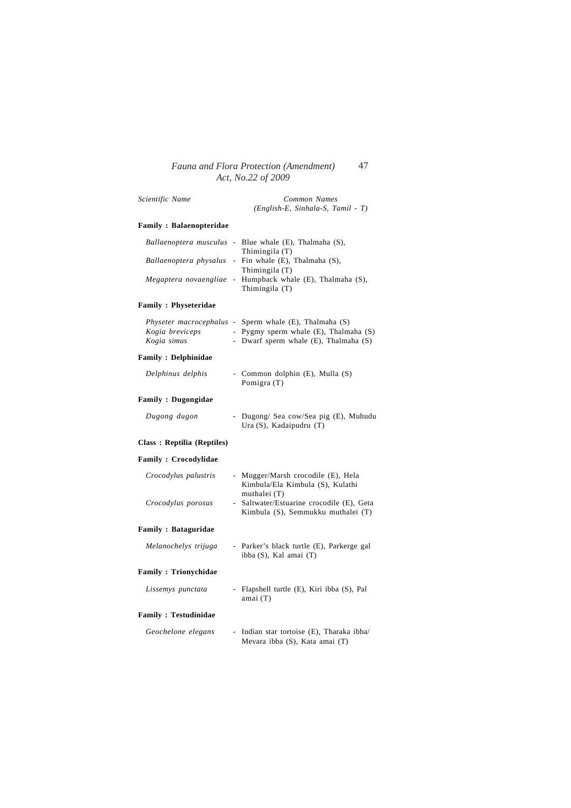| Scientific Name | Common Names                        |  |  |  |  |
|-----------------|-------------------------------------|--|--|--|--|
|                 | $(English-E, Sinhala-S, Tamil - T)$ |  |  |  |  |

### **Family : Balaenopteridae**

|  | Ballaenoptera musculus - Blue whale (E), Thalmaha (S),           |
|--|------------------------------------------------------------------|
|  | Thimingila (T)                                                   |
|  | <i>Ballaenoptera physalus - Fin whale (E), Thalmaha (S),</i>     |
|  | Thimingila (T)                                                   |
|  | <i>Megaptera novaengliae</i> - Humpback whale (E), Thalmaha (S), |
|  | Thimingila (T)                                                   |

### **Family : Physeteridae**

|                 | <i>Physeter macrocephalus - Sperm whale (E), Thalmaha (S)</i> |
|-----------------|---------------------------------------------------------------|
| Kogia breviceps | - Pygmy sperm whale (E), Thalmaha (S)                         |
| Kogia simus     | - Dwarf sperm whale (E), Thalmaha (S)                         |

### **Family : Delphinidae**

| Delphinus delphis            | - Common dolphin (E), Mulla (S)<br>Pomigra (T)                                         |
|------------------------------|----------------------------------------------------------------------------------------|
| <b>Family : Dugongidae</b>   |                                                                                        |
| Dugong dugon                 | - Dugong/ Sea cow/Sea pig (E), Muhudu<br>Ura $(S)$ , Kadaipudru $(T)$                  |
| Class: Reptilia (Reptiles)   |                                                                                        |
| <b>Family : Crocodylidae</b> |                                                                                        |
| Crocodylus palustris         | - Mugger/Marsh crocodile (E), Hela<br>Kimbula/Ela Kimbula (S), Kulathi<br>muthalei (T) |
| Crocodylus porosus           | Saltwater/Estuarine crocodile (E), Geta<br>Kimbula (S), Semmukku muthalei (T)          |
| <b>Family: Bataguridae</b>   |                                                                                        |
| Melanochelys trijuga         | - Parker's black turtle (E), Parkerge gal<br>ibba (S), Kal amai (T)                    |
| <b>Family: Trionychidae</b>  |                                                                                        |
| Lissemys punctata            | - Flapshell turtle (E), Kiri ibba (S), Pal<br>amai (T)                                 |
| <b>Family : Testudinidae</b> |                                                                                        |
| Geochelone elegans           | - Indian star tortoise (E), Tharaka ibba/<br>Mevara ibba (S), Kata amai (T)            |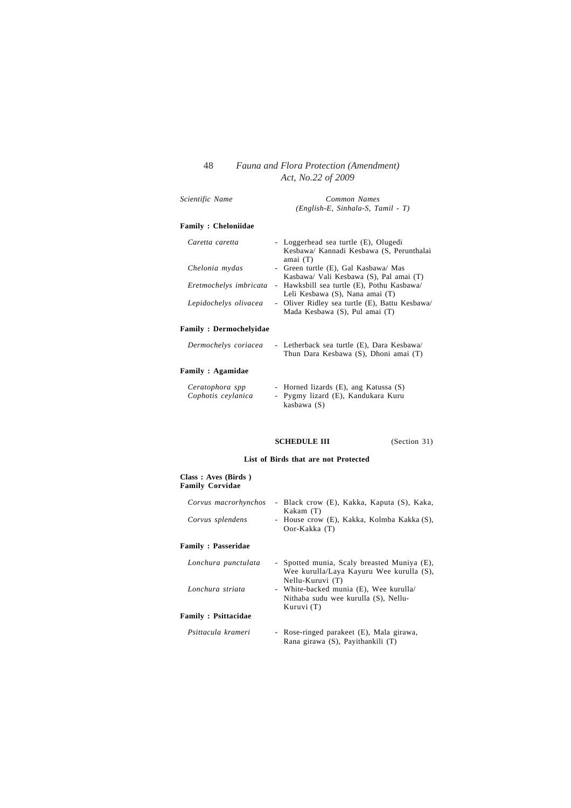| Common Names                        |  |  |  |  |  |  |  |
|-------------------------------------|--|--|--|--|--|--|--|
| $(English-E, Sinhala-S, Tamil - T)$ |  |  |  |  |  |  |  |

#### **Family : Cheloniidae**

| - Loggerhead sea turtle (E), Olugedi<br>Kesbawa/ Kannadi Kesbawa (S. Perunthalai<br>amai $(T)$                      |
|---------------------------------------------------------------------------------------------------------------------|
| - Green turtle (E), Gal Kasbawa/ Mas<br>Kasbawa/ Vali Kesbawa (S), Pal amai (T)                                     |
| - Hawksbill sea turtle (E), Pothu Kasbawa/                                                                          |
| Leli Kesbawa (S), Nana amai (T)<br>- Oliver Ridley sea turtle (E), Battu Kesbawa/<br>Mada Kesbawa (S), Pul amai (T) |
|                                                                                                                     |

### **Family : Dermochelyidae**

| Dermochelys coriacea                  | - Letherback sea turtle (E), Dara Kesbawa/<br>Thun Dara Kesbawa (S), Dhoni amai (T)        |
|---------------------------------------|--------------------------------------------------------------------------------------------|
| Family : Agamidae                     |                                                                                            |
| Ceratophora spp<br>Cophotis ceylanica | - Horned lizards (E), ang Katussa (S)<br>- Pygmy lizard (E), Kandukara Kuru<br>kasbawa (S) |

### **SCHEDULE III** (Section 31)

### **List of Birds that are not Protected**

|                        | Class: Aves (Birds) |
|------------------------|---------------------|
| <b>Family Corvidae</b> |                     |

| Corvus macrorhynchos       | - Black crow (E), Kakka, Kaputa (S), Kaka,<br>Kakam (T)                                                             |
|----------------------------|---------------------------------------------------------------------------------------------------------------------|
| Corvus splendens           | - House crow (E), Kakka, Kolmba Kakka (S),<br>Oor-Kakka (T)                                                         |
| <b>Family : Passeridae</b> |                                                                                                                     |
| Lonchura punctulata        | Spotted munia, Scaly breasted Muniya (E),<br>$\sim$<br>Wee kurulla/Laya Kayuru Wee kurulla (S),<br>Nellu-Kuruvi (T) |
| Lonchura striata           | - White-backed munia (E), Wee kurulla/<br>Nithaba sudu wee kurulla (S), Nellu-<br>Kuruvi (T)                        |
| Family : Psittacidae       |                                                                                                                     |
| Psittacula krameri         | - Rose-ringed parakeet (E), Mala girawa,<br>Rana girawa (S), Payithankili (T)                                       |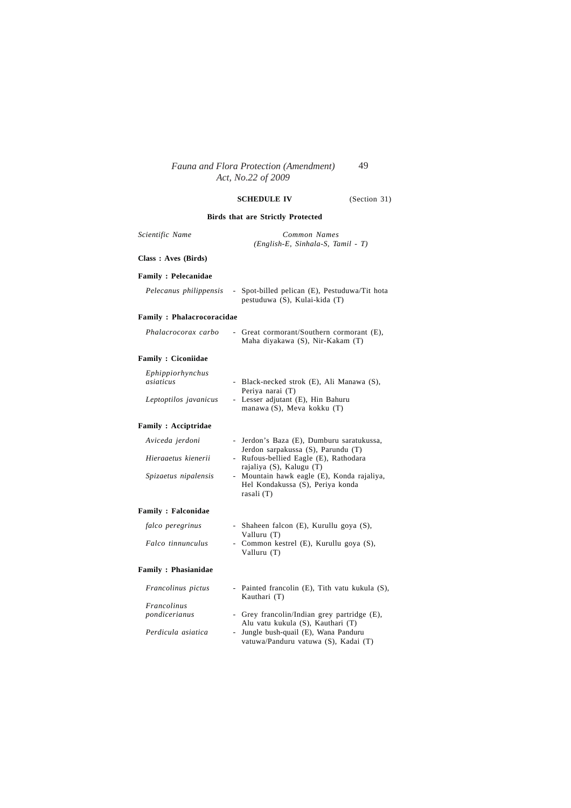## **SCHEDULE IV** (Section 31)

### **Birds that are Strictly Protected**

| Scientific Name                                        | Common Names<br>(English-E, Sinhala-S, Tamil - T)                                                                                |
|--------------------------------------------------------|----------------------------------------------------------------------------------------------------------------------------------|
| Class: Aves (Birds)                                    |                                                                                                                                  |
| <b>Family: Pelecanidae</b>                             |                                                                                                                                  |
| Pelecanus philippensis                                 | - Spot-billed pelican (E), Pestuduwa/Tit hota<br>pestuduwa (S), Kulai-kida (T)                                                   |
| <b>Family: Phalacrocoracidae</b>                       |                                                                                                                                  |
| Phalacrocorax carbo                                    | - Great cormorant/Southern cormorant (E),<br>Maha diyakawa (S), Nir-Kakam (T)                                                    |
| <b>Family: Ciconiidae</b>                              |                                                                                                                                  |
| Ephippiorhynchus<br>asiaticus<br>Leptoptilos javanicus | - Black-necked strok (E), Ali Manawa (S),<br>Periya narai (T)<br>- Lesser adjutant (E), Hin Bahuru<br>manawa (S), Meva kokku (T) |
| <b>Family: Acciptridae</b>                             |                                                                                                                                  |
| Aviceda jerdoni                                        | - Jerdon's Baza (E), Dumburu saratukussa,<br>Jerdon sarpakussa (S), Parundu (T)                                                  |
| Hieraaetus kienerii                                    | - Rufous-bellied Eagle (E), Rathodara<br>rajaliya (S), Kalugu (T)                                                                |
| Spizaetus nipalensis                                   | - Mountain hawk eagle (E), Konda rajaliya,<br>Hel Kondakussa (S), Periya konda<br>rasali (T)                                     |
| <b>Family: Falconidae</b>                              |                                                                                                                                  |
| falco peregrinus                                       | - Shaheen falcon (E), Kurullu goya (S),<br>Valluru (T)                                                                           |
| Falco tinnunculus                                      | - Common kestrel (E), Kurullu goya (S),<br>Valluru (T)                                                                           |
| <b>Family: Phasianidae</b>                             |                                                                                                                                  |
| Francolinus pictus                                     | - Painted francolin (E), Tith vatu kukula (S),<br>Kauthari (T)                                                                   |
| Francolinus<br>pondicerianus                           | - Grey francolin/Indian grey partridge (E),                                                                                      |
| Perdicula asiatica                                     | Alu vatu kukula (S), Kauthari (T)<br>- Jungle bush-quail (E), Wana Panduru<br>vatuwa/Panduru vatuwa (S), Kadai (T)               |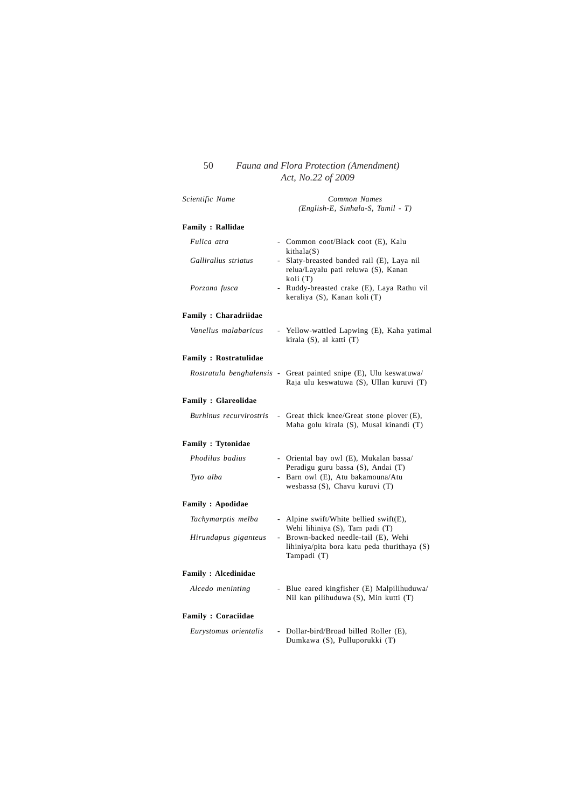|                              | Act, No.22 of 2009                                                                                            |
|------------------------------|---------------------------------------------------------------------------------------------------------------|
| Scientific Name              | Common Names<br>$(English-E, Sinhala-S, Tamil - T)$                                                           |
| <b>Family: Rallidae</b>      |                                                                                                               |
| Fulica atra                  | - Common coot/Black coot (E), Kalu                                                                            |
| Gallirallus striatus         | kithala(S)<br>- Slaty-breasted banded rail (E), Laya nil<br>relua/Layalu pati reluwa (S), Kanan<br>koli (T)   |
| Porzana fusca                | - Ruddy-breasted crake (E), Laya Rathu vil<br>keraliya (S), Kanan koli (T)                                    |
| <b>Family: Charadriidae</b>  |                                                                                                               |
| Vanellus malabaricus         | - Yellow-wattled Lapwing (E), Kaha yatimal<br>kirala (S), al katti (T)                                        |
| <b>Family: Rostratulidae</b> |                                                                                                               |
|                              | Rostratula benghalensis - Great painted snipe (E), Ulu keswatuwa/<br>Raja ulu keswatuwa (S), Ullan kuruvi (T) |
| <b>Family: Glareolidae</b>   |                                                                                                               |
| Burhinus recurvirostris      | - Great thick knee/Great stone plover (E),<br>Maha golu kirala (S), Musal kinandi (T)                         |
| <b>Family: Tytonidae</b>     |                                                                                                               |
| Phodilus badius              | - Oriental bay owl (E), Mukalan bassa/<br>Peradigu guru bassa (S), Andai (T)                                  |
| Tyto alba                    | - Barn owl (E), Atu bakamouna/Atu<br>wesbassa (S), Chavu kuruvi (T)                                           |
| <b>Family: Apodidae</b>      |                                                                                                               |
| Tachymarptis melba           | - Alpine swift/White bellied swift(E),<br>Wehi lihiniya (S), Tam padi (T)                                     |
| Hirundapus giganteus         | - Brown-backed needle-tail (E), Wehi<br>lihiniya/pita bora katu peda thurithaya (S)<br>Tampadi (T)            |
| <b>Family: Alcedinidae</b>   |                                                                                                               |
| Alcedo meninting             | - Blue eared kingfisher (E) Malpilihuduwa/<br>Nil kan pilihuduwa (S), Min kutti (T)                           |
| <b>Family: Coraciidae</b>    |                                                                                                               |
| Eurystomus orientalis        | - Dollar-bird/Broad billed Roller (E),<br>Dumkawa (S), Pulluporukki (T)                                       |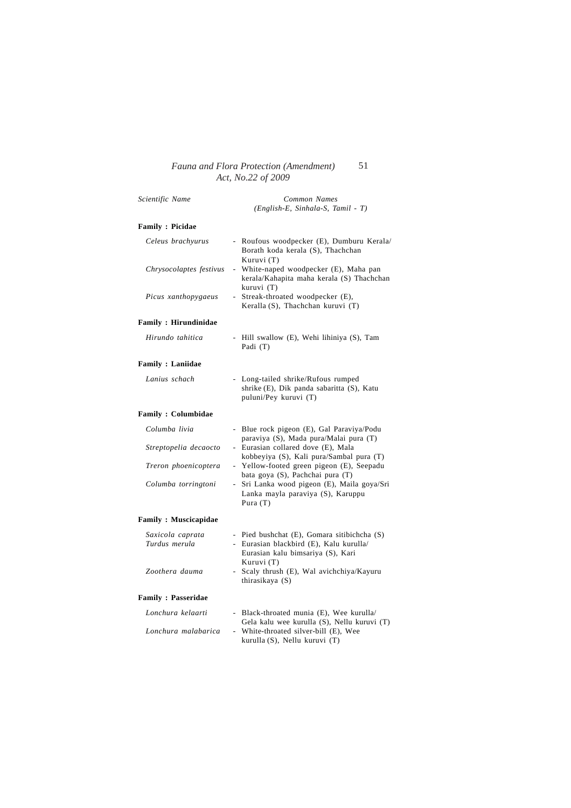| Scientific Name                   | Common Names<br>$(English-E, Sinhala-S, Tamil - T)$                                                                                       |
|-----------------------------------|-------------------------------------------------------------------------------------------------------------------------------------------|
| <b>Family : Picidae</b>           |                                                                                                                                           |
| Celeus brachyurus                 | - Roufous woodpecker (E), Dumburu Kerala/<br>Borath koda kerala (S), Thachchan<br>Kuruvi (T)                                              |
| Chrysocolaptes festivus           | - White-naped woodpecker (E), Maha pan<br>kerala/Kahapita maha kerala (S) Thachchan<br>kuruvi (T)                                         |
| Picus xanthopygaeus               | - Streak-throated woodpecker (E),<br>Keralla (S), Thachchan kuruvi (T)                                                                    |
| <b>Family: Hirundinidae</b>       |                                                                                                                                           |
| Hirundo tahitica                  | - Hill swallow (E), Wehi lihiniya (S), Tam<br>Padi (T)                                                                                    |
| <b>Family: Laniidae</b>           |                                                                                                                                           |
| Lanius schach                     | - Long-tailed shrike/Rufous rumped<br>shrike (E), Dik panda sabaritta (S), Katu<br>puluni/Pey kuruvi (T)                                  |
| <b>Family: Columbidae</b>         |                                                                                                                                           |
| Columba livia                     | - Blue rock pigeon (E), Gal Paraviya/Podu<br>paraviya (S), Mada pura/Malai pura (T)                                                       |
| Streptopelia decaocto             | - Eurasian collared dove (E), Mala<br>kobbeyiya (S), Kali pura/Sambal pura (T)                                                            |
| Treron phoenicoptera              | - Yellow-footed green pigeon (E), Seepadu<br>bata goya (S), Pachchai pura (T)                                                             |
| Columba torringtoni               | - Sri Lanka wood pigeon (E), Maila goya/Sri<br>Lanka mayla paraviya (S), Karuppu<br>Pura $(T)$                                            |
| <b>Family: Muscicapidae</b>       |                                                                                                                                           |
| Saxicola caprata<br>Turdus merula | - Pied bushchat (E), Gomara sitibichcha (S)<br>- Eurasian blackbird (E), Kalu kurulla/<br>Eurasian kalu bimsariya (S), Kari<br>Kuruvi (T) |
| Zoothera dauma                    | - Scaly thrush (E), Wal avichchiya/Kayuru<br>thirasikaya (S)                                                                              |
| <b>Family: Passeridae</b>         |                                                                                                                                           |
| Lonchura kelaarti                 | - Black-throated munia (E), Wee kurulla/<br>Gela kalu wee kurulla (S), Nellu kuruvi (T)                                                   |
| Lonchura malabarica               | - White-throated silver-bill (E), Wee<br>kurulla (S), Nellu kuruvi (T)                                                                    |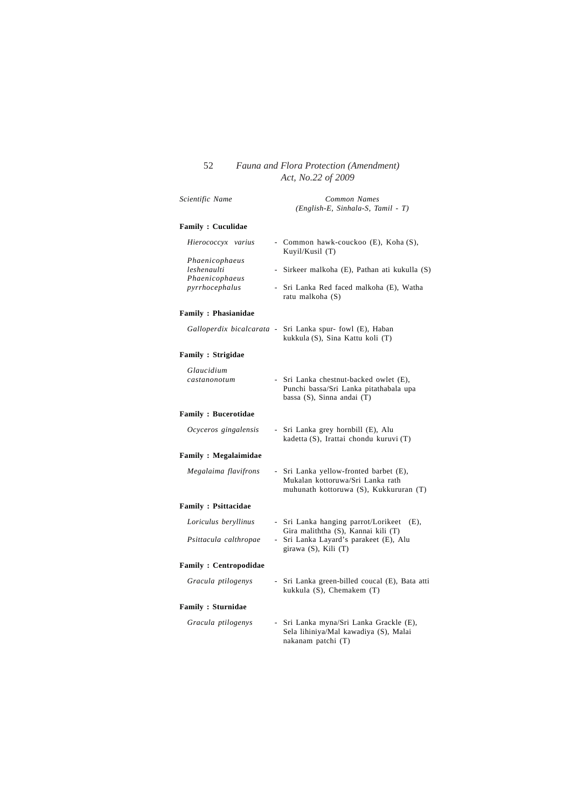# 52 *Fauna and Flora Protection (Amendment)*

|                                                 | Act, No.22 of 2009                                                                                                   |
|-------------------------------------------------|----------------------------------------------------------------------------------------------------------------------|
| Scientific Name                                 | Common Names<br>(English-E, Sinhala-S, Tamil - T)                                                                    |
| <b>Family: Cuculidae</b>                        |                                                                                                                      |
| Hierococcyx varius                              | - Common hawk-couckoo (E), Koha (S),<br>Kuyil/Kusil (T)                                                              |
| Phaenicophaeus<br>leshenaulti<br>Phaenicophaeus | - Sirkeer malkoha (E), Pathan ati kukulla (S)                                                                        |
| pyrrhocephalus                                  | - Sri Lanka Red faced malkoha (E), Watha<br>ratu malkoha (S)                                                         |
| <b>Family: Phasianidae</b>                      |                                                                                                                      |
| Galloperdix bicalcarata -                       | Sri Lanka spur- fowl (E), Haban<br>kukkula (S), Sina Kattu koli (T)                                                  |
| <b>Family: Strigidae</b>                        |                                                                                                                      |
| Glaucidium<br>castanonotum                      | - Sri Lanka chestnut-backed owlet (E),<br>Punchi bassa/Sri Lanka pitathabala upa<br>bassa (S), Sinna andai (T)       |
| <b>Family: Bucerotidae</b>                      |                                                                                                                      |
| Ocyceros gingalensis                            | - Sri Lanka grey hornbill (E), Alu<br>kadetta (S), Irattai chondu kuruvi (T)                                         |
| <b>Family: Megalaimidae</b>                     |                                                                                                                      |
| Megalaima flavifrons                            | - Sri Lanka yellow-fronted barbet (E),<br>Mukalan kottoruwa/Sri Lanka rath<br>muhunath kottoruwa (S), Kukkururan (T) |
| <b>Family: Psittacidae</b>                      |                                                                                                                      |
| Loriculus beryllinus                            | - Sri Lanka hanging parrot/Lorikeet<br>(E),<br>Gira maliththa (S), Kannai kili (T)                                   |
| Psittacula calthropae                           | - Sri Lanka Layard's parakeet (E), Alu<br>girawa (S), Kili (T)                                                       |
| <b>Family: Centropodidae</b>                    |                                                                                                                      |

*Gracula ptilogenys* - Sri Lanka green-billed coucal (E), Bata atti kukkula (S), Chemakem (T)

### **Family : Sturnidae**

*Gracula ptilogenys* - Sri Lanka myna/Sri Lanka Grackle (E), Sela lihiniya/Mal kawadiya (S), Malai nakanam patchi (T)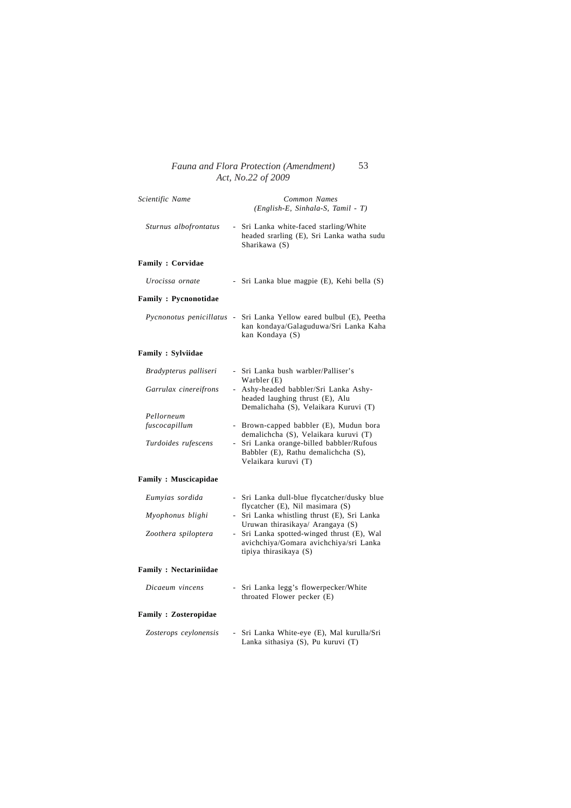| Scientific Name              |                          | Common Names<br>(English-E, Sinhala-S, Tamil - T)                                                                 |
|------------------------------|--------------------------|-------------------------------------------------------------------------------------------------------------------|
| Sturnus albofrontatus        | $\overline{\phantom{a}}$ | Sri Lanka white-faced starling/White<br>headed srarling (E), Sri Lanka watha sudu<br>Sharikawa (S)                |
| <b>Family : Corvidae</b>     |                          |                                                                                                                   |
| Urocissa ornate              |                          | - Sri Lanka blue magpie (E), Kehi bella (S)                                                                       |
| <b>Family: Pycnonotidae</b>  |                          |                                                                                                                   |
| Pycnonotus penicillatus      | $\overline{\phantom{0}}$ | Sri Lanka Yellow eared bulbul (E), Peetha<br>kan kondaya/Galaguduwa/Sri Lanka Kaha<br>kan Kondaya (S)             |
| <b>Family : Sylviidae</b>    |                          |                                                                                                                   |
| Bradypterus palliseri        |                          | - Sri Lanka bush warbler/Palliser's<br>Warbler (E)                                                                |
| Garrulax cinereifrons        |                          | - Ashy-headed babbler/Sri Lanka Ashy-<br>headed laughing thrust (E), Alu<br>Demalichaha (S), Velaikara Kuruvi (T) |
| Pellorneum                   |                          |                                                                                                                   |
| fuscocapillum                |                          | - Brown-capped babbler (E), Mudun bora<br>demalichcha (S), Velaikara kuruvi (T)                                   |
| Turdoides rufescens          |                          | Sri Lanka orange-billed babbler/Rufous<br>Babbler (E), Rathu demalichcha (S),<br>Velaikara kuruvi (T)             |
| <b>Family: Muscicapidae</b>  |                          |                                                                                                                   |
| Eumyias sordida              | ÷.                       | Sri Lanka dull-blue flycatcher/dusky blue<br>flycatcher (E), Nil masimara (S)                                     |
| Myophonus blighi             |                          | Sri Lanka whistling thrust (E), Sri Lanka<br>Uruwan thirasikaya/ Arangaya (S)                                     |
| Zoothera spiloptera          |                          | Sri Lanka spotted-winged thrust (E), Wal<br>avichchiya/Gomara avichchiya/sri Lanka<br>tipiya thirasikaya (S)      |
| <b>Family: Nectariniidae</b> |                          |                                                                                                                   |

### *Dicaeum vincens* - Sri Lanka legg's flowerpecker/White throated Flower pecker (E)

### **Family : Zosteropidae**

| Zosterops ceylonensis | - Sri Lanka White-eye (E), Mal kurulla/Sri |
|-----------------------|--------------------------------------------|
|                       | Lanka sithasiya $(S)$ , Pu kuruvi $(T)$    |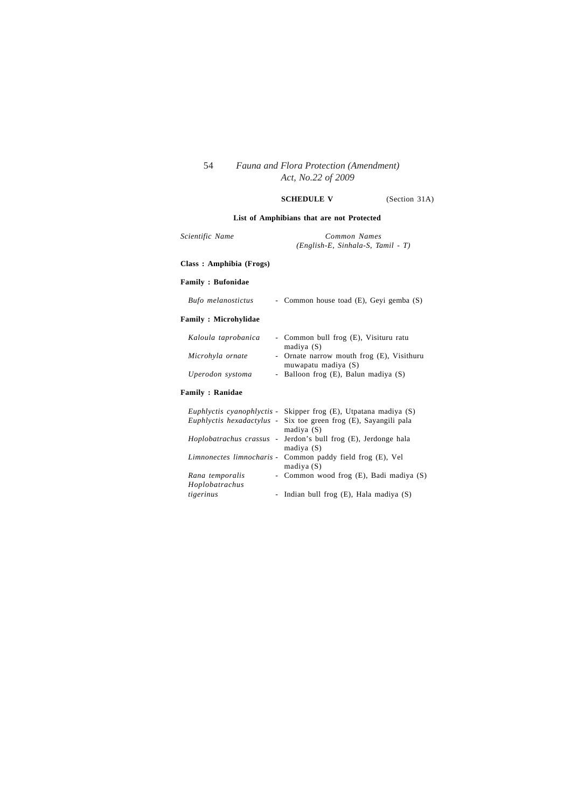#### **SCHEDULE V** (Section 31A)

### **List of Amphibians that are not Protected**

| Scientific Name             | Common Names<br>$(English-E, Sinhala-S, Tamil - T)$                     |
|-----------------------------|-------------------------------------------------------------------------|
| Class: Amphibia (Frogs)     |                                                                         |
| <b>Family : Bufonidae</b>   |                                                                         |
| Bufo melanostictus          | - Common house toad (E), Geyi gemba (S)                                 |
| <b>Family: Microhylidae</b> |                                                                         |
| Kaloula taprobanica         | - Common bull frog (E), Visituru ratu<br>madiya (S)                     |
| Microhyla ornate            | - Ornate narrow mouth frog (E), Visithuru<br>muwapatu madiya (S)        |
| Uperodon systoma            | - Balloon frog (E), Balun madiya (S)                                    |
| <b>Family: Ranidae</b>      |                                                                         |
|                             | <i>Euphlyctis cyanophlyctis</i> - Skipper frog (E), Utpatana madiya (S) |
| Euphlyctis hexadactylus -   | Six toe green frog (E), Sayangili pala<br>madiya $(S)$                  |
| Hoplobatrachus crassus -    | Jerdon's bull frog (E), Jerdonge hala<br>madiya $(S)$                   |

|                 | Limnonectes limnocharis - Common paddy field frog (E), Vel |
|-----------------|------------------------------------------------------------|
|                 | madiya(S)                                                  |
| Rana temporalis | - Common wood frog (E), Badi madiya (S)                    |
| Hoplobatrachus  |                                                            |
| tigerinus       | - Indian bull frog (E), Hala madiya (S)                    |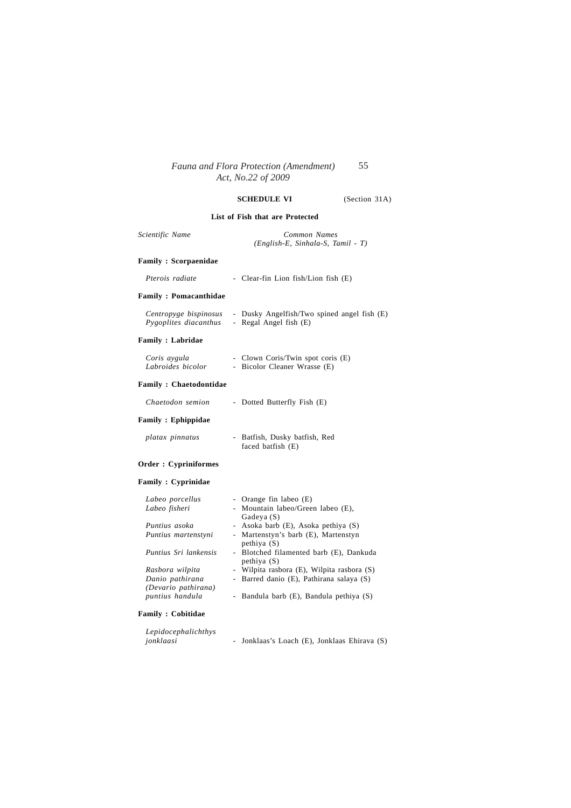### **SCHEDULE VI** (Section 31A)

### **List of Fish that are Protected**

| Scientific Name                                           | Common Names<br>(English-E, Sinhala-S, Tamil - T)                                           |
|-----------------------------------------------------------|---------------------------------------------------------------------------------------------|
| <b>Family: Scorpaenidae</b>                               |                                                                                             |
| Pterois radiate                                           | - Clear-fin Lion fish/Lion fish (E)                                                         |
| <b>Family: Pomacanthidae</b>                              |                                                                                             |
| Centropyge bispinosus<br>Pygoplites diacanthus            | - Dusky Angelfish/Two spined angel fish (E)<br>- Regal Angel fish (E)                       |
| <b>Family : Labridae</b>                                  |                                                                                             |
| Coris aygula<br>Labroides bicolor                         | - Clown Coris/Twin spot coris (E)<br>- Bicolor Cleaner Wrasse (E)                           |
| <b>Family: Chaetodontidae</b>                             |                                                                                             |
| Chaetodon semion                                          | - Dotted Butterfly Fish (E)                                                                 |
| <b>Family: Ephippidae</b>                                 |                                                                                             |
| platax pinnatus                                           | - Batfish, Dusky batfish, Red<br>faced batfish (E)                                          |
| <b>Order: Cypriniformes</b>                               |                                                                                             |
| <b>Family: Cyprinidae</b>                                 |                                                                                             |
| Labeo porcellus<br>Labeo fisheri                          | - Orange fin labeo (E)<br>- Mountain labeo/Green labeo (E),<br>Gadeya (S)                   |
| Puntius asoka<br>Puntius martenstyni                      | - Asoka barb (E), Asoka pethiya (S)<br>- Martenstyn's barb (E), Martenstyn<br>pethiya $(S)$ |
| Puntius Sri lankensis                                     | - Blotched filamented barb (E), Dankuda<br>pethiya $(S)$                                    |
| Rasbora wilpita<br>Danio pathirana<br>(Devario pathirana) | - Wilpita rasbora (E), Wilpita rasbora (S)<br>- Barred danio (E), Pathirana salaya (S)      |
| puntius handula                                           | - Bandula barb (E), Bandula pethiya (S)                                                     |

### **Family : Cobitidae**

| Lepidocephalichthys |                                              |  |  |
|---------------------|----------------------------------------------|--|--|
| jonklaasi           | - Jonklaas's Loach (E), Jonklaas Ehirava (S) |  |  |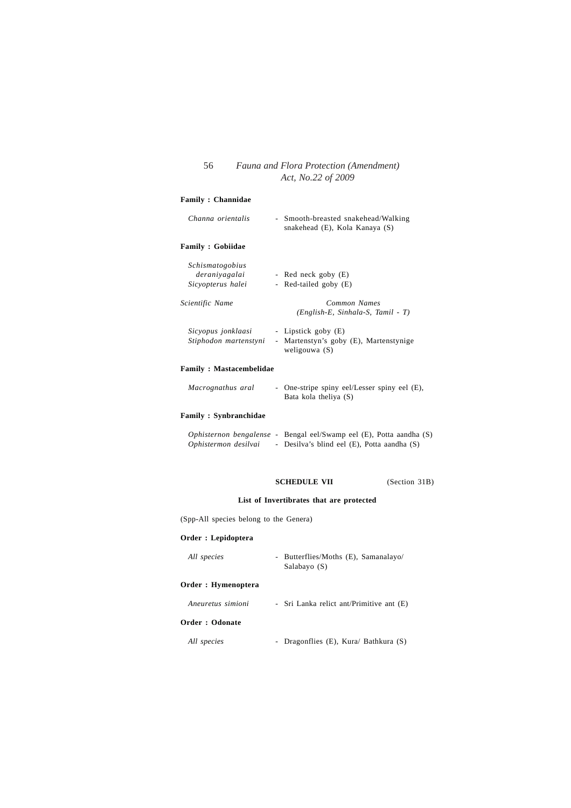#### **Family : Channidae**

| Channa orientalis                                     | - Smooth-breasted snakehead/Walking<br>snakehead (E), Kola Kanaya (S) |
|-------------------------------------------------------|-----------------------------------------------------------------------|
| Family : Gobiidae                                     |                                                                       |
| Schismatogobius<br>deraniyagalai<br>Sicyopterus halei | - Red neck goby (E)<br>- Red-tailed goby (E)                          |
| Scientific Name                                       | Common Names<br>$(English-E, Sinhala-S, Tamil - T)$                   |
| Sicyopus jonklaasi<br>Stiphodon martenstyni           | - Lipstick goby (E)<br>- Martenstyn's goby (E), Martenstynige         |

#### **Family : Mastacembelidae**

| Macrognathus aral | - One-stripe spiny eel/Lesser spiny eel (E), |  |  |
|-------------------|----------------------------------------------|--|--|
|                   | Bata kola theliya (S)                        |  |  |

weligouwa (S)

### **Family : Synbranchidae**

| Ophisternon bengalense - |  | Bengal eel/Swamp eel (E), Potta aandha (S)  |  |  |
|--------------------------|--|---------------------------------------------|--|--|
| Ophistermon desilvai     |  | - Desilva's blind eel (E), Potta aandha (S) |  |  |

### **SCHEDULE VII** (Section 31B)

### **List of Invertibrates that are protected**

(Spp-All species belong to the Genera)

#### **Order : Lepidoptera**

*All species* - Butterflies/Moths (E), Samanalayo/ Salabayo (S)

### **Order : Hymenoptera**

*Aneuretus simioni* - Sri Lanka relict ant/Primitive ant (E)

### **Order : Odonate**

*All species* - Dragonflies (E), Kura/ Bathkura (S)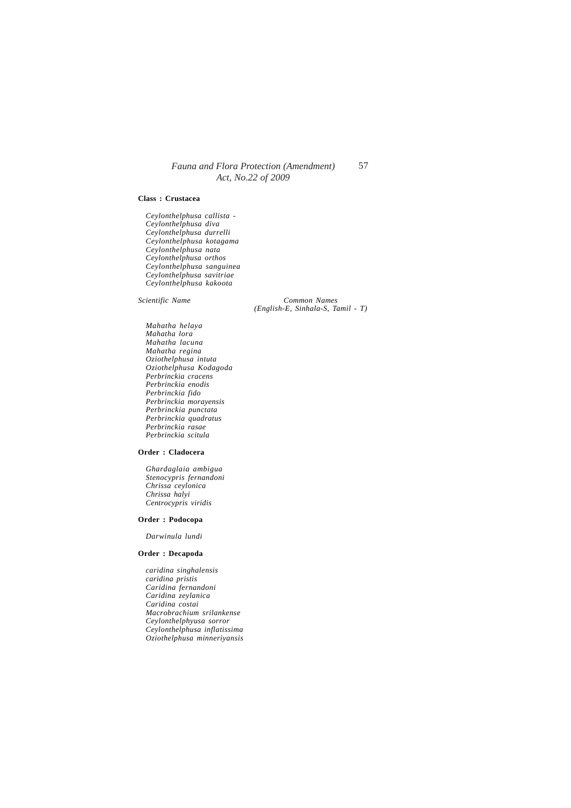#### **Class : Crustacea**

*Ceylonthelphusa callista* - *Ceylonthelphusa diva Ceylonthelphusa durrelli Ceylonthelphusa kotagama Ceylonthelphusa nata Ceylonthelphusa orthos Ceylonthelphusa sanguinea Ceylonthelphusa savitriae Ceylonthelphusa kakoota*

*Scientific Name Common Names (English-E, Sinhala-S, Tamil - T)*

*Mahatha helaya Mahatha lora Mahatha lacuna Mahatha regina Oziothelphusa intuta Oziothelphusa Kodagoda Perbrinckia cracens Perbrinckia enodis Perbrinckia fido Perbrinckia morayensis Perbrinckia punctata Perbrinckia quadratus Perbrinckia rasae Perbrinckia scitula*

#### **Order : Cladocera**

*Ghardaglaia ambigua Stenocypris fernandoni Chrissa ceylonica Chrissa halyi Centrocypris viridis*

#### **Order : Podocopa**

*Darwinula lundi*

#### **Order : Decapoda**

*caridina singhalensis caridina pristis Caridina fernandoni Caridina zeylanica Caridina costai Macrobrachium srilankense Ceylonthelphyusa sorror Ceylonthelphusa inflatissima Oziothelphusa minneriyansis*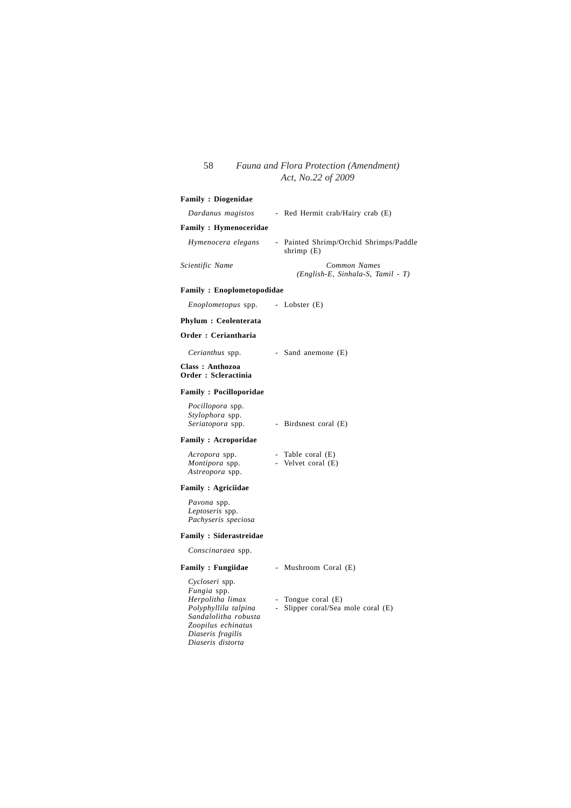#### **Family : Diogenidae**

*Dardanus magistos* - Red Hermit crab/Hairy crab (E)

#### **Family : Hymenoceridae**

*Hymenocera elegans* - Painted Shrimp/Orchid Shrimps/Paddle shrimp (E)

*Scientific Name Common Names (English-E, Sinhala-S, Tamil - T)*

#### **Family : Enoplometopodidae**

*Enoplometopus* spp. - Lobster (E)

**Phylum : Ceolenterata**

#### **Order : Ceriantharia**

*Cerianthus* spp. - Sand anemone (E)

#### **Class : Anthozoa Order : Scleractinia**

#### **Family : Pocilloporidae**

*Pocillopora* spp. *Stylophora* spp. - Birdsnest coral (E)

#### **Family : Acroporidae**

*Acropora* spp. - Table coral (E)<br> *Montipora* spp. - Velvet coral (E) - Velvet coral (E) *Astreopora* spp.

#### **Family : Agriciidae**

*Pavona* spp. *Leptoseris* spp. *Pachyseris speciosa*

#### **Family : Siderastreidae**

*Conscinaraea* spp.

Family : Fungiidae - Mushroom Coral (E)

- *Cycloseri* spp. *Fungia* spp. *Herpolitha limax* - Tongue coral (E)<br>*Polyphyllila talpina* - Slipper coral/Sea *Sandalolitha robusta Zoopilus echinatus Diaseris fragilis Diaseris distorta*
	-
	- Slipper coral/Sea mole coral (E)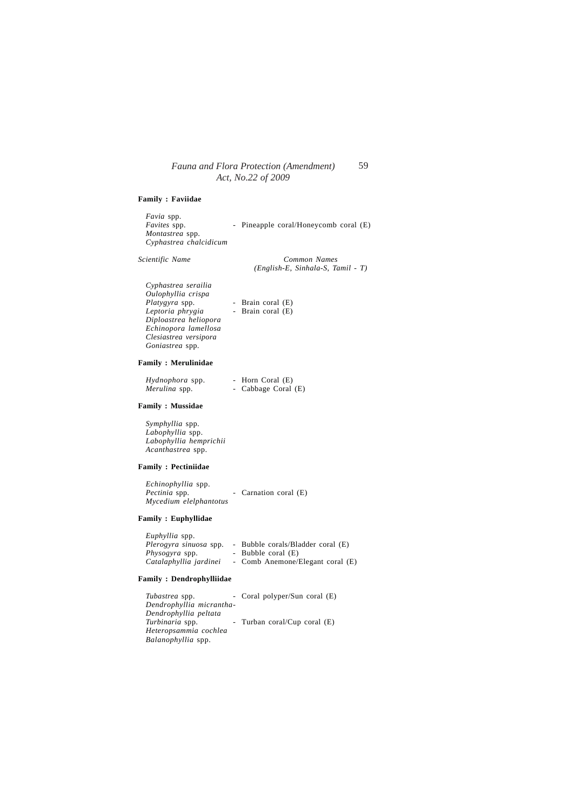#### **Family : Faviidae**

*Favia* spp. *Montastrea* spp. *Cyphastrea chalcidicum*

- Pineapple coral/Honeycomb coral (E)

*Scientific Name Common Names (English-E, Sinhala-S, Tamil - T)*

| Cyphastrea serailia   |                   |  |
|-----------------------|-------------------|--|
| Oulophyllia crispa    |                   |  |
| Platygyra spp.        | - Brain coral (E) |  |
| Leptoria phrygia      | - Brain coral (E) |  |
| Diploastrea heliopora |                   |  |
| Echinopora lamellosa  |                   |  |
| Clesiastrea versipora |                   |  |
| Goniastrea spp.       |                   |  |

#### **Family : Merulinidae**

| Hydnophora spp. | Horn Coral (E)    |
|-----------------|-------------------|
| Merulina spp.   | Cabbage Coral (E) |

### **Family : Mussidae**

*Symphyllia* spp. *Labophyllia* spp. *Labophyllia hemprichii Acanthastrea* spp.

#### **Family : Pectiniidae**

| Echinophyllia spp.     |                       |  |
|------------------------|-----------------------|--|
| Pectinia spp.          | - Carnation coral (E) |  |
| Mycedium elelphantotus |                       |  |

### **Family : Euphyllidae**

| Euphyllia spp.         |                                   |
|------------------------|-----------------------------------|
| Plerogyra sinuosa spp. | - Bubble corals/Bladder coral (E) |
| <i>Physogyra</i> spp.  | - Bubble coral (E)                |
| Catalaphyllia jardinei | - Comb Anemone/Elegant coral (E)  |

#### **Family : Dendrophylliidae**

| <i>Tubastrea</i> spp.    | - Coral polyper/Sun coral (E) |
|--------------------------|-------------------------------|
| Dendrophyllia micrantha- |                               |
| Dendrophyllia peltata    |                               |
| Turbinaria spp.          | - Turban coral/Cup coral (E)  |
| Heteropsammia cochlea    |                               |
| Balanophyllia spp.       |                               |
|                          |                               |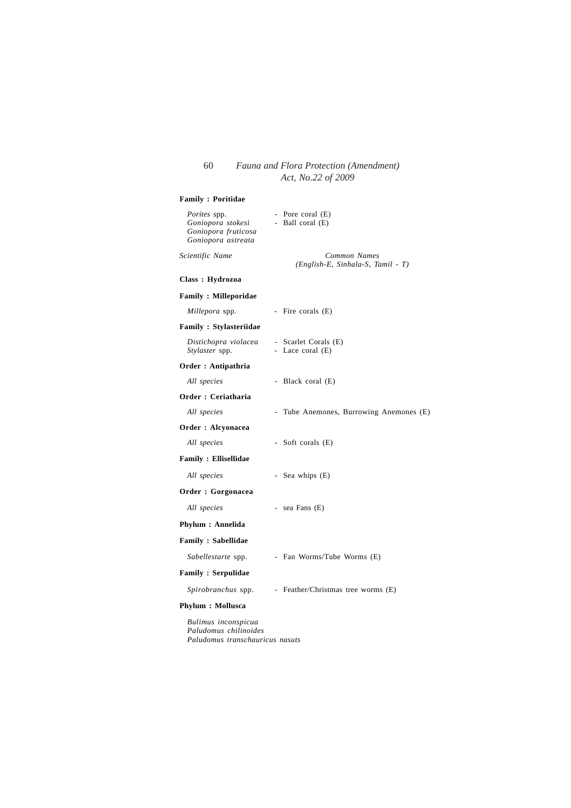| <b>Family : Poritidae</b>                                                             |                                                     |
|---------------------------------------------------------------------------------------|-----------------------------------------------------|
| <i>Porites</i> spp.<br>Goniopora stokesi<br>Goniopora fruticosa<br>Goniopora astreata | - Pore coral $(E)$<br>- Ball coral (E)              |
| Scientific Name                                                                       | Common Names<br>$(English-E, Sinhala-S, Tamil - T)$ |
| Class : Hydrozoa                                                                      |                                                     |
| <b>Family : Milleporidae</b>                                                          |                                                     |
| Millepora spp.                                                                        | - Fire corals (E)                                   |
| <b>Family: Stylasteriidae</b>                                                         |                                                     |
| Distichopra violacea<br>Stylaster spp.                                                | - Scarlet Corals (E)<br>- Lace coral (E)            |
| Order: Antipathria                                                                    |                                                     |
| All species                                                                           | - Black coral (E)                                   |
| Order: Ceriatharia                                                                    |                                                     |
| All species                                                                           | - Tube Anemones, Burrowing Anemones (E)             |
| Order : Alcyonacea                                                                    |                                                     |
| All species                                                                           | - Soft corals (E)                                   |
| Family : Ellisellidae                                                                 |                                                     |
| All species                                                                           | - Sea whips (E)                                     |
| Order: Gorgonacea                                                                     |                                                     |
| All species                                                                           | - sea Fans (E)                                      |
| Phylum: Annelida                                                                      |                                                     |
| Family : Sabellidae                                                                   |                                                     |
| Sabellestarte spp.                                                                    | - Fan Worms/Tube Worms (E)                          |
| <b>Family : Serpulidae</b>                                                            |                                                     |
| <i>Spirobranchus</i> spp.                                                             | - Feather/Christmas tree worms (E)                  |
| Phylum : Mollusca                                                                     |                                                     |
| Bulimus inconspicua                                                                   |                                                     |

*Paludomus chilinoides Paludomus transchauricus nasuts*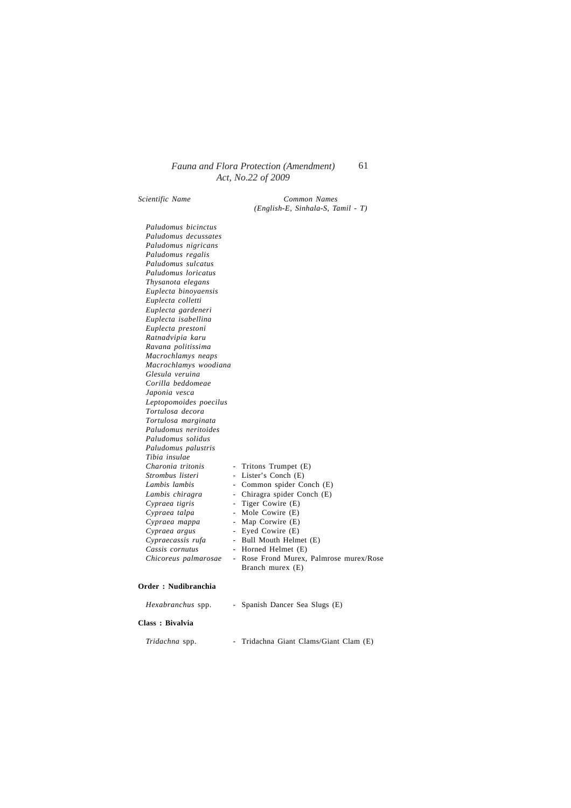#### *Scientific Name Common Names (English-E, Sinhala-S, Tamil - T)*

*Paludomus bicinctus Paludomus decussates Paludomus nigricans Paludomus regalis Paludomus sulcatus Paludomus loricatus Thysanota elegans Euplecta binoyaensis Euplecta colletti Euplecta gardeneri Euplecta isabellina Euplecta prestoni Ratnadvipia karu Ravana politissima Macrochlamys neaps Macrochlamys woodiana Glesula veruina Corilla beddomeae Japonia vesca Leptopomoides poecilus Tortulosa decora Tortulosa marginata Paludomus neritoides Paludomus solidus Paludomus palustris Tibia insulae Charonia tritonis* - Tritons Trumpet (E) *Strombus listeri* - Lister's Conch (E) *Lambis lambis* - Common spider Conch (E)<br> *Lambis chiragra* - Chiragra spider Conch (E) *Lambis chiragra* - Chiragra spider Conch (E) *Cypraea tigris* - Tiger Cowire (E)<br> *Cypraea talpa* - Mole Cowire (E) - Mole Cowire (E) *Cypraea mappa* - Map Corwire (E) - Eyed Cowire (E) *Cypraecassis rufa* - Bull Mouth Helmet (E) *Cassis cornutus* - Horned Helmet (E) *Chicoreus palmarosae* - Rose Frond Murex, Palmrose murex/Rose Branch murex (E)

#### **Order : Nudibranchia**

| <i>Hexabranchus</i> spp. | - Spanish Dancer Sea Slugs (E)         |
|--------------------------|----------------------------------------|
| Class : Bivalvia         |                                        |
| Tridachna spp.           | - Tridachna Giant Clams/Giant Clam (E) |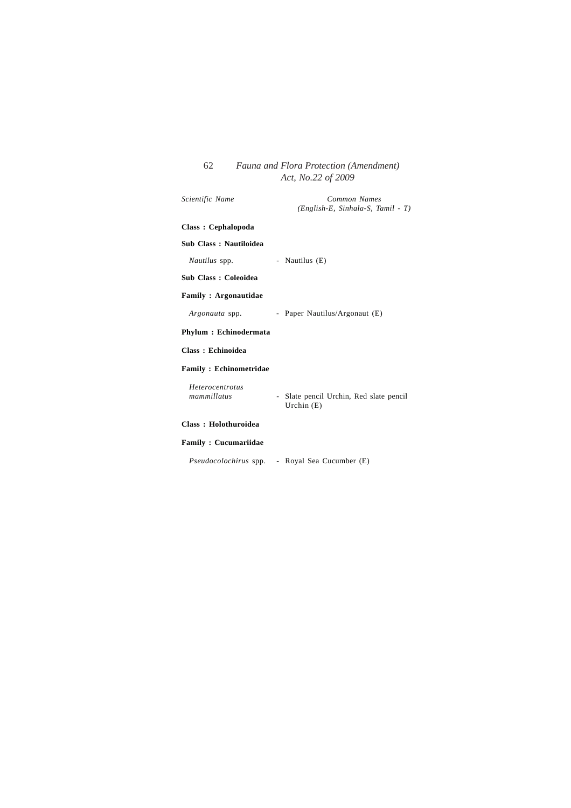| Scientific Name                       | Common Names<br>(English-E, Sinhala-S, Tamil - T)       |
|---------------------------------------|---------------------------------------------------------|
| Class: Cephalopoda                    |                                                         |
| <b>Sub Class: Nautiloidea</b>         |                                                         |
| Nautilus spp.                         | - Nautilus (E)                                          |
| <b>Sub Class: Coleoidea</b>           |                                                         |
| <b>Family: Argonautidae</b>           |                                                         |
| Argonauta spp.                        | - Paper Nautilus/Argonaut (E)                           |
| <b>Phylum: Echinodermata</b>          |                                                         |
| Class: Echinoidea                     |                                                         |
| <b>Family: Echinometridae</b>         |                                                         |
| <b>Heterocentrotus</b><br>mammillatus | - Slate pencil Urchin, Red slate pencil<br>Urchin $(E)$ |
| Class: Holothuroidea                  |                                                         |
| <b>Family: Cucumariidae</b>           |                                                         |
| Pseudocolochirus spp.                 | - Royal Sea Cucumber (E)                                |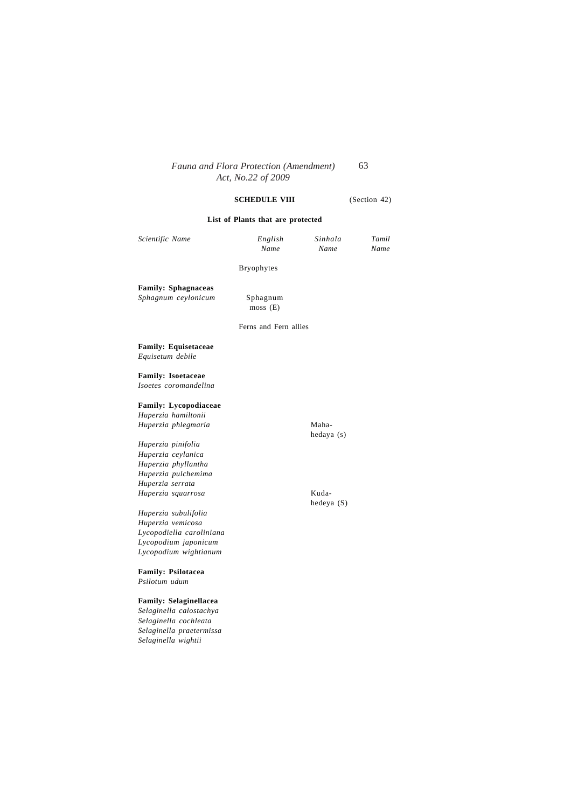### **SCHEDULE VIII** (Section 42)

### **List of Plants that are protected**

| Scientific Name                                    | English<br>Name            | Sinhala<br>Name       | Tamil<br>Name |
|----------------------------------------------------|----------------------------|-----------------------|---------------|
|                                                    | <b>Bryophytes</b>          |                       |               |
| <b>Family: Sphagnaceas</b>                         |                            |                       |               |
| Sphagnum ceylonicum                                | Sphagnum<br>$~$ moss $(E)$ |                       |               |
|                                                    | Ferns and Fern allies      |                       |               |
| <b>Family: Equisetaceae</b><br>Equisetum debile    |                            |                       |               |
| <b>Family: Isoetaceae</b><br>Isoetes coromandelina |                            |                       |               |
| <b>Family: Lycopodiaceae</b>                       |                            |                       |               |
| Huperzia hamiltonii                                |                            |                       |               |
| Huperzia phlegmaria                                |                            | Maha-<br>hedaya (s)   |               |
| Huperzia pinifolia                                 |                            |                       |               |
| Huperzia ceylanica                                 |                            |                       |               |
| Huperzia phyllantha                                |                            |                       |               |
| Huperzia pulchemima                                |                            |                       |               |
| Huperzia serrata                                   |                            |                       |               |
| Huperzia squarrosa                                 |                            | Kuda-<br>hedeya $(S)$ |               |
| Huperzia subulifolia                               |                            |                       |               |
| Huperzia vemicosa                                  |                            |                       |               |
| Lycopodiella caroliniana                           |                            |                       |               |
| Lycopodium japonicum                               |                            |                       |               |
| Lycopodium wightianum                              |                            |                       |               |
| <b>Family: Psilotacea</b>                          |                            |                       |               |
| Psilotum udum                                      |                            |                       |               |
| <b>Family: Selaginellacea</b>                      |                            |                       |               |
| Selaginella calostachya                            |                            |                       |               |
| Selaginella cochleata                              |                            |                       |               |
| Selaginella praetermissa                           |                            |                       |               |

*Selaginella wightii*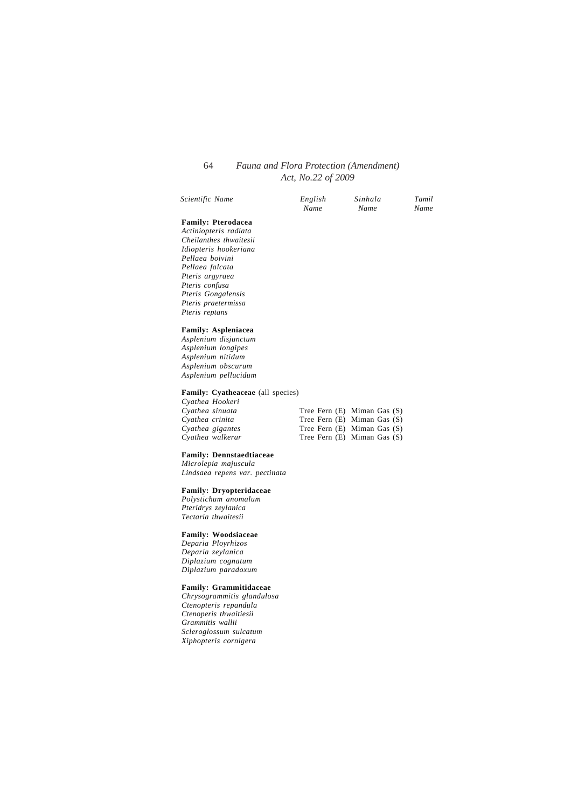| Scientific Name           | English<br>Name | Sinhala<br>Name | Tamil<br>Name |
|---------------------------|-----------------|-----------------|---------------|
| <b>Family: Pterodacea</b> |                 |                 |               |
| Actiniopteris radiata     |                 |                 |               |
| Cheilanthes thwaitesii    |                 |                 |               |
| Idiopteris hookeriana     |                 |                 |               |

*Cheilanthes thwaitesii Idiopteris hookeriana Pellaea boivini Pellaea falcata Pteris argyraea Pteris confusa Pteris Gongalensis Pteris praetermissa Pteris reptans*

### **Family: Aspleniacea**

*Asplenium disjunctum Asplenium longipes Asplenium nitidum Asplenium obscurum Asplenium pellucidum*

#### **Family: Cyatheaceae** (all species)

| Cyathea Hookeri  |                                 |
|------------------|---------------------------------|
| Cyathea sinuata  | Tree Fern $(E)$ Miman Gas $(S)$ |
| Cyathea crinita  | Tree Fern $(E)$ Miman Gas $(S)$ |
| Cyathea gigantes | Tree Fern $(E)$ Miman Gas $(S)$ |
| Cyathea walkerar | Tree Fern $(E)$ Miman Gas $(S)$ |

#### **Family: Dennstaedtiaceae**

*Microlepia majuscula Lindsaea repens var. pectinata*

#### **Family: Dryopteridaceae**

*Polystichum anomalum Pteridrys zeylanica Tectaria thwaitesii*

#### **Family: Woodsiaceae**

*Deparia Ployrhizos Deparia zeylanica Diplazium cognatum Diplazium paradoxum*

#### **Family: Grammitidaceae**

*Chrysogrammitis glandulosa Ctenopteris repandula Ctenoperis thwaitiesii Grammitis wallii Scleroglossum sulcatum Xiphopteris cornigera*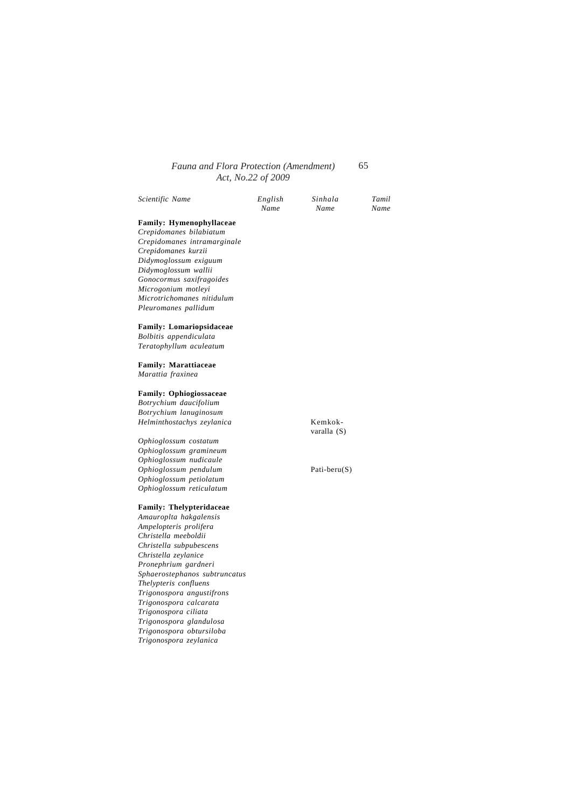| Scientific Name                 | English<br>Name | Sinhala<br>Name | Tamil<br>Name |
|---------------------------------|-----------------|-----------------|---------------|
| Family: Hymenophyllaceae        |                 |                 |               |
| Crepidomanes bilabiatum         |                 |                 |               |
| Crepidomanes intramarginale     |                 |                 |               |
| Crepidomanes kurzii             |                 |                 |               |
| Didymoglossum exiguum           |                 |                 |               |
| Didymoglossum wallii            |                 |                 |               |
| Gonocormus saxifragoides        |                 |                 |               |
| Microgonium motleyi             |                 |                 |               |
| Microtrichomanes nitidulum      |                 |                 |               |
| Pleuromanes pallidum            |                 |                 |               |
| <b>Family: Lomariopsidaceae</b> |                 |                 |               |
| Bolbitis appendiculata          |                 |                 |               |
| Teratophyllum aculeatum         |                 |                 |               |
| <b>Family: Marattiaceae</b>     |                 |                 |               |
| Marattia fraxinea               |                 |                 |               |
| <b>Family: Ophiogiossaceae</b>  |                 |                 |               |
| Botrychium daucifolium          |                 |                 |               |
| Botrychium lanuginosum          |                 |                 |               |
| Helminthostachys zeylanica      |                 | Kemkok-         |               |
|                                 |                 | varalla (S)     |               |
| Ophioglossum costatum           |                 |                 |               |
| Ophioglossum gramineum          |                 |                 |               |
| Ophioglossum nudicaule          |                 |                 |               |
| Ophioglossum pendulum           |                 | $Pati-beru(S)$  |               |
| Ophioglossum petiolatum         |                 |                 |               |
| Ophioglossum reticulatum        |                 |                 |               |
| <b>Family: Thelypteridaceae</b> |                 |                 |               |
| Amauroplta hakgalensis          |                 |                 |               |
| Ampelopteris prolifera          |                 |                 |               |
| Christella meeboldii            |                 |                 |               |
| Christella subpubescens         |                 |                 |               |
| Christella zeylanice            |                 |                 |               |
| Pronephrium gardneri            |                 |                 |               |
| Sphaerostephanos subtruncatus   |                 |                 |               |
| Thelypteris confluens           |                 |                 |               |
| Trigonospora angustifrons       |                 |                 |               |
| Trigonospora calcarata          |                 |                 |               |
| Trigonospora ciliata            |                 |                 |               |
| Trigonospora glandulosa         |                 |                 |               |
| Trigonospora obtursiloba        |                 |                 |               |
| Trigonospora zeylanica          |                 |                 |               |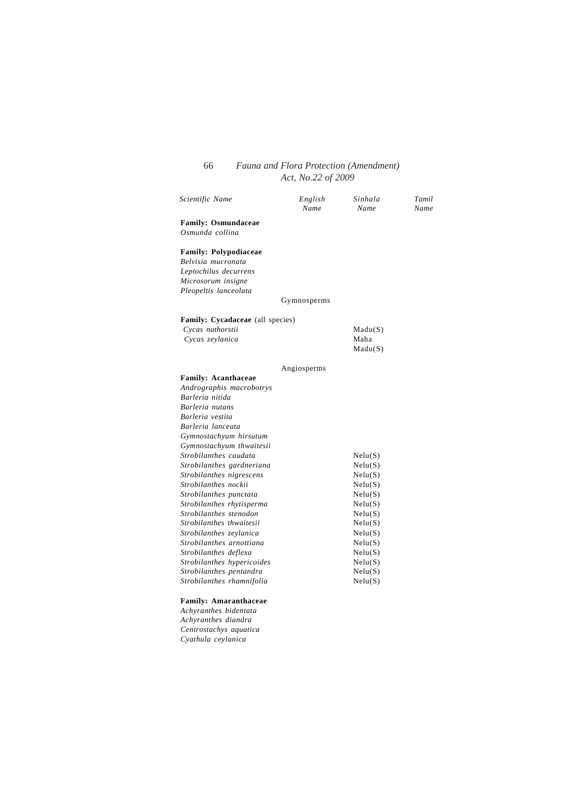| Scientific Name                               | English<br>Name | Sinhala<br>Name | Tamil<br>Name |
|-----------------------------------------------|-----------------|-----------------|---------------|
| <b>Family: Osmundaceae</b><br>Osmunda collina |                 |                 |               |
| <b>Family: Polypodiaceae</b>                  |                 |                 |               |
| Belvisia mucronata                            |                 |                 |               |
| Leptochilus decurrens                         |                 |                 |               |
| Microsorum insigne                            |                 |                 |               |
| Pleopeltis lanceolata                         |                 |                 |               |
|                                               | Gymnosperms     |                 |               |
| <b>Family: Cycadaceae</b> (all species)       |                 |                 |               |
| Cycas nathorstii                              |                 | Madu(S)         |               |
| Cycas zeylanica                               |                 | Maha            |               |
|                                               |                 | Madu(S)         |               |
|                                               | Angiosperms     |                 |               |
| <b>Family: Acanthaceae</b>                    |                 |                 |               |
| Andrographis macrobotrys                      |                 |                 |               |
| Barleria nitida                               |                 |                 |               |
| Barleria nutans                               |                 |                 |               |
| Barleria vestita                              |                 |                 |               |
| Barleria lanceata                             |                 |                 |               |
| Gymnostachyum hirsutum                        |                 |                 |               |
| Gymnostachyum thwaitesii                      |                 |                 |               |
| Strobilanthes caudata                         |                 | Nelu(S)         |               |
| Strobilanthes gardneriana                     |                 | Nelu(S)         |               |
| Strobilanthes nigrescens                      |                 | Nelu(S)         |               |
| Strobilanthes nockii                          |                 | Nelu(S)         |               |
| Strobilanthes punctata                        |                 | Nelu(S)         |               |
| Strobilanthes rhytisperma                     |                 | Nelu(S)         |               |
| Strobilanthes stenodon                        |                 | Nelu(S)         |               |
| Strobilanthes thwaitesii                      |                 | Nelu(S)         |               |
| Strobilanthes zeylanica                       |                 | Nelu(S)         |               |
| Strobilanthes arnottiana                      |                 | Nelu(S)         |               |
| Strobilanthes deflexa                         |                 | Nelu(S)         |               |
| Strobilanthes hypericoides                    |                 | Nelu(S)         |               |
| Strobilanthes pentandra                       |                 | Nelu(S)         |               |
| Strobilanthes rhamnifolia                     |                 | Nelu(S)         |               |
|                                               |                 |                 |               |

#### **Family: Amaranthaceae**

*Achyranthes bidentata Achyranthes diandra Centrostachys aquatica Cyathula ceylanica*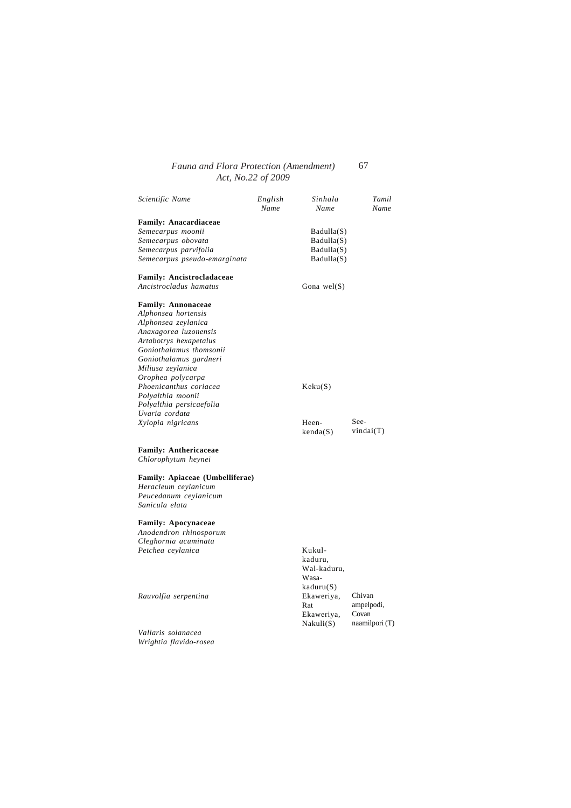| Scientific Name                  | English<br>Name | Sinhala<br>Name      | Tamil<br>Name     |
|----------------------------------|-----------------|----------------------|-------------------|
| <b>Family: Anacardiaceae</b>     |                 |                      |                   |
| Semecarpus moonii                |                 | Badulla(S)           |                   |
| Semecarpus obovata               |                 | Badulla(S)           |                   |
| Semecarpus parvifolia            |                 | Badulla(S)           |                   |
| Semecarpus pseudo-emarginata     |                 | Badulla(S)           |                   |
|                                  |                 |                      |                   |
| <b>Family: Ancistrocladaceae</b> |                 |                      |                   |
| Ancistrocladus hamatus           |                 | Gona wel $(S)$       |                   |
| <b>Family: Annonaceae</b>        |                 |                      |                   |
| Alphonsea hortensis              |                 |                      |                   |
| Alphonsea zeylanica              |                 |                      |                   |
| Anaxagorea luzonensis            |                 |                      |                   |
| Artabotrys hexapetalus           |                 |                      |                   |
| Goniothalamus thomsonii          |                 |                      |                   |
| Goniothalamus gardneri           |                 |                      |                   |
| Miliusa zeylanica                |                 |                      |                   |
| Orophea polycarpa                |                 |                      |                   |
| Phoenicanthus coriacea           |                 | Keku(S)              |                   |
| Polyalthia moonii                |                 |                      |                   |
| Polyalthia persicaefolia         |                 |                      |                   |
| Uvaria cordata                   |                 |                      |                   |
| Xylopia nigricans                |                 | Heen-                | See-<br>vindai(T) |
|                                  |                 | kenda(S)             |                   |
| <b>Family: Anthericaceae</b>     |                 |                      |                   |
| Chlorophytum heynei              |                 |                      |                   |
| Family: Apiaceae (Umbelliferae)  |                 |                      |                   |
| Heracleum ceylanicum             |                 |                      |                   |
| Peucedanum ceylanicum            |                 |                      |                   |
| Sanicula elata                   |                 |                      |                   |
|                                  |                 |                      |                   |
| <b>Family: Apocynaceae</b>       |                 |                      |                   |
| Anodendron rhinosporum           |                 |                      |                   |
| Cleghornia acuminata             |                 |                      |                   |
| Petchea ceylanica                |                 | Kukul-               |                   |
|                                  |                 | kaduru.              |                   |
|                                  |                 | Wal-kaduru,<br>Wasa- |                   |
|                                  |                 | kaduru(S)            |                   |
| Rauvolfia serpentina             |                 | Ekaweriya,           | Chivan            |
|                                  |                 | Rat                  | ampelpodi,        |
|                                  |                 | Ekaweriya,           | Covan             |
|                                  |                 | Nakuli(S)            | naamilpori (T)    |
| Vallaris solanacea               |                 |                      |                   |
| Wrightia flavido-rosea           |                 |                      |                   |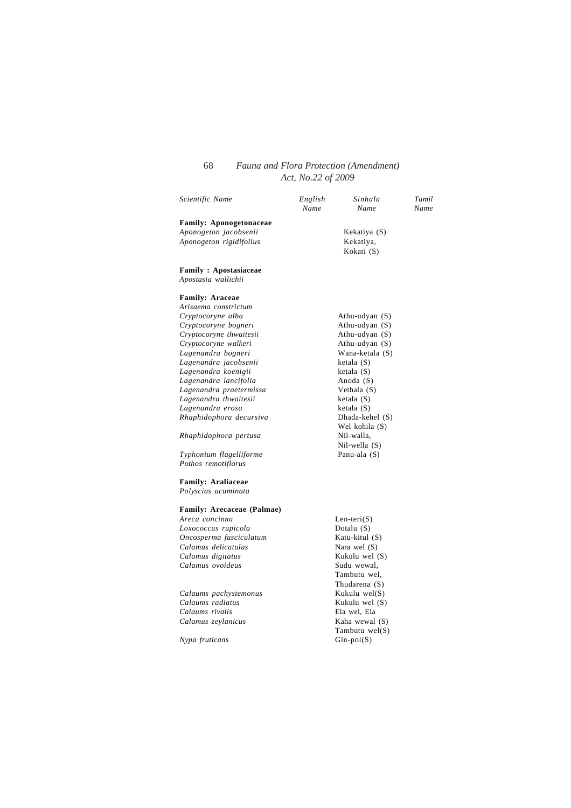| Scientific Name              | English<br>Name | Sinhala<br>Name                   | Tamil<br>Name |
|------------------------------|-----------------|-----------------------------------|---------------|
| Family: Aponogetonaceae      |                 |                                   |               |
| Aponogeton jacobsenii        |                 | Kekatiya (S)                      |               |
| Aponogeton rigidifolius      |                 | Kekatiya,                         |               |
|                              |                 | Kokati (S)                        |               |
| <b>Family: Apostasiaceae</b> |                 |                                   |               |
| Apostasia wallichii          |                 |                                   |               |
| <b>Family: Araceae</b>       |                 |                                   |               |
| Arisaema constrictum         |                 |                                   |               |
| Cryptocoryne alba            |                 | Athu-udyan $(S)$                  |               |
| Cryptocoryne bogneri         |                 | Athu-udyan (S)                    |               |
| Cryptocoryne thwaitesii      |                 | Athu-udyan $(S)$                  |               |
| Cryptocoryne walkeri         |                 | Athu-udyan $(S)$                  |               |
| Lagenandra bogneri           |                 | Wana-ketala (S)                   |               |
| Lagenandra jacobsenii        |                 | ketala (S)                        |               |
| Lagenandra koenigii          |                 | ketala (S)                        |               |
| Lagenandra lancifolia        |                 | Anoda (S)                         |               |
| Lagenandra praetermissa      |                 | Vethala (S)                       |               |
| Lagenandra thwaitesii        |                 | ketala $(S)$                      |               |
| Lagenandra erosa             |                 | ketala (S)                        |               |
| Rhaphidophora decursiva      |                 | Dhada-kehel (S)                   |               |
|                              |                 | Wel kohila (S)                    |               |
| Rhaphidophora pertusa        |                 | Nil-walla,<br>$Nil$ -wella $(S)$  |               |
| Typhonium flagelliforme      |                 | Panu-ala (S)                      |               |
| Pothos remotiflorus          |                 |                                   |               |
| <b>Family: Araliaceae</b>    |                 |                                   |               |
| Polyscias acuminata          |                 |                                   |               |
| Family: Arecaceae (Palmae)   |                 |                                   |               |
| Areca concinna               |                 | $Len-teri(S)$                     |               |
| Loxococcus rupicola          |                 | Dotalu $(S)$                      |               |
| Oncosperma fasciculatum      |                 | Katu-kitul (S)                    |               |
| Calamus delicatulus          |                 | Nara wel $(S)$                    |               |
| Calamus digitatus            |                 | Kukulu wel (S)                    |               |
| Calamus ovoideus             |                 | Sudu wewal,                       |               |
|                              |                 | Tambutu wel.                      |               |
|                              |                 | Thudarena (S)                     |               |
| Calaums pachystemonus        |                 | Kukulu wel $(S)$                  |               |
| Calaums radiatus             |                 | Kukulu wel (S)                    |               |
| Calaums rivalis              |                 | Ela wel, Ela                      |               |
| Calamus zeylanicus           |                 | Kaha wewal (S)                    |               |
| Nypa fruticans               |                 | Tambutu wel $(S)$<br>$Gin-pol(S)$ |               |
|                              |                 |                                   |               |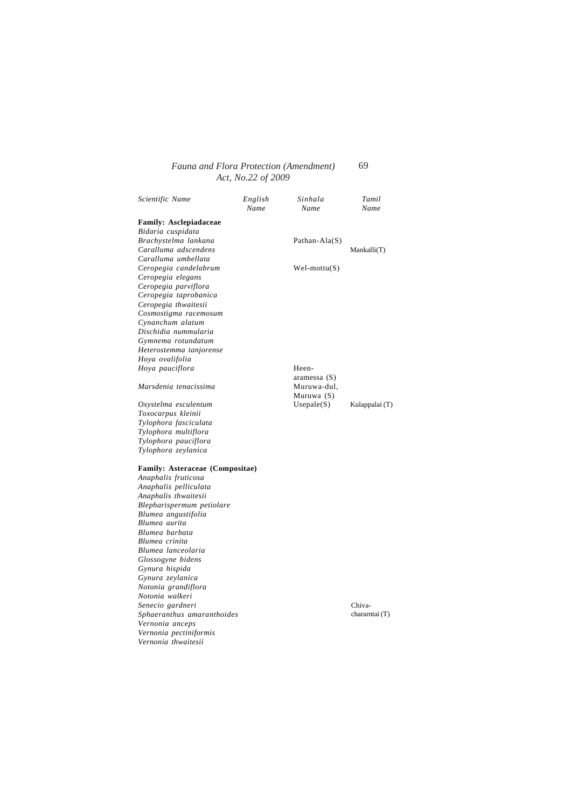| Scientific Name                 | English<br>Name | Sinhala<br>Name  | Tamil<br>Name  |
|---------------------------------|-----------------|------------------|----------------|
| <b>Family: Asclepiadaceae</b>   |                 |                  |                |
| Bidaria cuspidata               |                 |                  |                |
| Brachystelma lankana            |                 | Pathan-Ala $(S)$ |                |
| Caralluma adscendens            |                 |                  | Mankalli(T)    |
| Caralluma umbellata             |                 |                  |                |
| Ceropegia candelabrum           |                 | $Wel-mottu(S)$   |                |
| Ceropegia elegans               |                 |                  |                |
| Ceropegia parviflora            |                 |                  |                |
| Ceropegia taprobanica           |                 |                  |                |
| Ceropegia thwaitesii            |                 |                  |                |
| Cosmostigma racemosum           |                 |                  |                |
| Cynanchum alatum                |                 |                  |                |
| Dischidia nummularia            |                 |                  |                |
| Gymnema rotundatum              |                 |                  |                |
| Heterostemma tanjorense         |                 |                  |                |
| Hoya ovalifolia                 |                 |                  |                |
| Hoya pauciflora                 |                 | Heen-            |                |
|                                 |                 | aramessa $(S)$   |                |
| Marsdenia tenacissima           |                 | Muruwa-dul,      |                |
|                                 |                 | Muruwa (S)       |                |
| Oxystelma esculentum            |                 | Use pale(S)      | Kulappalai (T) |
| Toxocarpus kleinii              |                 |                  |                |
| Tylophora fasciculata           |                 |                  |                |
| Tylophora multiflora            |                 |                  |                |
| Tylophora pauciflora            |                 |                  |                |
| Tylophora zeylanica             |                 |                  |                |
|                                 |                 |                  |                |
| Family: Asteraceae (Compositae) |                 |                  |                |
| Anaphalis fruticosa             |                 |                  |                |
| Anaphalis pelliculata           |                 |                  |                |
| Anaphalis thwaitesii            |                 |                  |                |
| Blepharispermum petiolare       |                 |                  |                |
| Blumea angustifolia             |                 |                  |                |
| Blumea aurita                   |                 |                  |                |
| Blumea barbata                  |                 |                  |                |
| Blumea crinita                  |                 |                  |                |
| Blumea lanceolaria              |                 |                  |                |
| Glossogyne bidens               |                 |                  |                |
| Gynura hispida                  |                 |                  |                |
| Gynura zeylanica                |                 |                  |                |
| Notonia grandiflora             |                 |                  |                |
| Notonia walkeri                 |                 |                  |                |
| Senecio gardneri                |                 |                  | Chiva-         |
| Sphaeranthus amaranthoides      |                 |                  | chararntai (T) |
| Vernonia anceps                 |                 |                  |                |
| Vernonia pectiniformis          |                 |                  |                |

*Vernonia thwaitesii*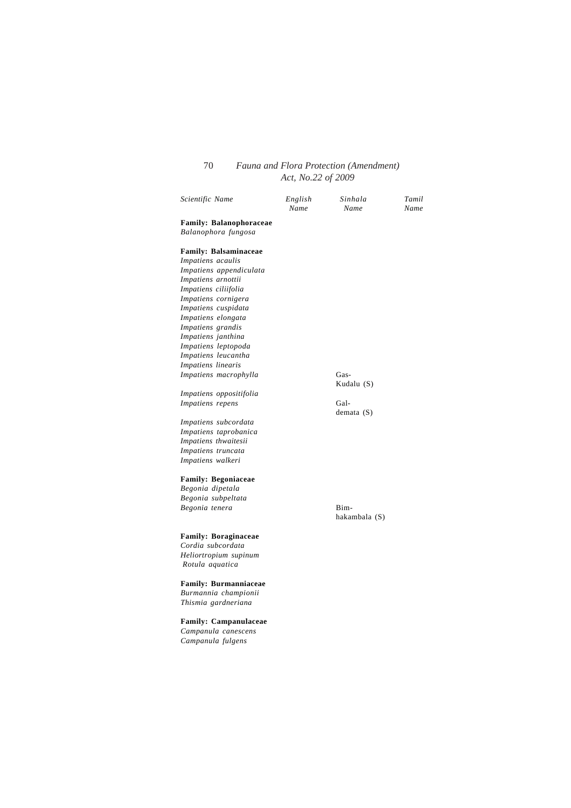| Scientific Name                | English<br>Name | Sinhala<br>Name    | Tamil<br>Name |
|--------------------------------|-----------------|--------------------|---------------|
| <b>Family: Balanophoraceae</b> |                 |                    |               |
| Balanophora fungosa            |                 |                    |               |
| Family: Balsaminaceae          |                 |                    |               |
| Impatiens acaulis              |                 |                    |               |
| Impatiens appendiculata        |                 |                    |               |
| Impatiens arnottii             |                 |                    |               |
| Impatiens ciliifolia           |                 |                    |               |
| Impatiens cornigera            |                 |                    |               |
| Impatiens cuspidata            |                 |                    |               |
| Impatiens elongata             |                 |                    |               |
| Impatiens grandis              |                 |                    |               |
| Impatiens janthina             |                 |                    |               |
| Impatiens leptopoda            |                 |                    |               |
| Impatiens leucantha            |                 |                    |               |
| Impatiens linearis             |                 |                    |               |
| Impatiens macrophylla          |                 | Gas-               |               |
|                                |                 | Kudalu (S)         |               |
| Impatiens oppositifolia        |                 |                    |               |
| Impatiens repens               |                 | Gal-<br>demata (S) |               |
| Impatiens subcordata           |                 |                    |               |
| Impatiens taprobanica          |                 |                    |               |
| Impatiens thwaitesii           |                 |                    |               |
| Impatiens truncata             |                 |                    |               |
| Impatiens walkeri              |                 |                    |               |
| <b>Family: Begoniaceae</b>     |                 |                    |               |
| Begonia dipetala               |                 |                    |               |
| Begonia subpeltata             |                 |                    |               |
| Begonia tenera                 |                 | Bim-               |               |
|                                |                 | hakambala (S)      |               |
| <b>Family: Boraginaceae</b>    |                 |                    |               |
| Cordia subcordata              |                 |                    |               |
| Heliortropium supinum          |                 |                    |               |
| Rotula aquatica                |                 |                    |               |
| Family: Burmanniaceae          |                 |                    |               |
| Burmannia championii           |                 |                    |               |
| Thismia gardneriana            |                 |                    |               |
| Family: Campanulaceae          |                 |                    |               |
| Campanula canescens            |                 |                    |               |

*Campanula fulgens*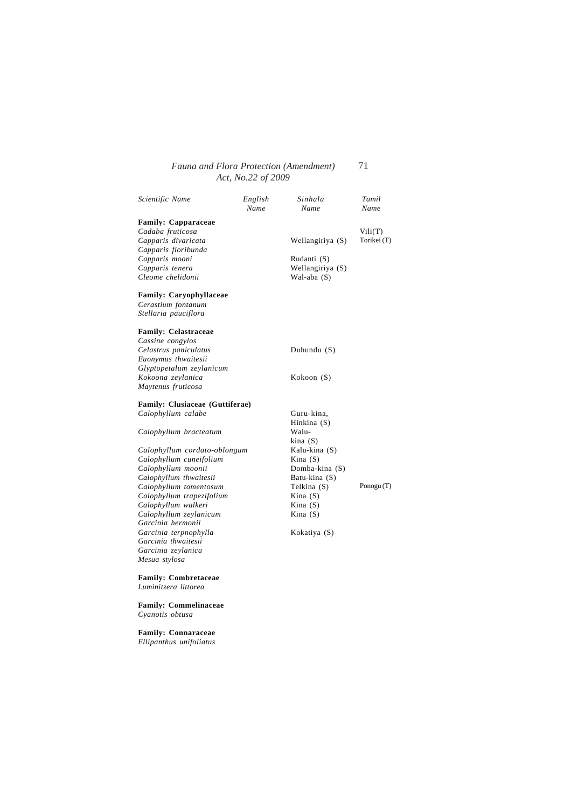| Scientific Name                        | English<br>Name | Sinhala<br>Name  | Tamil<br>Name         |
|----------------------------------------|-----------------|------------------|-----------------------|
| <b>Family: Capparaceae</b>             |                 |                  |                       |
| Cadaba fruticosa                       |                 |                  | Vili(T)               |
| Capparis divaricata                    |                 | Wellangiriya (S) | Torikei (T)           |
| Capparis floribunda                    |                 |                  |                       |
| Capparis mooni                         |                 | Rudanti (S)      |                       |
| Capparis tenera                        |                 | Wellangiriya (S) |                       |
| Cleome chelidonii                      |                 | Wal-aba (S)      |                       |
| Family: Caryophyllaceae                |                 |                  |                       |
| Cerastium fontanum                     |                 |                  |                       |
| Stellaria pauciflora                   |                 |                  |                       |
| <b>Family: Celastraceae</b>            |                 |                  |                       |
| Cassine congylos                       |                 |                  |                       |
| Celastrus paniculatus                  |                 | Duhundu (S)      |                       |
| Euonymus thwaitesii                    |                 |                  |                       |
| Glyptopetalum zeylanicum               |                 |                  |                       |
| Kokoona zeylanica                      |                 | Kokoon (S)       |                       |
| Maytenus fruticosa                     |                 |                  |                       |
| <b>Family: Clusiaceae (Guttiferae)</b> |                 |                  |                       |
| Calophyllum calabe                     |                 | Guru-kina,       |                       |
|                                        |                 | Hinkina (S)      |                       |
| Calophyllum bracteatum                 |                 | Walu-            |                       |
|                                        |                 | kina(S)          |                       |
| Calophyllum cordato-oblongum           |                 | Kalu-kina (S)    |                       |
| Calophyllum cuneifolium                |                 | Kina $(S)$       |                       |
| Calophyllum moonii                     |                 | Domba-kina (S)   |                       |
| Calophyllum thwaitesii                 |                 | Batu-kina (S)    |                       |
| Calophyllum tomentosum                 |                 | Telkina (S)      | Ponogu <sub>(T)</sub> |
| Calophyllum trapezifolium              |                 | Kina $(S)$       |                       |
| Calophyllum walkeri                    |                 | Kina $(S)$       |                       |
| Calophyllum zeylanicum                 |                 | Kina $(S)$       |                       |
| Garcinia hermonii                      |                 |                  |                       |
| Garcinia terpnophylla                  |                 | Kokatiya (S)     |                       |
| Garcinia thwaitesii                    |                 |                  |                       |
| Garcinia zeylanica                     |                 |                  |                       |
| Mesua stylosa                          |                 |                  |                       |

#### **Family: Combretaceae** *Luminitzera littorea*

**Family: Commelinaceae** *Cyanotis obtusa*

**Family: Connaraceae** *Ellipanthus unifoliatus*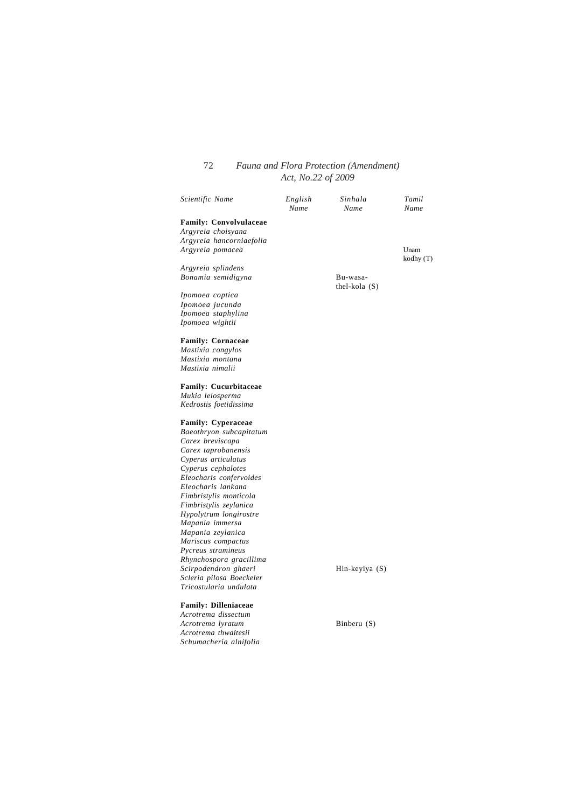| Scientific Name               | English<br>Name | Sinhala<br>Name | Tamil<br>Name |
|-------------------------------|-----------------|-----------------|---------------|
| <b>Family: Convolvulaceae</b> |                 |                 |               |
| Argyreia choisyana            |                 |                 |               |
| Argyreia hancorniaefolia      |                 |                 |               |
| Argyreia pomacea              |                 |                 | Unam          |
|                               |                 |                 | kodhy (T)     |
| Argyreia splindens            |                 |                 |               |
| Bonamia semidigyna            |                 | Bu-wasa-        |               |
|                               |                 | thel-kola $(S)$ |               |
| Ipomoea coptica               |                 |                 |               |
| Ipomoea jucunda               |                 |                 |               |
| Ipomoea staphylina            |                 |                 |               |
| Ipomoea wightii               |                 |                 |               |
|                               |                 |                 |               |
| <b>Family: Cornaceae</b>      |                 |                 |               |
| Mastixia congylos             |                 |                 |               |
| Mastixia montana              |                 |                 |               |
| Mastixia nimalii              |                 |                 |               |
|                               |                 |                 |               |
| <b>Family: Cucurbitaceae</b>  |                 |                 |               |
| Mukia leiosperma              |                 |                 |               |
| Kedrostis foetidissima        |                 |                 |               |
|                               |                 |                 |               |
| <b>Family: Cyperaceae</b>     |                 |                 |               |
| Baeothryon subcapitatum       |                 |                 |               |
| Carex breviscapa              |                 |                 |               |
| Carex taprobanensis           |                 |                 |               |
| Cyperus articulatus           |                 |                 |               |
| Cyperus cephalotes            |                 |                 |               |
| Eleocharis confervoides       |                 |                 |               |
| Eleocharis lankana            |                 |                 |               |
| Fimbristylis monticola        |                 |                 |               |
| Fimbristylis zeylanica        |                 |                 |               |
| Hypolytrum longirostre        |                 |                 |               |
| Mapania immersa               |                 |                 |               |
| Mapania zeylanica             |                 |                 |               |
| Mariscus compactus            |                 |                 |               |
| Pycreus stramineus            |                 |                 |               |
| Rhynchospora gracillima       |                 |                 |               |
| Scirpodendron ghaeri          |                 | Hin-keyiya (S)  |               |
| Scleria pilosa Boeckeler      |                 |                 |               |
| Tricostularia undulata        |                 |                 |               |
|                               |                 |                 |               |
| <b>Family: Dilleniaceae</b>   |                 |                 |               |
| Acrotrema dissectum           |                 |                 |               |
| Acrotrema lyratum             |                 | Binberu $(S)$   |               |
| Acrotrema thwaitesii          |                 |                 |               |

*Schumacheria alnifolia*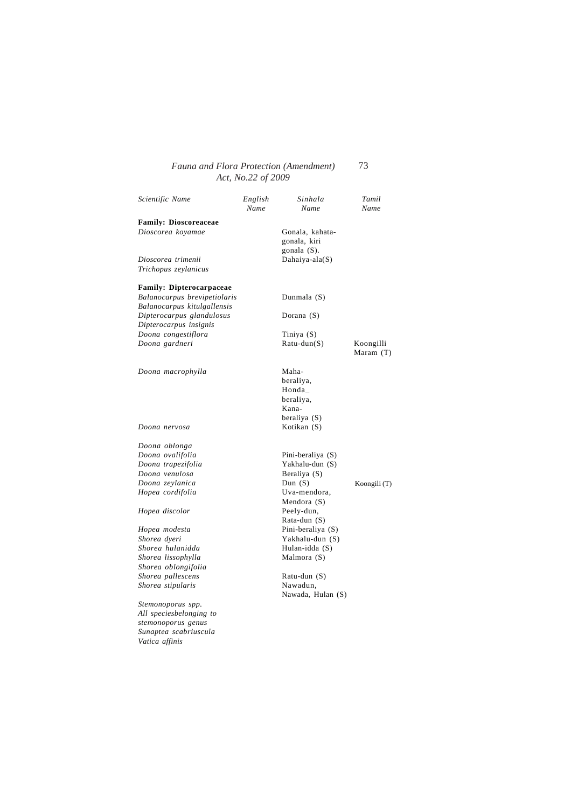| <b>Family: Dioscoreaceae</b><br>Dioscorea koyamae<br>Gonala, kahata-<br>gonala, kiri<br>gonala (S).<br>Dioscorea trimenii<br>Dahaiya-ala(S)<br>Trichopus zeylanicus<br><b>Family: Dipterocarpaceae</b><br>Balanocarpus brevipetiolaris<br>Dunmala (S)<br>Balanocarpus kitulgallensis<br>Dipterocarpus glandulosus<br>Dorana $(S)$<br>Dipterocarpus insignis<br>Doona congestiflora<br>Tiniya (S)<br>Doona gardneri<br>$Ratu-dun(S)$<br>Koongilli | Scientific Name | English<br>Name | Sinhala<br>Name | Tamil<br>Name |
|--------------------------------------------------------------------------------------------------------------------------------------------------------------------------------------------------------------------------------------------------------------------------------------------------------------------------------------------------------------------------------------------------------------------------------------------------|-----------------|-----------------|-----------------|---------------|
|                                                                                                                                                                                                                                                                                                                                                                                                                                                  |                 |                 |                 |               |
|                                                                                                                                                                                                                                                                                                                                                                                                                                                  |                 |                 |                 |               |
|                                                                                                                                                                                                                                                                                                                                                                                                                                                  |                 |                 |                 |               |
|                                                                                                                                                                                                                                                                                                                                                                                                                                                  |                 |                 |                 |               |
|                                                                                                                                                                                                                                                                                                                                                                                                                                                  |                 |                 |                 |               |
|                                                                                                                                                                                                                                                                                                                                                                                                                                                  |                 |                 |                 |               |
|                                                                                                                                                                                                                                                                                                                                                                                                                                                  |                 |                 |                 |               |
|                                                                                                                                                                                                                                                                                                                                                                                                                                                  |                 |                 |                 |               |
|                                                                                                                                                                                                                                                                                                                                                                                                                                                  |                 |                 |                 |               |
|                                                                                                                                                                                                                                                                                                                                                                                                                                                  |                 |                 |                 | Maram (T)     |
| Doona macrophylla<br>Maha-                                                                                                                                                                                                                                                                                                                                                                                                                       |                 |                 |                 |               |
| beraliya,                                                                                                                                                                                                                                                                                                                                                                                                                                        |                 |                 |                 |               |
| Honda                                                                                                                                                                                                                                                                                                                                                                                                                                            |                 |                 |                 |               |
| beraliya,                                                                                                                                                                                                                                                                                                                                                                                                                                        |                 |                 |                 |               |
| Kana-                                                                                                                                                                                                                                                                                                                                                                                                                                            |                 |                 |                 |               |
| beraliya (S)                                                                                                                                                                                                                                                                                                                                                                                                                                     |                 |                 |                 |               |
| Kotikan (S)<br>Doona nervosa                                                                                                                                                                                                                                                                                                                                                                                                                     |                 |                 |                 |               |
| Doona oblonga                                                                                                                                                                                                                                                                                                                                                                                                                                    |                 |                 |                 |               |
| Doona ovalifolia<br>Pini-beraliya (S)                                                                                                                                                                                                                                                                                                                                                                                                            |                 |                 |                 |               |
| Doona trapezifolia<br>Yakhalu-dun (S)                                                                                                                                                                                                                                                                                                                                                                                                            |                 |                 |                 |               |
| Doona venulosa<br>Beraliya (S)                                                                                                                                                                                                                                                                                                                                                                                                                   |                 |                 |                 |               |
| Doona zeylanica<br>Dun $(S)$                                                                                                                                                                                                                                                                                                                                                                                                                     |                 |                 |                 | Koongili (T)  |
| Hopea cordifolia<br>Uva-mendora,                                                                                                                                                                                                                                                                                                                                                                                                                 |                 |                 |                 |               |
| Mendora (S)                                                                                                                                                                                                                                                                                                                                                                                                                                      |                 |                 |                 |               |
| Peely-dun,<br>Hopea discolor                                                                                                                                                                                                                                                                                                                                                                                                                     |                 |                 |                 |               |
| Rata-dun (S)                                                                                                                                                                                                                                                                                                                                                                                                                                     |                 |                 |                 |               |
| Hopea modesta<br>Pini-beraliya (S)                                                                                                                                                                                                                                                                                                                                                                                                               |                 |                 |                 |               |
| Shorea dyeri<br>Yakhalu-dun (S)                                                                                                                                                                                                                                                                                                                                                                                                                  |                 |                 |                 |               |
| Shorea hulanidda<br>Hulan-idda (S)                                                                                                                                                                                                                                                                                                                                                                                                               |                 |                 |                 |               |
| Shorea lissophylla<br>Malmora (S)                                                                                                                                                                                                                                                                                                                                                                                                                |                 |                 |                 |               |
| Shorea oblongifolia                                                                                                                                                                                                                                                                                                                                                                                                                              |                 |                 |                 |               |
| Shorea pallescens<br>Ratu-dun (S)                                                                                                                                                                                                                                                                                                                                                                                                                |                 |                 |                 |               |
| Shorea stipularis<br>Nawadun,                                                                                                                                                                                                                                                                                                                                                                                                                    |                 |                 |                 |               |
| Nawada, Hulan (S)                                                                                                                                                                                                                                                                                                                                                                                                                                |                 |                 |                 |               |
| Stemonoporus spp.                                                                                                                                                                                                                                                                                                                                                                                                                                |                 |                 |                 |               |
| All speciesbelonging to                                                                                                                                                                                                                                                                                                                                                                                                                          |                 |                 |                 |               |
| stemonoporus genus                                                                                                                                                                                                                                                                                                                                                                                                                               |                 |                 |                 |               |
| Sunaptea scabriuscula                                                                                                                                                                                                                                                                                                                                                                                                                            |                 |                 |                 |               |
| Vatica affinis                                                                                                                                                                                                                                                                                                                                                                                                                                   |                 |                 |                 |               |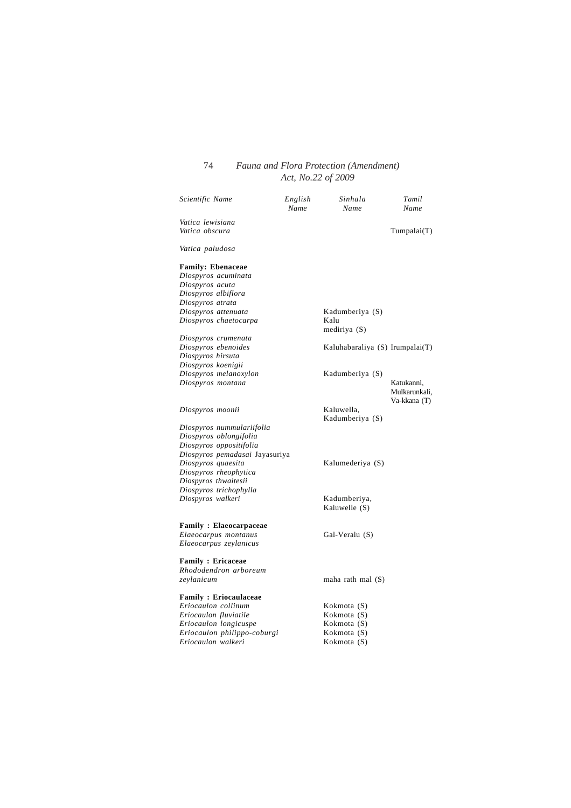| Scientific Name                    | English<br>Name | Sinhala<br>Name                 | Tamil<br>Name                               |
|------------------------------------|-----------------|---------------------------------|---------------------------------------------|
| Vatica lewisiana<br>Vatica obscura |                 |                                 | Tumpalai(T)                                 |
| Vatica paludosa                    |                 |                                 |                                             |
|                                    |                 |                                 |                                             |
| <b>Family: Ebenaceae</b>           |                 |                                 |                                             |
| Diospyros acuminata                |                 |                                 |                                             |
| Diospyros acuta                    |                 |                                 |                                             |
| Diospyros albiflora                |                 |                                 |                                             |
| Diospyros atrata                   |                 |                                 |                                             |
| Diospyros attenuata                |                 | Kadumberiya (S)                 |                                             |
| Diospyros chaetocarpa              |                 | Kalu<br>mediriya $(S)$          |                                             |
| Diospyros crumenata                |                 |                                 |                                             |
| Diospyros ebenoides                |                 | Kaluhabaraliya (S) Irumpalai(T) |                                             |
| Diospyros hirsuta                  |                 |                                 |                                             |
| Diospyros koenigii                 |                 |                                 |                                             |
| Diospyros melanoxylon              |                 | Kadumberiya (S)                 |                                             |
| Diospyros montana                  |                 |                                 | Katukanni,<br>Mulkarunkali,<br>Va-kkana (T) |
| Diospyros moonii                   |                 | Kaluwella,                      |                                             |
|                                    |                 | Kadumberiya (S)                 |                                             |
| Diospyros nummulariifolia          |                 |                                 |                                             |
| Diospyros oblongifolia             |                 |                                 |                                             |
| Diospyros oppositifolia            |                 |                                 |                                             |
| Diospyros pemadasai Jayasuriya     |                 |                                 |                                             |
| Diospyros quaesita                 |                 | Kalumederiya (S)                |                                             |
| Diospyros rheophytica              |                 |                                 |                                             |
| Diospyros thwaitesii               |                 |                                 |                                             |
| Diospyros trichophylla             |                 |                                 |                                             |
| Diospyros walkeri                  |                 | Kadumberiya,                    |                                             |
|                                    |                 | Kaluwelle (S)                   |                                             |
| <b>Family : Elaeocarpaceae</b>     |                 |                                 |                                             |
| Elaeocarpus montanus               |                 | Gal-Veralu (S)                  |                                             |
| Elaeocarpus zeylanicus             |                 |                                 |                                             |
| <b>Family: Ericaceae</b>           |                 |                                 |                                             |
| Rhododendron arboreum              |                 |                                 |                                             |
| zeylanicum                         |                 | maha rath mal $(S)$             |                                             |
| <b>Family: Eriocaulaceae</b>       |                 |                                 |                                             |
| Eriocaulon collinum                |                 | Kokmota (S)                     |                                             |
| Eriocaulon fluviatile              |                 | Kokmota (S)                     |                                             |
| Eriocaulon longicuspe              |                 | Kokmota (S)                     |                                             |
| Eriocaulon philippo-coburgi        |                 | Kokmota (S)                     |                                             |
| Eriocaulon walkeri                 |                 | Kokmota (S)                     |                                             |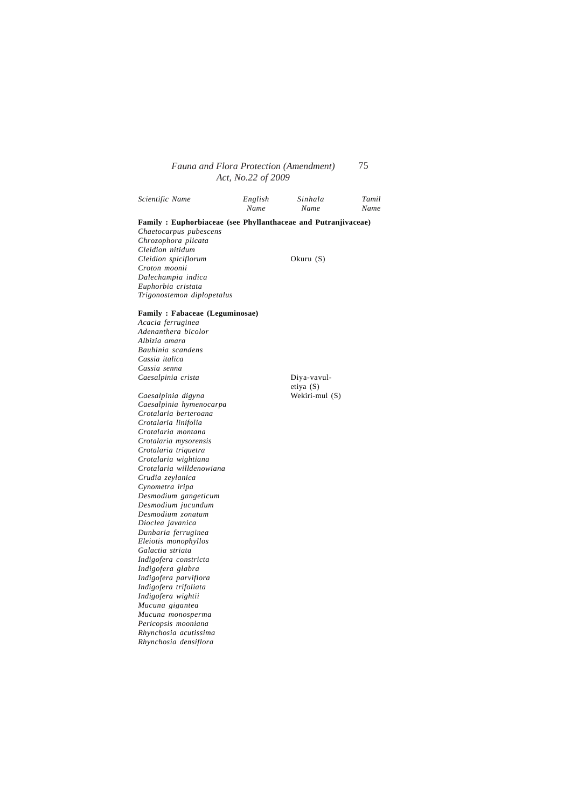| Scientific Name | English | Sinhala | Tamil |
|-----------------|---------|---------|-------|
|                 | Name    | Name    | Name  |

#### **Family : Euphorbiaceae (see Phyllanthaceae and Putranjivaceae)**

*Chaetocarpus pubescens Chrozophora plicata Cleidion nitidum Cleidion spiciflorum* Okuru (S) *Croton moonii Dalechampia indica Euphorbia cristata Trigonostemon diplopetalus*

#### **Family : Fabaceae (Leguminosae)**

*Acacia ferruginea Adenanthera bicolor Albizia amara Bauhinia scandens Cassia italica Cassia senna Caesalpinia crista* Diya-vavul-

 $Caesalpinia$  digyna *Caesalpinia hymenocarpa Crotalaria berteroana Crotalaria linifolia Crotalaria montana Crotalaria mysorensis Crotalaria triquetra Crotalaria wightiana Crotalaria willdenowiana Crudia zeylanica Cynometra iripa Desmodium gangeticum Desmodium jucundum Desmodium zonatum Dioclea javanica Dunbaria ferruginea Eleiotis monophyllos Galactia striata Indigofera constricta Indigofera glabra Indigofera parviflora Indigofera trifoliata Indigofera wightii Mucuna gigantea Mucuna monosperma Pericopsis mooniana Rhynchosia acutissima Rhynchosia densiflora*

etiya (S)<br>Wekiri-mul (S)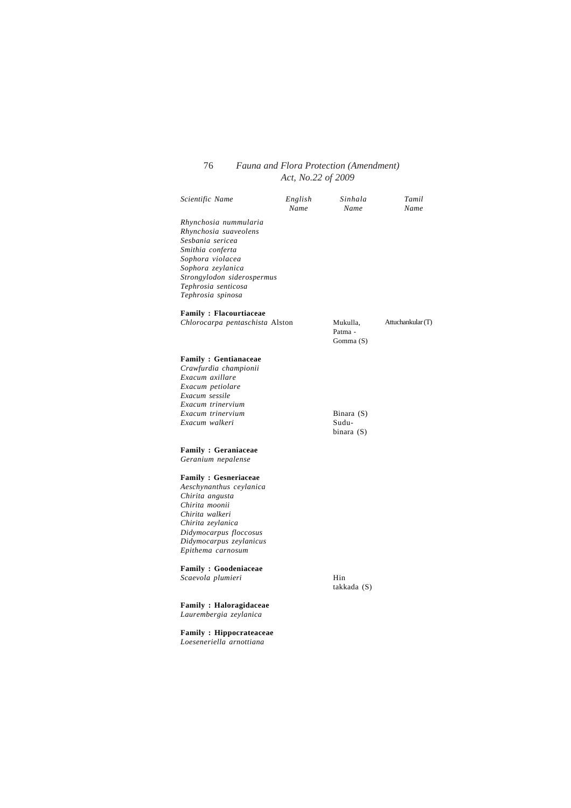| Scientific Name                                                                                                                                                                                               | English<br>Name | Sinhala<br>Name                       | Tamil<br>Name     |
|---------------------------------------------------------------------------------------------------------------------------------------------------------------------------------------------------------------|-----------------|---------------------------------------|-------------------|
| Rhynchosia nummularia<br>Rhynchosia suaveolens<br>Sesbania sericea<br>Smithia conferta<br>Sophora violacea<br>Sophora zeylanica<br>Strongylodon siderospermus<br>Tephrosia senticosa<br>Tephrosia spinosa     |                 |                                       |                   |
| <b>Family: Flacourtiaceae</b><br>Chlorocarpa pentaschista Alston                                                                                                                                              |                 | Mukulla,<br>Patma -<br>Gomma (S)      | Attuchankular (T) |
| <b>Family: Gentianaceae</b><br>Crawfurdia championii<br>Exacum axillare<br>Exacum petiolare<br>Exacum sessile<br>Exacum trinervium<br>Exacum trinervium<br>Exacum walkeri                                     |                 | Binara $(S)$<br>Sudu-<br>binara $(S)$ |                   |
| <b>Family: Geraniaceae</b><br>Geranium nepalense                                                                                                                                                              |                 |                                       |                   |
| <b>Family: Gesneriaceae</b><br>Aeschynanthus ceylanica<br>Chirita angusta<br>Chirita moonii<br>Chirita walkeri<br>Chirita zeylanica<br>Didymocarpus floccosus<br>Didymocarpus zeylanicus<br>Epithema carnosum |                 |                                       |                   |
| <b>Family: Goodeniaceae</b><br>Scaevola plumieri                                                                                                                                                              |                 | Hin<br>takkada (S)                    |                   |
| <b>Family: Haloragidaceae</b><br>Laurembergia zeylanica                                                                                                                                                       |                 |                                       |                   |
| <b>Family: Hippocrateaceae</b><br>Loeseneriella arnottiana                                                                                                                                                    |                 |                                       |                   |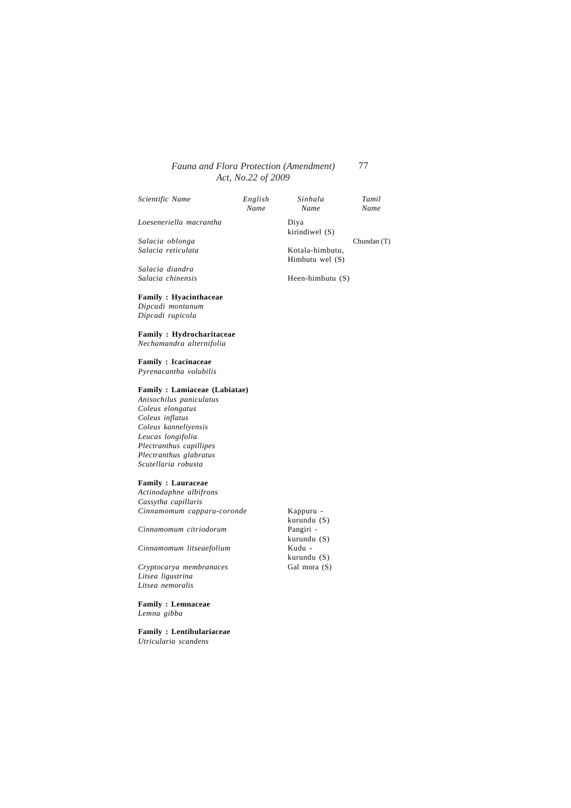| Scientific Name              | English | Sinhala            | Tamil         |
|------------------------------|---------|--------------------|---------------|
|                              | Name    | Name               | Name          |
| Loeseneriella macrantha      |         | Diya               |               |
|                              |         | kirindiwel $(S)$   |               |
| Salacia oblonga              |         |                    | Chundan $(T)$ |
| Salacia reticulata           |         | Kotala-himbutu,    |               |
|                              |         | Himbutu wel $(S)$  |               |
| Salacia diandra              |         |                    |               |
| Salacia chinensis            |         | Heen-himbutu $(S)$ |               |
| <b>Family: Hyacinthaceae</b> |         |                    |               |

**Family : Hydrocharitaceae** *Nechamandra alternifolia*

### **Family : Icacinaceae**

*Dipcadi montanum Dipcadi rupicola*

*Pyrenacantha volubilis*

#### **Family : Lamiaceae (Labiatae)**

*Anisochilus paniculatus Coleus elongatus Coleus inflatus Coleus kanneliyensis Leucas longifolia Plectranthus capillipes Plectranthus glabratus Scutellaria robusta*

#### **Family : Lauraceae**

*Actinodaphne albifrons Cassytha capillaris Cinnamomum capparu-coronde* Kappuru -

 $Cinnamomum$  citriodorum

*Cinnamomum litseaefolium* Kudu -

 $C$ ryptocarya membranaces *Litsea ligustrina Litsea nemoralis*

**Family : Lemnaceae** *Lemna gibba*

**Family : Lentibulariaceae** *Utricularia scandens*

kurundu (S)<br>Pangiri kurundu (S) kurundu (S)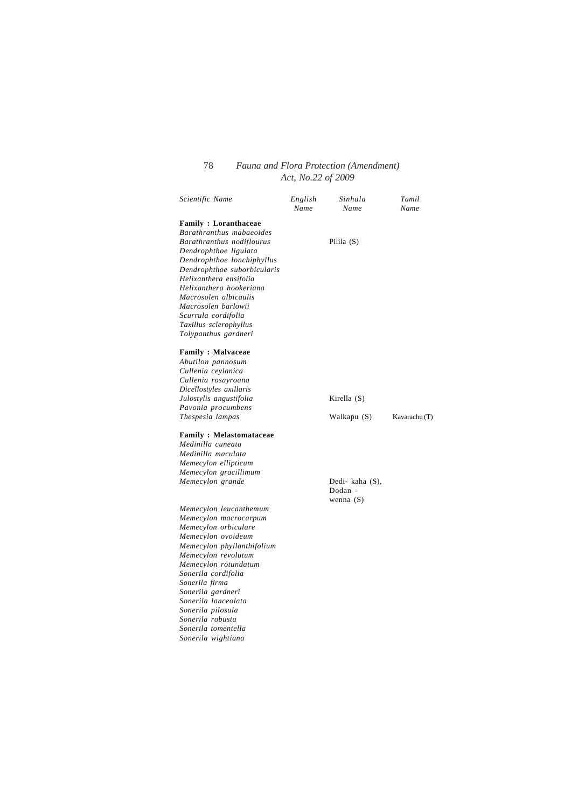| Scientific Name             | English<br>Name | Sinhala<br>Name | Tamil<br>Name |
|-----------------------------|-----------------|-----------------|---------------|
| Family : Loranthaceae       |                 |                 |               |
| Barathranthus mabaeoides    |                 |                 |               |
| Barathranthus nodiflourus   |                 | Pilila $(S)$    |               |
| Dendrophthoe ligulata       |                 |                 |               |
| Dendrophthoe lonchiphyllus  |                 |                 |               |
| Dendrophthoe suborbicularis |                 |                 |               |
| Helixanthera ensifolia      |                 |                 |               |
| Helixanthera hookeriana     |                 |                 |               |
| Macrosolen albicaulis       |                 |                 |               |
| Macrosolen barlowii         |                 |                 |               |
| Scurrula cordifolia         |                 |                 |               |
| Taxillus sclerophyllus      |                 |                 |               |
| Tolypanthus gardneri        |                 |                 |               |
| Family : Malvaceae          |                 |                 |               |
| Abutilon pannosum           |                 |                 |               |
| Cullenia ceylanica          |                 |                 |               |
| Cullenia rosayroana         |                 |                 |               |
| Dicellostyles axillaris     |                 |                 |               |
| Julostylis angustifolia     |                 | Kirella $(S)$   |               |
| Pavonia procumbens          |                 |                 |               |
| Thespesia lampas            |                 | Walkapu (S)     | Kavarachu (T) |
| Family: Melastomataceae     |                 |                 |               |
| Medinilla cuneata           |                 |                 |               |
| Medinilla maculata          |                 |                 |               |
| Memecylon ellipticum        |                 |                 |               |
| Memecylon gracillimum       |                 |                 |               |
| Memecylon grande            |                 | Dedi- kaha (S), |               |
|                             |                 | Dodan -         |               |
|                             |                 | wenna $(S)$     |               |
| Memecylon leucanthemum      |                 |                 |               |
| Memecylon macrocarpum       |                 |                 |               |
| Memecylon orbiculare        |                 |                 |               |
| Memecylon ovoideum          |                 |                 |               |
| Memecylon phyllanthifolium  |                 |                 |               |
| Memecylon revolutum         |                 |                 |               |
| Memecylon rotundatum        |                 |                 |               |
| Sonerila cordifolia         |                 |                 |               |
| Sonerila firma              |                 |                 |               |
| Sonerila gardneri           |                 |                 |               |
| Sonerila lanceolata         |                 |                 |               |
| Sonerila pilosula           |                 |                 |               |
| Sonerila robusta            |                 |                 |               |
| Sonerila tomentella         |                 |                 |               |
| Sonerila wightiana          |                 |                 |               |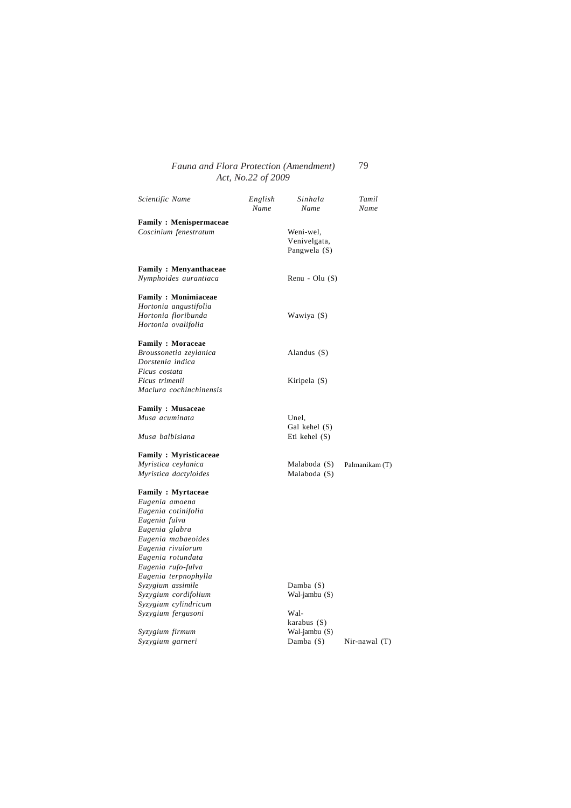| Scientific Name                                                                                                                                                                                                                                                                                               | English<br>Name | Sinhala<br>Name                                     | Tamil<br>Name   |
|---------------------------------------------------------------------------------------------------------------------------------------------------------------------------------------------------------------------------------------------------------------------------------------------------------------|-----------------|-----------------------------------------------------|-----------------|
| <b>Family: Menispermaceae</b><br>Coscinium fenestratum                                                                                                                                                                                                                                                        |                 | Weni-wel,<br>Venivelgata,<br>Pangwela (S)           |                 |
| <b>Family: Menyanthaceae</b><br>Nymphoides aurantiaca                                                                                                                                                                                                                                                         |                 | Renu - Olu $(S)$                                    |                 |
| <b>Family: Monimiaceae</b><br>Hortonia angustifolia<br>Hortonia floribunda<br>Hortonia ovalifolia                                                                                                                                                                                                             |                 | Wawiya (S)                                          |                 |
| <b>Family : Moraceae</b><br>Broussonetia zeylanica<br>Dorstenia indica                                                                                                                                                                                                                                        |                 | Alandus $(S)$                                       |                 |
| Ficus costata<br>Ficus trimenii<br>Maclura cochinchinensis                                                                                                                                                                                                                                                    |                 | Kiripela (S)                                        |                 |
| <b>Family: Musaceae</b><br>Musa acuminata<br>Musa balbisiana                                                                                                                                                                                                                                                  |                 | Unel,<br>Gal kehel (S)<br>Eti kehel $(S)$           |                 |
| <b>Family: Myristicaceae</b><br>Myristica ceylanica<br>Myristica dactyloides                                                                                                                                                                                                                                  |                 | Malaboda (S)<br>Malaboda (S)                        | Palmanikam (T)  |
| <b>Family: Myrtaceae</b><br>Eugenia amoena<br>Eugenia cotinifolia<br>Eugenia fulva<br>Eugenia glabra<br>Eugenia mabaeoides<br>Eugenia rivulorum<br>Eugenia rotundata<br>Eugenia rufo-fulva<br>Eugenia terpnophylla<br>Syzygium assimile<br>Syzygium cordifolium<br>Syzygium cylindricum<br>Syzygium fergusoni |                 | Damba (S)<br>Wal-jambu (S)<br>Wal-<br>karabus $(S)$ |                 |
| Syzygium firmum<br>Syzygium garneri                                                                                                                                                                                                                                                                           |                 | Wal-jambu (S)<br>Damba (S)                          | Nir-nawal $(T)$ |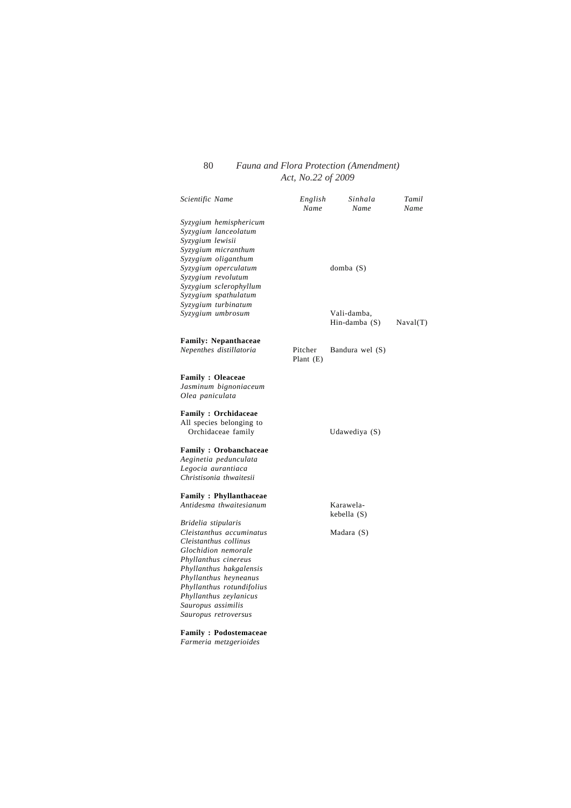| Scientific Name                                                    | English<br>Name        | Sinhala<br>Name                       | Tamil<br>Name |
|--------------------------------------------------------------------|------------------------|---------------------------------------|---------------|
| Syzygium hemisphericum<br>Syzygium lanceolatum<br>Syzygium lewisii |                        |                                       |               |
| Syzygium micranthum<br>Syzygium oliganthum                         |                        |                                       |               |
| Syzygium operculatum                                               |                        | domba(S)                              |               |
| Syzygium revolutum<br>Syzygium sclerophyllum                       |                        |                                       |               |
| Syzygium spathulatum                                               |                        |                                       |               |
| Syzygium turbinatum                                                |                        |                                       |               |
| Syzygium umbrosum                                                  |                        | Vali-damba,<br>$\text{Hin-damba}$ (S) | Naval(T)      |
| <b>Family: Nepanthaceae</b>                                        |                        |                                       |               |
| Nepenthes distillatoria                                            | Pitcher<br>Plant $(E)$ | Bandura wel (S)                       |               |
| <b>Family: Oleaceae</b>                                            |                        |                                       |               |
| Jasminum bignoniaceum                                              |                        |                                       |               |
| Olea paniculata                                                    |                        |                                       |               |
| <b>Family: Orchidaceae</b>                                         |                        |                                       |               |
| All species belonging to                                           |                        |                                       |               |
| Orchidaceae family                                                 |                        | Udawediya (S)                         |               |
| <b>Family: Orobanchaceae</b>                                       |                        |                                       |               |
| Aeginetia pedunculata                                              |                        |                                       |               |
| Legocia aurantiaca                                                 |                        |                                       |               |
| Christisonia thwaitesii                                            |                        |                                       |               |
| <b>Family: Phyllanthaceae</b>                                      |                        |                                       |               |
| Antidesma thwaitesianum                                            |                        | Karawela-<br>kebella (S)              |               |
| Bridelia stipularis                                                |                        |                                       |               |
| Cleistanthus accuminatus                                           |                        | Madara $(S)$                          |               |
| Cleistanthus collinus                                              |                        |                                       |               |
| Glochidion nemorale                                                |                        |                                       |               |
| Phyllanthus cinereus                                               |                        |                                       |               |
| Phyllanthus hakgalensis                                            |                        |                                       |               |
| Phyllanthus heyneanus<br>Phyllanthus rotundifolius                 |                        |                                       |               |
| Phyllanthus zeylanicus                                             |                        |                                       |               |
| Sauropus assimilis                                                 |                        |                                       |               |
|                                                                    |                        |                                       |               |

**Family : Podostemaceae** *Farmeria metzgerioides*

*Sauropus retroversus*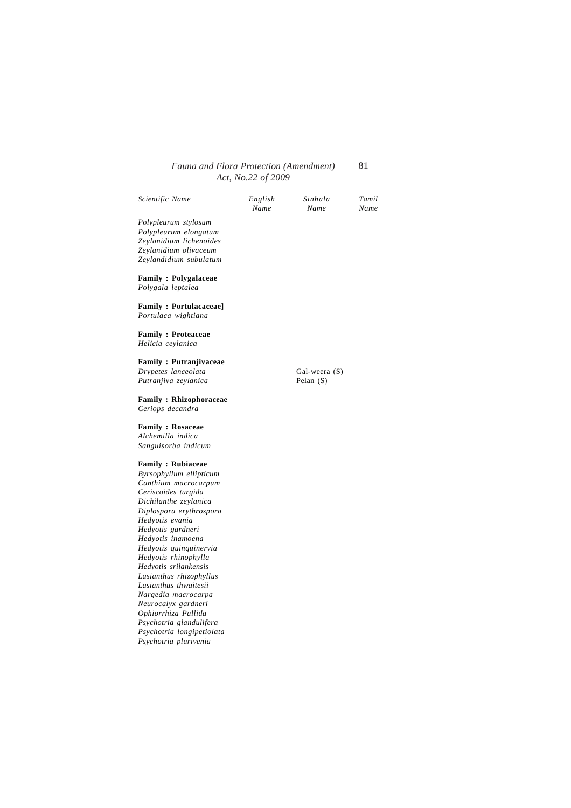| Scientific Name | English | Sinhala | Tamil |
|-----------------|---------|---------|-------|
|                 | Name    | Name    | Name  |
|                 |         |         |       |

*Polypleurum stylosum Polypleurum elongatum Zeylanidium lichenoides Zeylanidium olivaceum Zeylandidium subulatum*

### **Family : Polygalaceae** *Polygala leptalea*

**Family : Portulacaceae]** *Portulaca wightiana*

#### **Family : Proteaceae** *Helicia ceylanica*

# **Family : Putranjivaceae**

*Drypetes lanceolata* Gal-weera (S)<br> *Putranjiva zeylanica* Pelan (S) *Putranjiva zeylanica* 

**Family : Rhizophoraceae** *Ceriops decandra*

### **Family : Rosaceae**

*Alchemilla indica Sanguisorba indicum*

### **Family : Rubiaceae**

*Byrsophyllum ellipticum Canthium macrocarpum Ceriscoides turgida Dichilanthe zeylanica Diplospora erythrospora Hedyotis evania Hedyotis gardneri Hedyotis inamoena Hedyotis quinquinervia Hedyotis rhinophylla Hedyotis srilankensis Lasianthus rhizophyllus Lasianthus thwaitesii Nargedia macrocarpa Neurocalyx gardneri Ophiorrhiza Pallida Psychotria glandulifera Psychotria longipetiolata Psychotria plurivenia*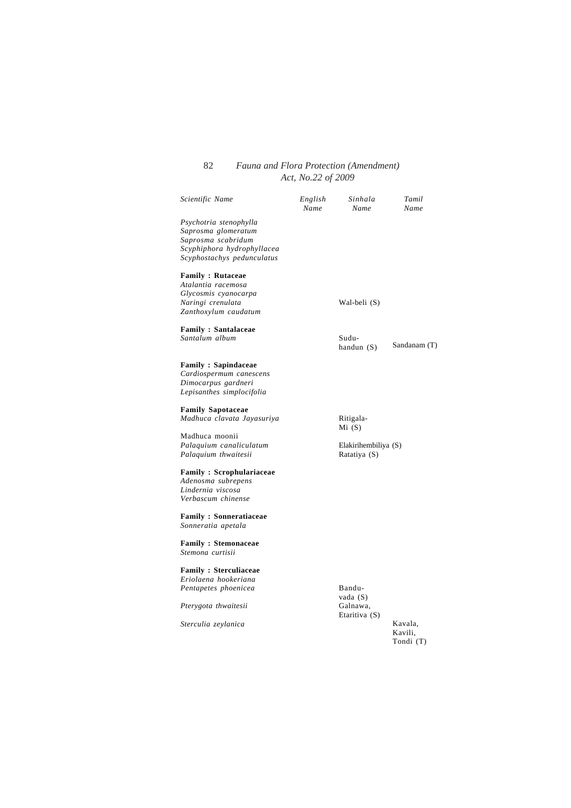| Scientific Name                                                                                                                 | English<br>Name | Sinhala<br>Name                      | Tamil<br>Name |
|---------------------------------------------------------------------------------------------------------------------------------|-----------------|--------------------------------------|---------------|
| Psychotria stenophylla<br>Saprosma glomeratum<br>Saprosma scabridum<br>Scyphiphora hydrophyllacea<br>Scyphostachys pedunculatus |                 |                                      |               |
| <b>Family: Rutaceae</b><br>Atalantia racemosa<br>Glycosmis cyanocarpa<br>Naringi crenulata<br>Zanthoxylum caudatum              |                 | Wal-beli (S)                         |               |
| <b>Family: Santalaceae</b><br>Santalum album                                                                                    |                 | Sudu-<br>handun $(S)$                | Sandanam (T)  |
| <b>Family: Sapindaceae</b><br>Cardiospermum canescens<br>Dimocarpus gardneri<br>Lepisanthes simplocifolia                       |                 |                                      |               |
| <b>Family Sapotaceae</b><br>Madhuca clavata Jayasuriya                                                                          |                 | Ritigala-<br>Mi(S)                   |               |
| Madhuca moonii<br>Palaquium canaliculatum<br>Palaquium thwaitesii                                                               |                 | Elakirihembiliya (S)<br>Ratatiya (S) |               |
| <b>Family: Scrophulariaceae</b><br>Adenosma subrepens<br>Lindernia viscosa<br>Verbascum chinense                                |                 |                                      |               |
| <b>Family: Sonneratiaceae</b><br>Sonneratia apetala                                                                             |                 |                                      |               |
| <b>Family: Stemonaceae</b><br>Stemona curtisii                                                                                  |                 |                                      |               |
| <b>Family: Sterculiaceae</b><br>Eriolaena hookeriana                                                                            |                 |                                      |               |
| Pentapetes phoenicea                                                                                                            |                 | Bandu-<br>vada (S)                   |               |
| Pterygota thwaitesii<br>Sterculia zeylanica                                                                                     |                 | Galnawa,<br>Etaritiva (S)            | Kavala.       |

Kavala, Kavili, Tondi (T)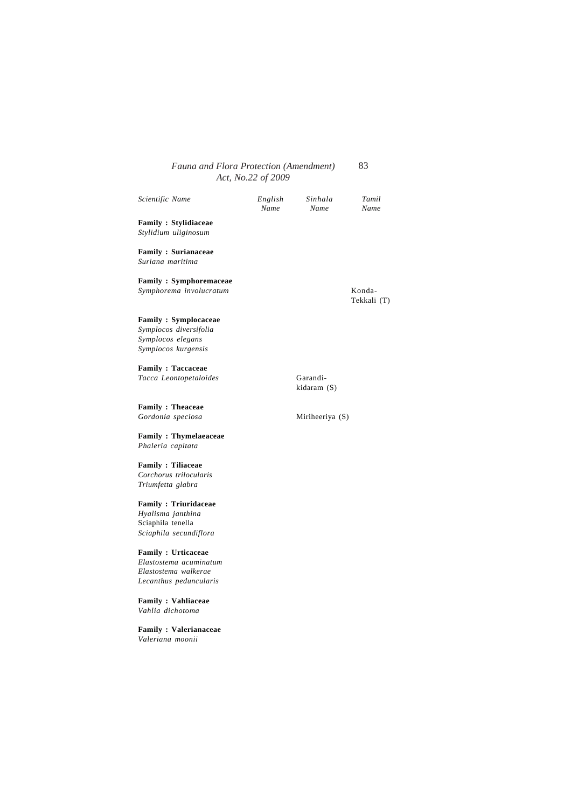| Scientific Name               | English<br><b>Name</b> | Sinhala<br>Name         | Tamil<br>Name         |
|-------------------------------|------------------------|-------------------------|-----------------------|
| <b>Family: Stylidiaceae</b>   |                        |                         |                       |
| Stylidium uliginosum          |                        |                         |                       |
| <b>Family: Surianaceae</b>    |                        |                         |                       |
| Suriana maritima              |                        |                         |                       |
| <b>Family: Symphoremaceae</b> |                        |                         |                       |
| Symphorema involucratum       |                        |                         | Konda-<br>Tekkali (T) |
| <b>Family: Symplocaceae</b>   |                        |                         |                       |
| Symplocos diversifolia        |                        |                         |                       |
| Symplocos elegans             |                        |                         |                       |
| Symplocos kurgensis           |                        |                         |                       |
| <b>Family: Taccaceae</b>      |                        |                         |                       |
| Tacca Leontopetaloides        |                        | Garandi-<br>kidaram (S) |                       |
| <b>Family: Theaceae</b>       |                        |                         |                       |
| Gordonia speciosa             |                        | Miriheeriya $(S)$       |                       |
| <b>Family: Thymelaeaceae</b>  |                        |                         |                       |
| Phaleria capitata             |                        |                         |                       |
| <b>Family: Tiliaceae</b>      |                        |                         |                       |
| Corchorus trilocularis        |                        |                         |                       |
| Triumfetta glabra             |                        |                         |                       |
| <b>Family: Triuridaceae</b>   |                        |                         |                       |
| Hyalisma janthina             |                        |                         |                       |
| Sciaphila tenella             |                        |                         |                       |
| Sciaphila secundiflora        |                        |                         |                       |

**Family : Urticaceae** *Elastostema acuminatum Elastostema walkerae Lecanthus peduncularis*

**Family : Vahliaceae** *Vahlia dichotoma*

**Family : Valerianaceae** *Valeriana moonii*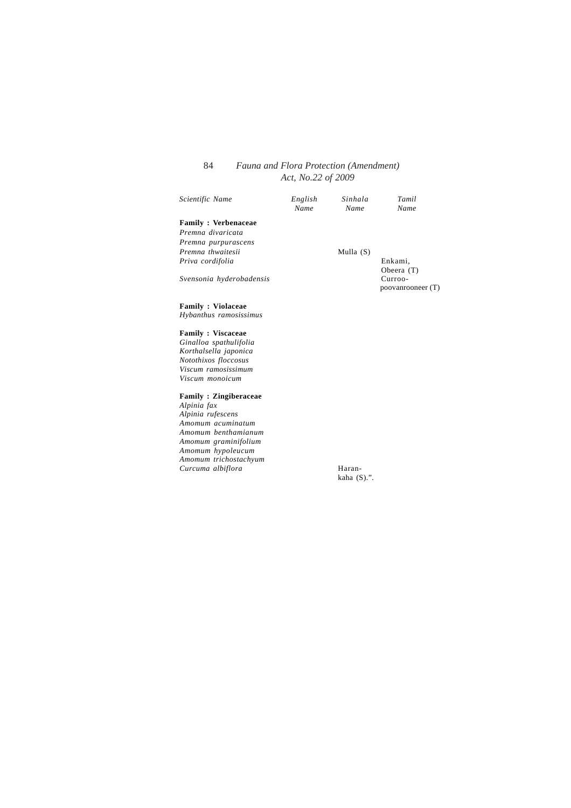| Scientific Name           | English<br>Name | Sinhala<br>Name | Tamil<br>Name                |
|---------------------------|-----------------|-----------------|------------------------------|
| Family : Verbenaceae      |                 |                 |                              |
| Premna divaricata         |                 |                 |                              |
| Premna purpurascens       |                 |                 |                              |
| Premna thwaitesii         |                 | Mulla $(S)$     |                              |
| Priva cordifolia          |                 |                 | Enkami,<br>Obeera (T)        |
| Svensonia hyderobadensis  |                 |                 | Curroo-<br>poovanrooneer (T) |
| <b>Family : Violaceae</b> |                 |                 |                              |
| Hybanthus ramosissimus    |                 |                 |                              |
| <b>Family: Viscaceae</b>  |                 |                 |                              |
| Ginalloa spathulifolia    |                 |                 |                              |
| Korthalsella japonica     |                 |                 |                              |
| Notothixos floccosus      |                 |                 |                              |
| Viscum ramosissimum       |                 |                 |                              |

**Family : Zingiberaceae**

*Viscum monoicum*

*Alpinia fax Alpinia rufescens Amomum acuminatum Amomum benthamianum Amomum graminifolium Amomum hypoleucum Amomum trichostachyum Curcuma albiflora* Haran-

kaha (S).".